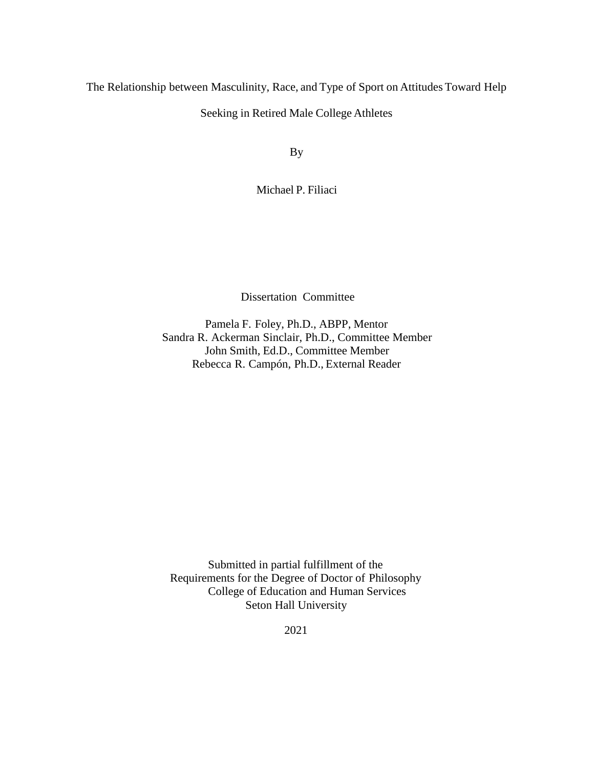The Relationship between Masculinity, Race, and Type of Sport on Attitudes Toward Help

Seeking in Retired Male College Athletes

By

Michael P. Filiaci

Dissertation Committee

Pamela F. Foley, Ph.D., ABPP, Mentor Sandra R. Ackerman Sinclair, Ph.D., Committee Member John Smith, Ed.D., Committee Member Rebecca R. Campón, Ph.D., External Reader

Submitted in partial fulfillment of the Requirements for the Degree of Doctor of Philosophy College of Education and Human Services Seton Hall University

2021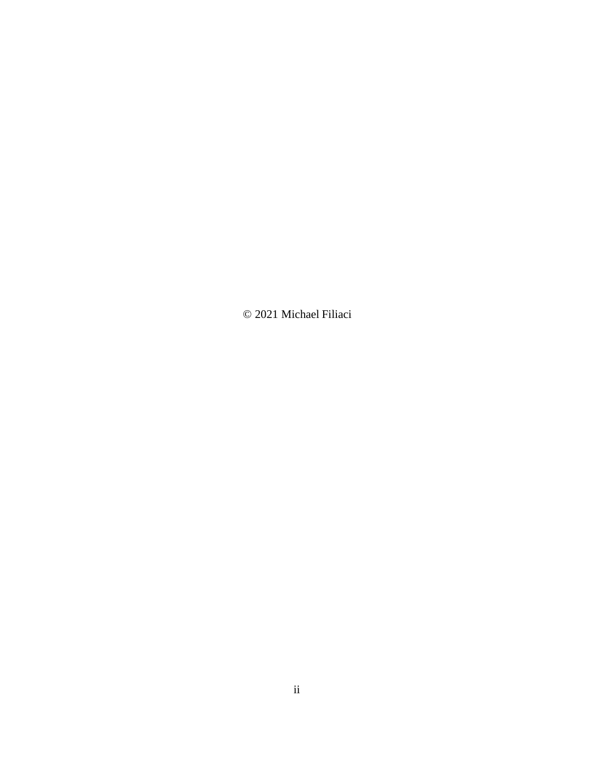© 2021 Michael Filiaci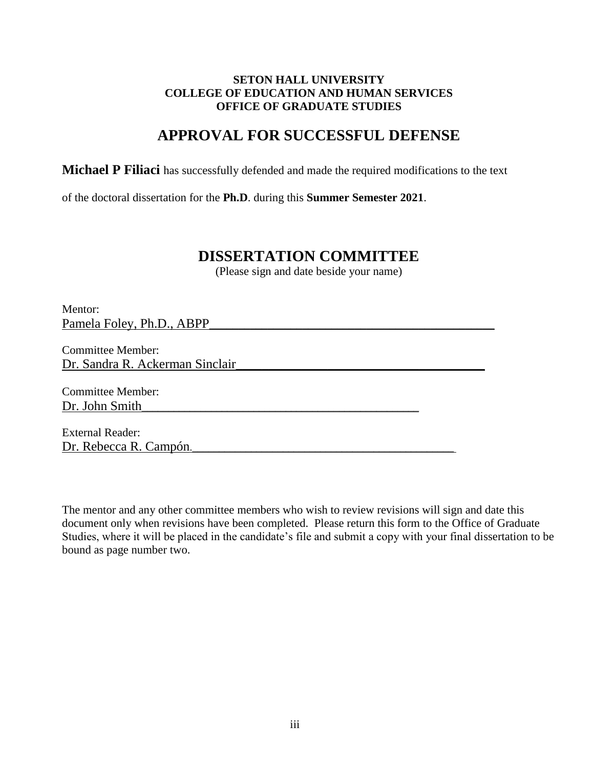### **SETON HALL UNIVERSITY COLLEGE OF EDUCATION AND HUMAN SERVICES OFFICE OF GRADUATE STUDIES**

# **APPROVAL FOR SUCCESSFUL DEFENSE**

**Michael P Filiaci** has successfully defended and made the required modifications to the text

of the doctoral dissertation for the **Ph.D**. during this **Summer Semester 2021**.

## **DISSERTATION COMMITTEE**

(Please sign and date beside your name)

Mentor: Pamela Foley, Ph.D., ABPP

Committee Member: Dr. Sandra R. Ackerman Sinclair

Committee Member: Dr. John Smith

External Reader: Dr. Rebecca R. Campón.\_\_\_\_\_\_\_\_\_\_\_\_\_\_\_\_\_\_\_\_\_\_\_\_\_\_\_\_\_\_\_\_\_\_\_\_\_\_\_\_\_\_\_\_\_\_\_\_\_

The mentor and any other committee members who wish to review revisions will sign and date this document only when revisions have been completed. Please return this form to the Office of Graduate Studies, where it will be placed in the candidate's file and submit a copy with your final dissertation to be bound as page number two.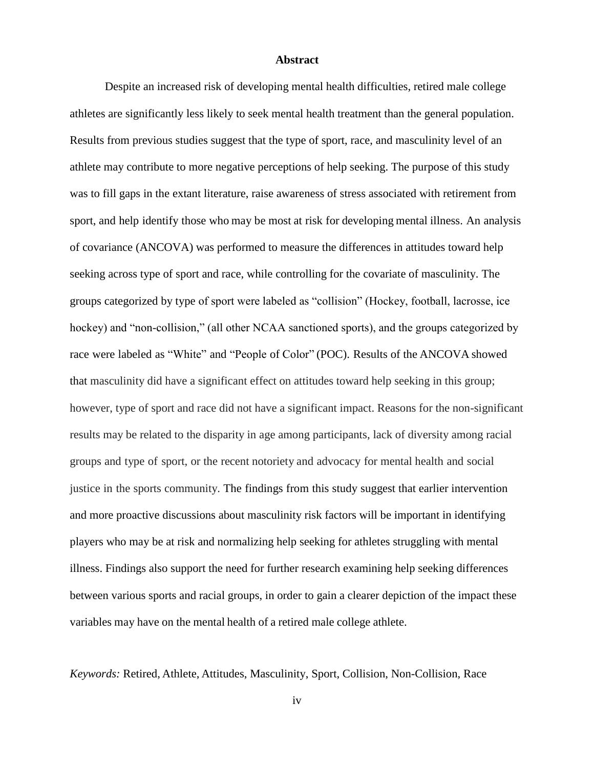#### **Abstract**

<span id="page-3-0"></span>Despite an increased risk of developing mental health difficulties, retired male college athletes are significantly less likely to seek mental health treatment than the general population. Results from previous studies suggest that the type of sport, race, and masculinity level of an athlete may contribute to more negative perceptions of help seeking. The purpose of this study was to fill gaps in the extant literature, raise awareness of stress associated with retirement from sport, and help identify those who may be most at risk for developing mental illness. An analysis of covariance (ANCOVA) was performed to measure the differences in attitudes toward help seeking across type of sport and race, while controlling for the covariate of masculinity. The groups categorized by type of sport were labeled as "collision" (Hockey, football, lacrosse, ice hockey) and "non-collision," (all other NCAA sanctioned sports), and the groups categorized by race were labeled as "White" and "People of Color" (POC). Results of the ANCOVA showed that masculinity did have a significant effect on attitudes toward help seeking in this group; however, type of sport and race did not have a significant impact. Reasons for the non-significant results may be related to the disparity in age among participants, lack of diversity among racial groups and type of sport, or the recent notoriety and advocacy for mental health and social justice in the sports community. The findings from this study suggest that earlier intervention and more proactive discussions about masculinity risk factors will be important in identifying players who may be at risk and normalizing help seeking for athletes struggling with mental illness. Findings also support the need for further research examining help seeking differences between various sports and racial groups, in order to gain a clearer depiction of the impact these variables may have on the mental health of a retired male college athlete.

*Keywords:* Retired, Athlete, Attitudes, Masculinity, Sport, Collision, Non-Collision, Race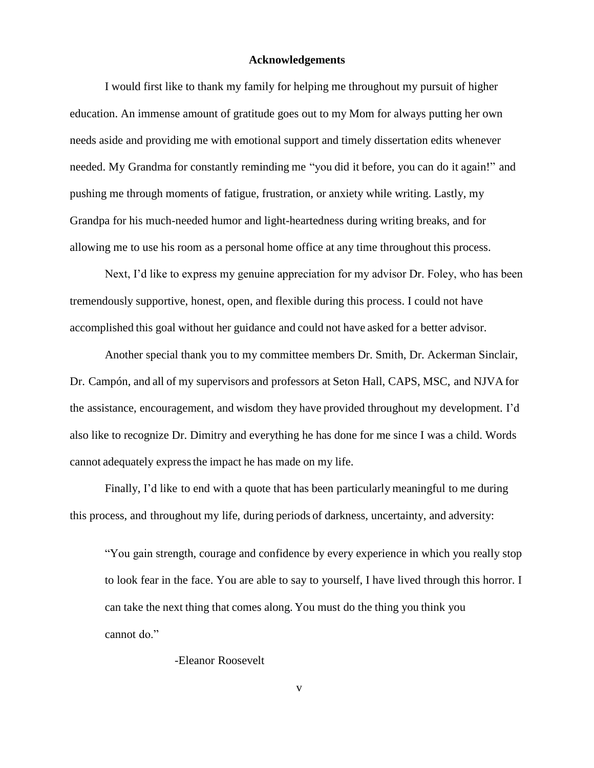#### **Acknowledgements**

<span id="page-4-0"></span>I would first like to thank my family for helping me throughout my pursuit of higher education. An immense amount of gratitude goes out to my Mom for always putting her own needs aside and providing me with emotional support and timely dissertation edits whenever needed. My Grandma for constantly reminding me "you did it before, you can do it again!" and pushing me through moments of fatigue, frustration, or anxiety while writing. Lastly, my Grandpa for his much-needed humor and light-heartedness during writing breaks, and for allowing me to use his room as a personal home office at any time throughout this process.

Next, I'd like to express my genuine appreciation for my advisor Dr. Foley, who has been tremendously supportive, honest, open, and flexible during this process. I could not have accomplished this goal without her guidance and could not have asked for a better advisor.

Another special thank you to my committee members Dr. Smith, Dr. Ackerman Sinclair, Dr. Campón, and all of my supervisors and professors at Seton Hall, CAPS, MSC, and NJVA for the assistance, encouragement, and wisdom they have provided throughout my development. I'd also like to recognize Dr. Dimitry and everything he has done for me since I was a child. Words cannot adequately expressthe impact he has made on my life.

Finally, I'd like to end with a quote that has been particularly meaningful to me during this process, and throughout my life, during periods of darkness, uncertainty, and adversity:

"You gain strength, courage and confidence by every experience in which you really stop to look fear in the face. You are able to say to yourself, I have lived through this horror. I can take the next thing that comes along. You must do the thing you think you cannot do."

-Eleanor Roosevelt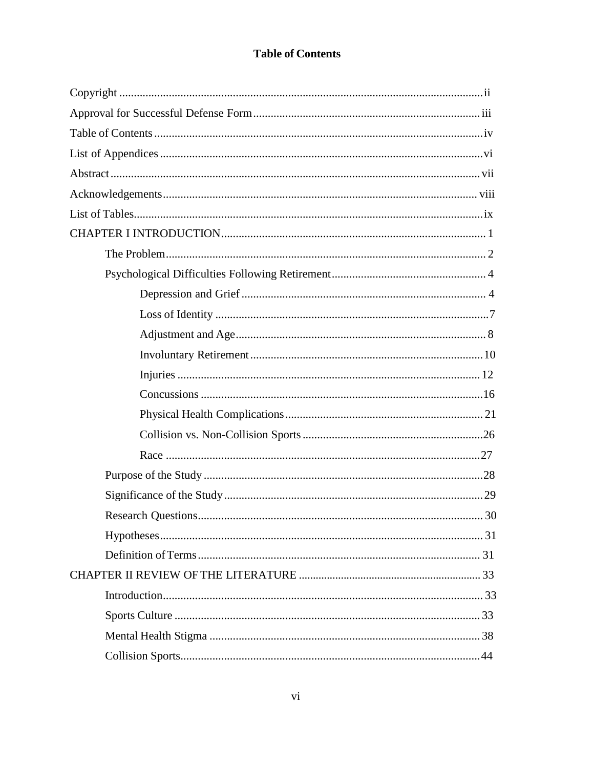## **Table of Contents**

<span id="page-5-0"></span>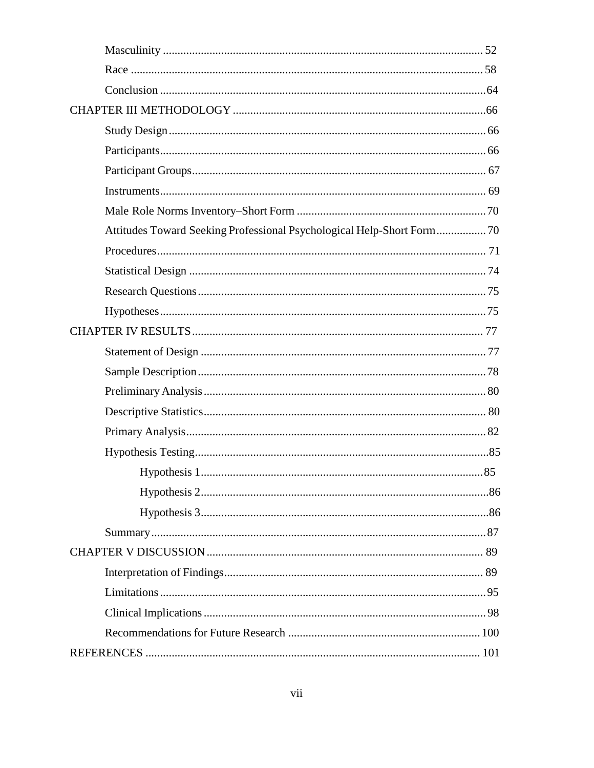| Attitudes Toward Seeking Professional Psychological Help-Short Form 70 |  |
|------------------------------------------------------------------------|--|
|                                                                        |  |
|                                                                        |  |
|                                                                        |  |
|                                                                        |  |
|                                                                        |  |
|                                                                        |  |
|                                                                        |  |
|                                                                        |  |
|                                                                        |  |
|                                                                        |  |
|                                                                        |  |
|                                                                        |  |
|                                                                        |  |
|                                                                        |  |
|                                                                        |  |
|                                                                        |  |
|                                                                        |  |
|                                                                        |  |
|                                                                        |  |
|                                                                        |  |
|                                                                        |  |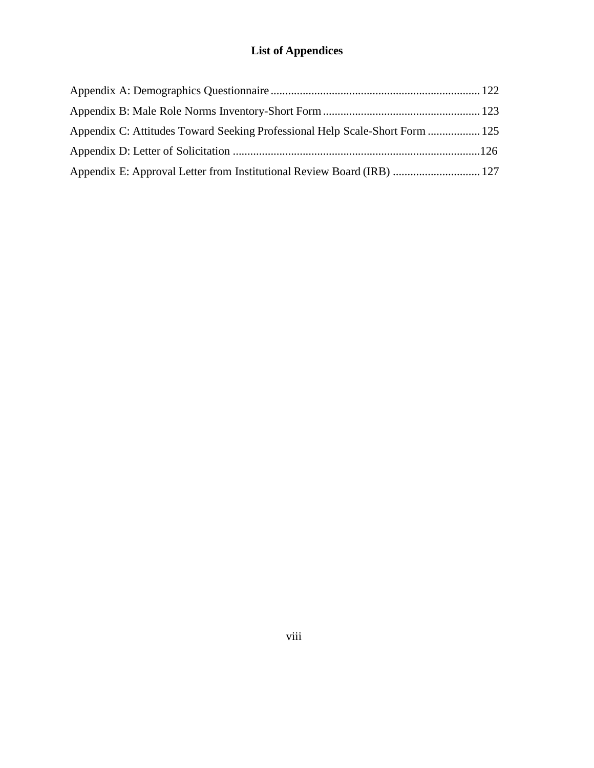# **List of Appendices**

| Appendix C: Attitudes Toward Seeking Professional Help Scale-Short Form  125 |  |
|------------------------------------------------------------------------------|--|
|                                                                              |  |
| Appendix E: Approval Letter from Institutional Review Board (IRB)  127       |  |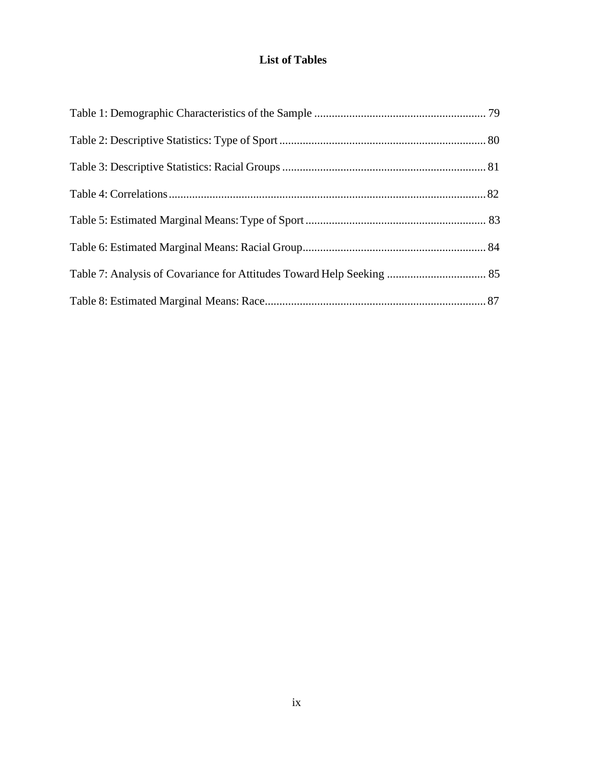## **List of Tables**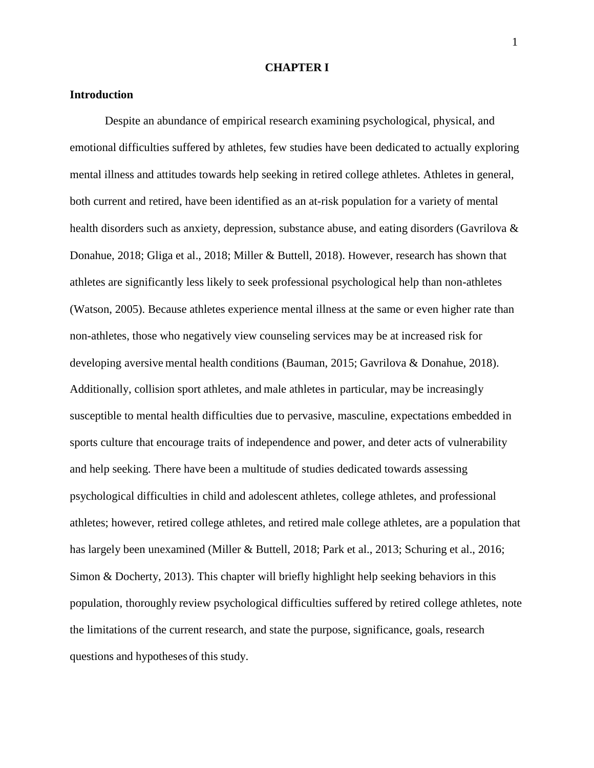#### **CHAPTER I**

#### **Introduction**

Despite an abundance of empirical research examining psychological, physical, and emotional difficulties suffered by athletes, few studies have been dedicated to actually exploring mental illness and attitudes towards help seeking in retired college athletes. Athletes in general, both current and retired, have been identified as an at-risk population for a variety of mental health disorders such as anxiety, depression, substance abuse, and eating disorders (Gavrilova & Donahue, 2018; Gliga et al., 2018; Miller & Buttell, 2018). However, research has shown that athletes are significantly less likely to seek professional psychological help than non-athletes (Watson, 2005). Because athletes experience mental illness at the same or even higher rate than non-athletes, those who negatively view counseling services may be at increased risk for developing aversive mental health conditions (Bauman, 2015; Gavrilova & Donahue, 2018). Additionally, collision sport athletes, and male athletes in particular, may be increasingly susceptible to mental health difficulties due to pervasive, masculine, expectations embedded in sports culture that encourage traits of independence and power, and deter acts of vulnerability and help seeking. There have been a multitude of studies dedicated towards assessing psychological difficulties in child and adolescent athletes, college athletes, and professional athletes; however, retired college athletes, and retired male college athletes, are a population that has largely been unexamined (Miller & Buttell, 2018; Park et al., 2013; Schuring et al., 2016; Simon & Docherty, 2013). This chapter will briefly highlight help seeking behaviors in this population, thoroughly review psychological difficulties suffered by retired college athletes, note the limitations of the current research, and state the purpose, significance, goals, research questions and hypotheses of this study.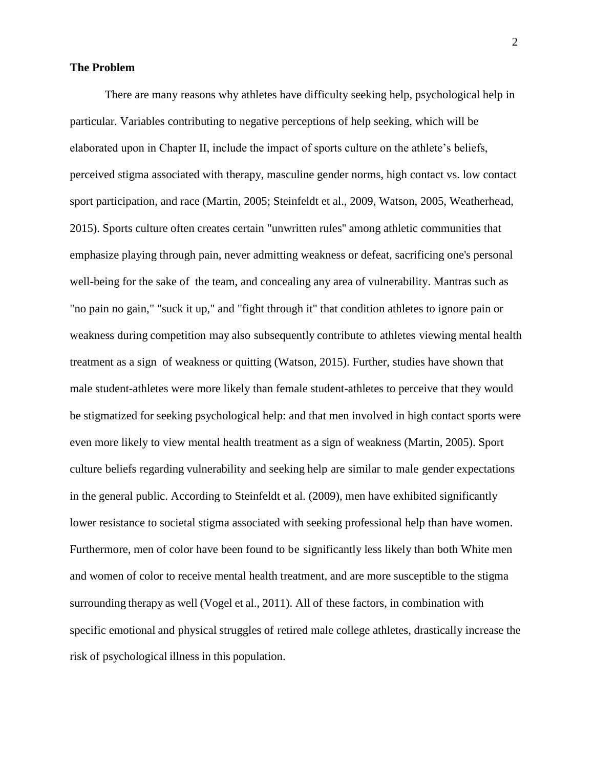#### <span id="page-10-0"></span>**The Problem**

There are many reasons why athletes have difficulty seeking help, psychological help in particular. Variables contributing to negative perceptions of help seeking, which will be elaborated upon in Chapter II, include the impact of sports culture on the athlete's beliefs, perceived stigma associated with therapy, masculine gender norms, high contact vs. low contact sport participation, and race (Martin, 2005; Steinfeldt et al., 2009, Watson, 2005, Weatherhead, 2015). Sports culture often creates certain "unwritten rules'' among athletic communities that emphasize playing through pain, never admitting weakness or defeat, sacrificing one's personal well-being for the sake of the team, and concealing any area of vulnerability. Mantras such as "no pain no gain," "suck it up," and "fight through it" that condition athletes to ignore pain or weakness during competition may also subsequently contribute to athletes viewing mental health treatment as a sign of weakness or quitting (Watson, 2015). Further, studies have shown that male student-athletes were more likely than female student-athletes to perceive that they would be stigmatized for seeking psychological help: and that men involved in high contact sports were even more likely to view mental health treatment as a sign of weakness (Martin, 2005). Sport culture beliefs regarding vulnerability and seeking help are similar to male gender expectations in the general public. According to Steinfeldt et al. (2009), men have exhibited significantly lower resistance to societal stigma associated with seeking professional help than have women. Furthermore, men of color have been found to be significantly less likely than both White men and women of color to receive mental health treatment, and are more susceptible to the stigma surrounding therapy as well (Vogel et al., 2011). All of these factors, in combination with specific emotional and physical struggles of retired male college athletes, drastically increase the risk of psychological illness in this population.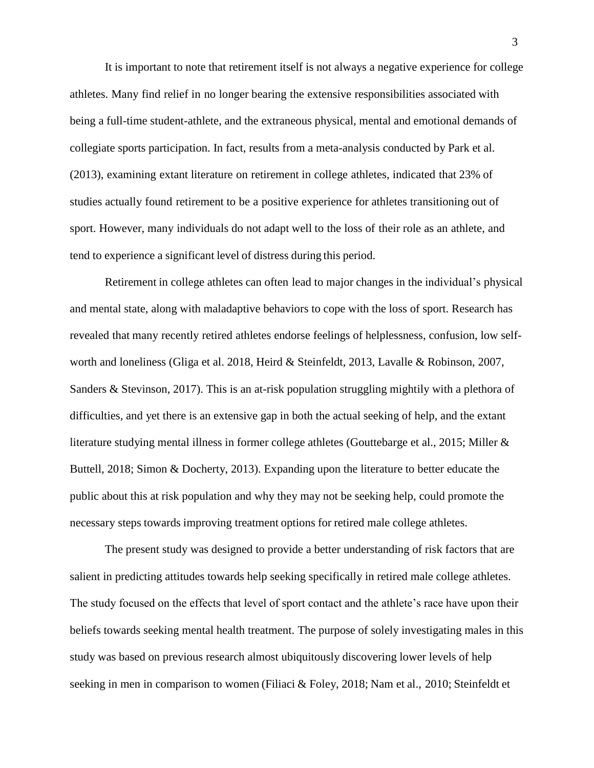It is important to note that retirement itself is not always a negative experience for college athletes. Many find relief in no longer bearing the extensive responsibilities associated with being a full-time student-athlete, and the extraneous physical, mental and emotional demands of collegiate sports participation. In fact, results from a meta-analysis conducted by Park et al. (2013), examining extant literature on retirement in college athletes, indicated that 23% of studies actually found retirement to be a positive experience for athletes transitioning out of sport. However, many individuals do not adapt well to the loss of their role as an athlete, and tend to experience a significant level of distress during this period.

Retirement in college athletes can often lead to major changes in the individual's physical and mental state, along with maladaptive behaviors to cope with the loss of sport. Research has revealed that many recently retired athletes endorse feelings of helplessness, confusion, low selfworth and loneliness (Gliga et al. 2018, Heird & Steinfeldt, 2013, Lavalle & Robinson, 2007, Sanders & Stevinson, 2017). This is an at-risk population struggling mightily with a plethora of difficulties, and yet there is an extensive gap in both the actual seeking of help, and the extant literature studying mental illness in former college athletes (Gouttebarge et al., 2015; Miller & Buttell, 2018; Simon & Docherty, 2013). Expanding upon the literature to better educate the public about this at risk population and why they may not be seeking help, could promote the necessary steps towards improving treatment options for retired male college athletes.

The present study was designed to provide a better understanding of risk factors that are salient in predicting attitudes towards help seeking specifically in retired male college athletes. The study focused on the effects that level of sport contact and the athlete's race have upon their beliefs towards seeking mental health treatment. The purpose of solely investigating males in this study was based on previous research almost ubiquitously discovering lower levels of help seeking in men in comparison to women (Filiaci & Foley, 2018; Nam et al., 2010; Steinfeldt et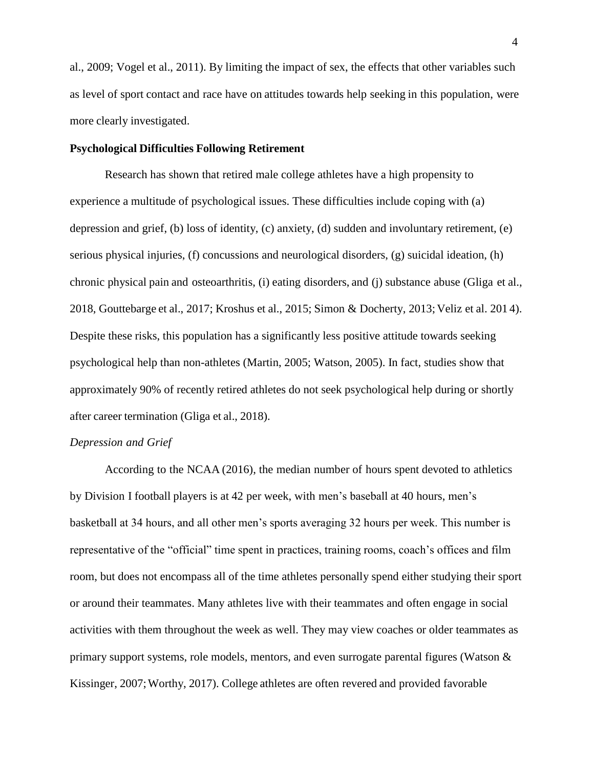al., 2009; Vogel et al., 2011). By limiting the impact of sex, the effects that other variables such as level of sport contact and race have on attitudes towards help seeking in this population, were more clearly investigated.

#### <span id="page-12-0"></span>**Psychological Difficulties Following Retirement**

Research has shown that retired male college athletes have a high propensity to experience a multitude of psychological issues. These difficulties include coping with (a) depression and grief, (b) loss of identity, (c) anxiety, (d) sudden and involuntary retirement, (e) serious physical injuries, (f) concussions and neurological disorders, (g) suicidal ideation, (h) chronic physical pain and osteoarthritis, (i) eating disorders, and (j) substance abuse (Gliga et al., 2018, Gouttebarge et al., 2017; Kroshus et al., 2015; Simon & Docherty, 2013; Veliz et al. 2014). Despite these risks, this population has a significantly less positive attitude towards seeking psychological help than non-athletes (Martin, 2005; Watson, 2005). In fact, studies show that approximately 90% of recently retired athletes do not seek psychological help during or shortly after career termination (Gliga et al., 2018).

#### *Depression and Grief*

According to the NCAA (2016), the median number of hours spent devoted to athletics by Division I football players is at 42 per week, with men's baseball at 40 hours, men's basketball at 34 hours, and all other men's sports averaging 32 hours per week. This number is representative of the "official" time spent in practices, training rooms, coach's offices and film room, but does not encompass all of the time athletes personally spend either studying their sport or around their teammates. Many athletes live with their teammates and often engage in social activities with them throughout the week as well. They may view coaches or older teammates as primary support systems, role models, mentors, and even surrogate parental figures (Watson  $\&$ Kissinger, 2007;Worthy, 2017). College athletes are often revered and provided favorable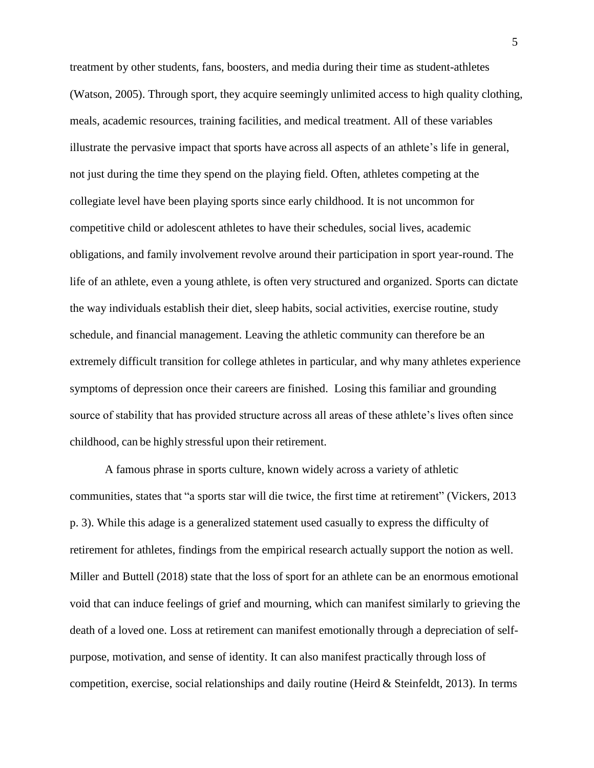treatment by other students, fans, boosters, and media during their time as student-athletes (Watson, 2005). Through sport, they acquire seemingly unlimited access to high quality clothing, meals, academic resources, training facilities, and medical treatment. All of these variables illustrate the pervasive impact that sports have across all aspects of an athlete's life in general, not just during the time they spend on the playing field. Often, athletes competing at the collegiate level have been playing sports since early childhood. It is not uncommon for competitive child or adolescent athletes to have their schedules, social lives, academic obligations, and family involvement revolve around their participation in sport year-round. The life of an athlete, even a young athlete, is often very structured and organized. Sports can dictate the way individuals establish their diet, sleep habits, social activities, exercise routine, study schedule, and financial management. Leaving the athletic community can therefore be an extremely difficult transition for college athletes in particular, and why many athletes experience symptoms of depression once their careers are finished. Losing this familiar and grounding source of stability that has provided structure across all areas of these athlete's lives often since childhood, can be highly stressful upon their retirement.

A famous phrase in sports culture, known widely across a variety of athletic communities, states that "a sports star will die twice, the first time at retirement" (Vickers, 2013 p. 3). While this adage is a generalized statement used casually to express the difficulty of retirement for athletes, findings from the empirical research actually support the notion as well. Miller and Buttell (2018) state that the loss of sport for an athlete can be an enormous emotional void that can induce feelings of grief and mourning, which can manifest similarly to grieving the death of a loved one. Loss at retirement can manifest emotionally through a depreciation of selfpurpose, motivation, and sense of identity. It can also manifest practically through loss of competition, exercise, social relationships and daily routine (Heird  $&$  Steinfeldt, 2013). In terms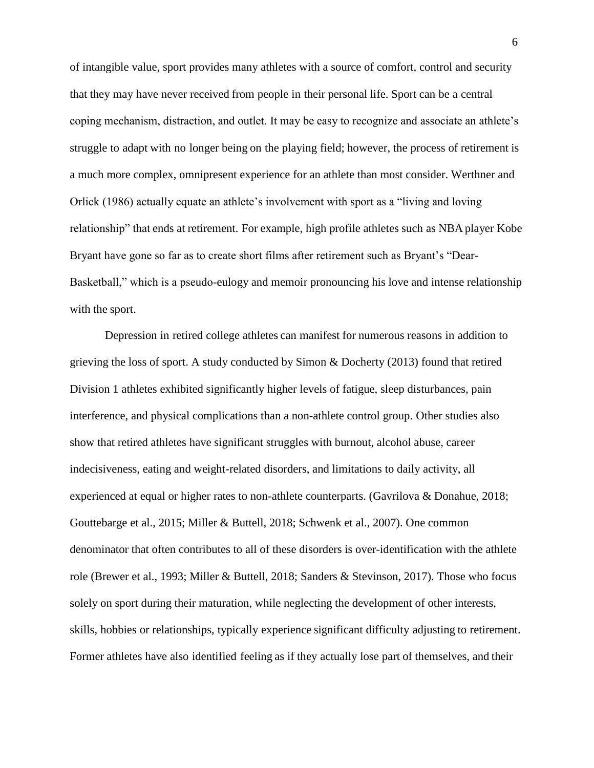of intangible value, sport provides many athletes with a source of comfort, control and security that they may have never received from people in their personal life. Sport can be a central coping mechanism, distraction, and outlet. It may be easy to recognize and associate an athlete's struggle to adapt with no longer being on the playing field; however, the process of retirement is a much more complex, omnipresent experience for an athlete than most consider. Werthner and Orlick (1986) actually equate an athlete's involvement with sport as a "living and loving relationship" that ends at retirement. For example, high profile athletes such as NBA player Kobe Bryant have gone so far as to create short films after retirement such as Bryant's "Dear-Basketball," which is a pseudo-eulogy and memoir pronouncing his love and intense relationship with the sport.

Depression in retired college athletes can manifest for numerous reasons in addition to grieving the loss of sport. A study conducted by Simon & Docherty (2013) found that retired Division 1 athletes exhibited significantly higher levels of fatigue, sleep disturbances, pain interference, and physical complications than a non-athlete control group. Other studies also show that retired athletes have significant struggles with burnout, alcohol abuse, career indecisiveness, eating and weight-related disorders, and limitations to daily activity, all experienced at equal or higher rates to non-athlete counterparts. (Gavrilova & Donahue, 2018; Gouttebarge et al., 2015; Miller & Buttell, 2018; Schwenk et al., 2007). One common denominator that often contributes to all of these disorders is over-identification with the athlete role (Brewer et al., 1993; Miller & Buttell, 2018; Sanders & Stevinson, 2017). Those who focus solely on sport during their maturation, while neglecting the development of other interests, skills, hobbies or relationships, typically experience significant difficulty adjusting to retirement. Former athletes have also identified feeling as if they actually lose part of themselves, and their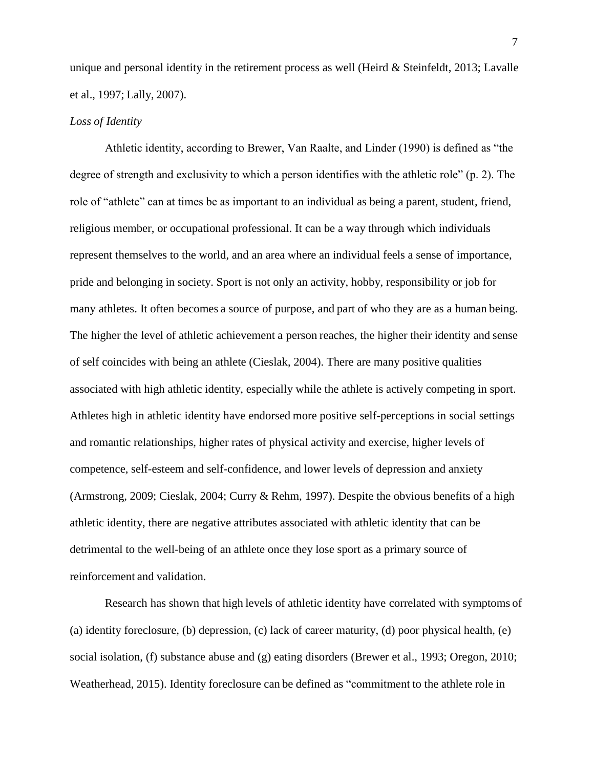unique and personal identity in the retirement process as well (Heird & Steinfeldt, 2013; Lavalle et al., 1997; Lally, 2007).

#### *Loss of Identity*

Athletic identity, according to Brewer, Van Raalte, and Linder (1990) is defined as "the degree of strength and exclusivity to which a person identifies with the athletic role" (p. 2). The role of "athlete" can at times be as important to an individual as being a parent, student, friend, religious member, or occupational professional. It can be a way through which individuals represent themselves to the world, and an area where an individual feels a sense of importance, pride and belonging in society. Sport is not only an activity, hobby, responsibility or job for many athletes. It often becomes a source of purpose, and part of who they are as a human being. The higher the level of athletic achievement a person reaches, the higher their identity and sense of self coincides with being an athlete (Cieslak, 2004). There are many positive qualities associated with high athletic identity, especially while the athlete is actively competing in sport. Athletes high in athletic identity have endorsed more positive self-perceptions in social settings and romantic relationships, higher rates of physical activity and exercise, higher levels of competence, self-esteem and self-confidence, and lower levels of depression and anxiety (Armstrong, 2009; Cieslak, 2004; Curry & Rehm, 1997). Despite the obvious benefits of a high athletic identity, there are negative attributes associated with athletic identity that can be detrimental to the well-being of an athlete once they lose sport as a primary source of reinforcement and validation.

Research has shown that high levels of athletic identity have correlated with symptoms of (a) identity foreclosure, (b) depression, (c) lack of career maturity, (d) poor physical health, (e) social isolation, (f) substance abuse and (g) eating disorders (Brewer et al., 1993; Oregon, 2010; Weatherhead, 2015). Identity foreclosure can be defined as "commitment to the athlete role in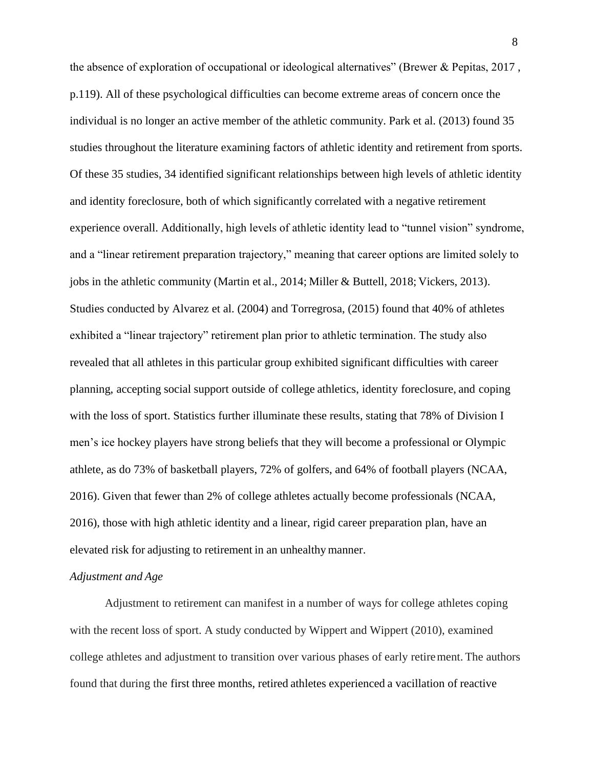the absence of exploration of occupational or ideological alternatives" (Brewer & Pepitas, 2017 , p.119). All of these psychological difficulties can become extreme areas of concern once the individual is no longer an active member of the athletic community. Park et al. (2013) found 35 studies throughout the literature examining factors of athletic identity and retirement from sports. Of these 35 studies, 34 identified significant relationships between high levels of athletic identity and identity foreclosure, both of which significantly correlated with a negative retirement experience overall. Additionally, high levels of athletic identity lead to "tunnel vision" syndrome, and a "linear retirement preparation trajectory," meaning that career options are limited solely to jobs in the athletic community (Martin et al., 2014; Miller & Buttell, 2018; Vickers, 2013). Studies conducted by Alvarez et al. (2004) and Torregrosa, (2015) found that 40% of athletes exhibited a "linear trajectory" retirement plan prior to athletic termination. The study also revealed that all athletes in this particular group exhibited significant difficulties with career planning, accepting social support outside of college athletics, identity foreclosure, and coping with the loss of sport. Statistics further illuminate these results, stating that 78% of Division I men's ice hockey players have strong beliefs that they will become a professional or Olympic athlete, as do 73% of basketball players, 72% of golfers, and 64% of football players (NCAA, 2016). Given that fewer than 2% of college athletes actually become professionals (NCAA, 2016), those with high athletic identity and a linear, rigid career preparation plan, have an elevated risk for adjusting to retirement in an unhealthymanner.

#### *Adjustment and Age*

Adjustment to retirement can manifest in a number of ways for college athletes coping with the recent loss of sport. A study conducted by Wippert and Wippert (2010), examined college athletes and adjustment to transition over various phases of early retirement. The authors found that during the first three months, retired athletes experienced a vacillation of reactive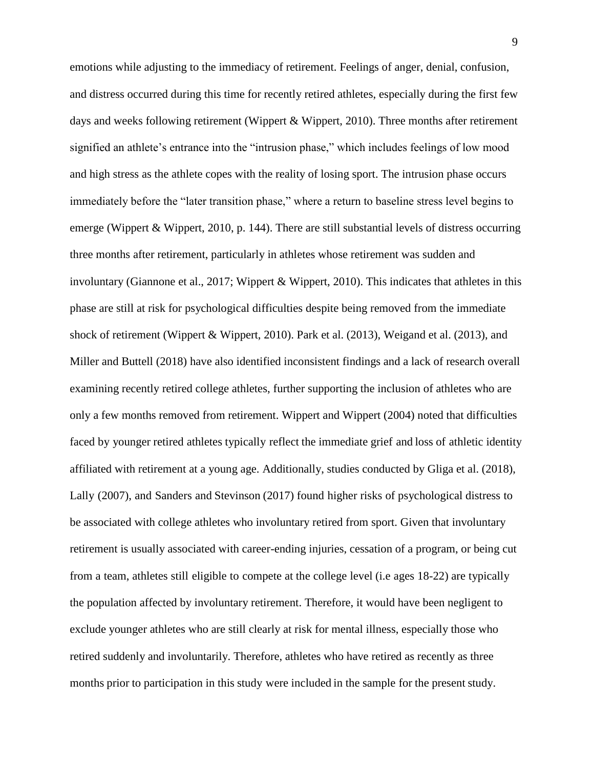emotions while adjusting to the immediacy of retirement. Feelings of anger, denial, confusion, and distress occurred during this time for recently retired athletes, especially during the first few days and weeks following retirement (Wippert & Wippert, 2010). Three months after retirement signified an athlete's entrance into the "intrusion phase," which includes feelings of low mood and high stress as the athlete copes with the reality of losing sport. The intrusion phase occurs immediately before the "later transition phase," where a return to baseline stress level begins to emerge (Wippert & Wippert, 2010, p. 144). There are still substantial levels of distress occurring three months after retirement, particularly in athletes whose retirement was sudden and involuntary (Giannone et al., 2017; Wippert & Wippert, 2010). This indicates that athletes in this phase are still at risk for psychological difficulties despite being removed from the immediate shock of retirement (Wippert & Wippert, 2010). Park et al. (2013), Weigand et al. (2013), and Miller and Buttell (2018) have also identified inconsistent findings and a lack of research overall examining recently retired college athletes, further supporting the inclusion of athletes who are only a few months removed from retirement. Wippert and Wippert (2004) noted that difficulties faced by younger retired athletes typically reflect the immediate grief and loss of athletic identity affiliated with retirement at a young age. Additionally, studies conducted by Gliga et al. (2018), Lally (2007), and Sanders and Stevinson (2017) found higher risks of psychological distress to be associated with college athletes who involuntary retired from sport. Given that involuntary retirement is usually associated with career-ending injuries, cessation of a program, or being cut from a team, athletes still eligible to compete at the college level (i.e ages 18-22) are typically the population affected by involuntary retirement. Therefore, it would have been negligent to exclude younger athletes who are still clearly at risk for mental illness, especially those who retired suddenly and involuntarily. Therefore, athletes who have retired as recently as three months prior to participation in this study were included in the sample for the present study.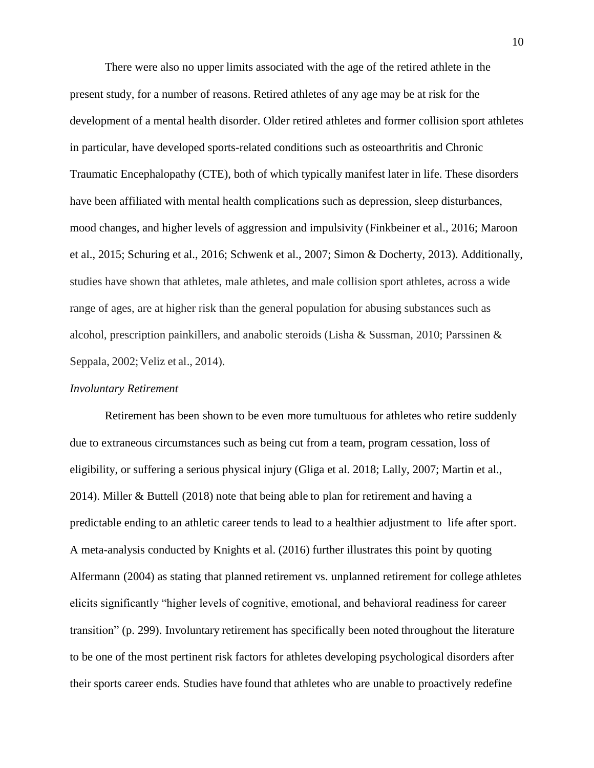There were also no upper limits associated with the age of the retired athlete in the present study, for a number of reasons. Retired athletes of any age may be at risk for the development of a mental health disorder. Older retired athletes and former collision sport athletes in particular, have developed sports-related conditions such as osteoarthritis and Chronic Traumatic Encephalopathy (CTE), both of which typically manifest later in life. These disorders have been affiliated with mental health complications such as depression, sleep disturbances, mood changes, and higher levels of aggression and impulsivity (Finkbeiner et al., 2016; Maroon et al., 2015; Schuring et al., 2016; Schwenk et al., 2007; Simon & Docherty, 2013). Additionally, studies have shown that athletes, male athletes, and male collision sport athletes, across a wide range of ages, are at higher risk than the general population for abusing substances such as alcohol, prescription painkillers, and anabolic steroids (Lisha & Sussman, 2010; Parssinen & Seppala, 2002; Veliz et al., 2014).

#### *Involuntary Retirement*

Retirement has been shown to be even more tumultuous for athletes who retire suddenly due to extraneous circumstances such as being cut from a team, program cessation, loss of eligibility, or suffering a serious physical injury (Gliga et al. 2018; Lally, 2007; Martin et al., 2014). Miller & Buttell (2018) note that being able to plan for retirement and having a predictable ending to an athletic career tends to lead to a healthier adjustment to life after sport. A meta-analysis conducted by Knights et al. (2016) further illustrates this point by quoting Alfermann (2004) as stating that planned retirement vs. unplanned retirement for college athletes elicits significantly "higher levels of cognitive, emotional, and behavioral readiness for career transition" (p. 299). Involuntary retirement has specifically been noted throughout the literature to be one of the most pertinent risk factors for athletes developing psychological disorders after their sports career ends. Studies have found that athletes who are unable to proactively redefine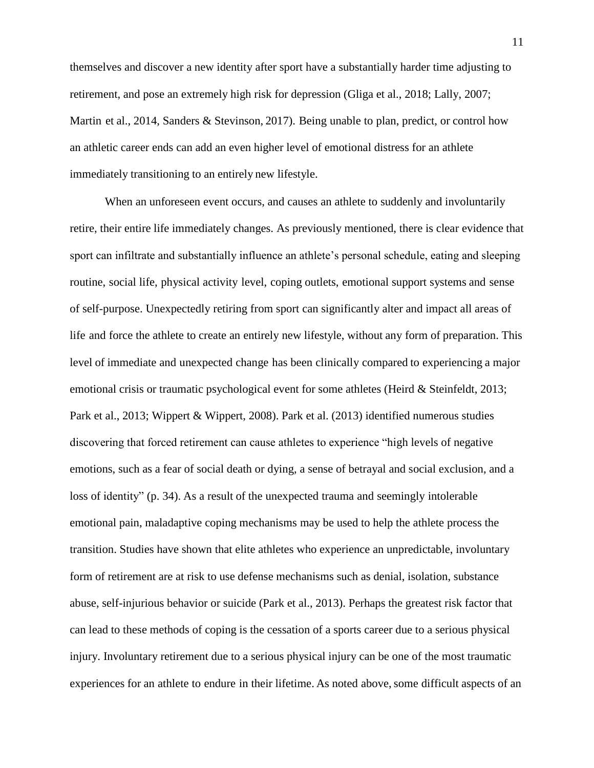themselves and discover a new identity after sport have a substantially harder time adjusting to retirement, and pose an extremely high risk for depression (Gliga et al., 2018; Lally, 2007; Martin et al., 2014, Sanders & Stevinson, 2017). Being unable to plan, predict, or control how an athletic career ends can add an even higher level of emotional distress for an athlete immediately transitioning to an entirely new lifestyle.

When an unforeseen event occurs, and causes an athlete to suddenly and involuntarily retire, their entire life immediately changes. As previously mentioned, there is clear evidence that sport can infiltrate and substantially influence an athlete's personal schedule, eating and sleeping routine, social life, physical activity level, coping outlets, emotional support systems and sense of self-purpose. Unexpectedly retiring from sport can significantly alter and impact all areas of life and force the athlete to create an entirely new lifestyle, without any form of preparation. This level of immediate and unexpected change has been clinically compared to experiencing a major emotional crisis or traumatic psychological event for some athletes (Heird & Steinfeldt, 2013; Park et al., 2013; Wippert & Wippert, 2008). Park et al. (2013) identified numerous studies discovering that forced retirement can cause athletes to experience "high levels of negative emotions, such as a fear of social death or dying, a sense of betrayal and social exclusion, and a loss of identity" (p. 34). As a result of the unexpected trauma and seemingly intolerable emotional pain, maladaptive coping mechanisms may be used to help the athlete process the transition. Studies have shown that elite athletes who experience an unpredictable, involuntary form of retirement are at risk to use defense mechanisms such as denial, isolation, substance abuse, self-injurious behavior or suicide (Park et al., 2013). Perhaps the greatest risk factor that can lead to these methods of coping is the cessation of a sports career due to a serious physical injury. Involuntary retirement due to a serious physical injury can be one of the most traumatic experiences for an athlete to endure in their lifetime. As noted above, some difficult aspects of an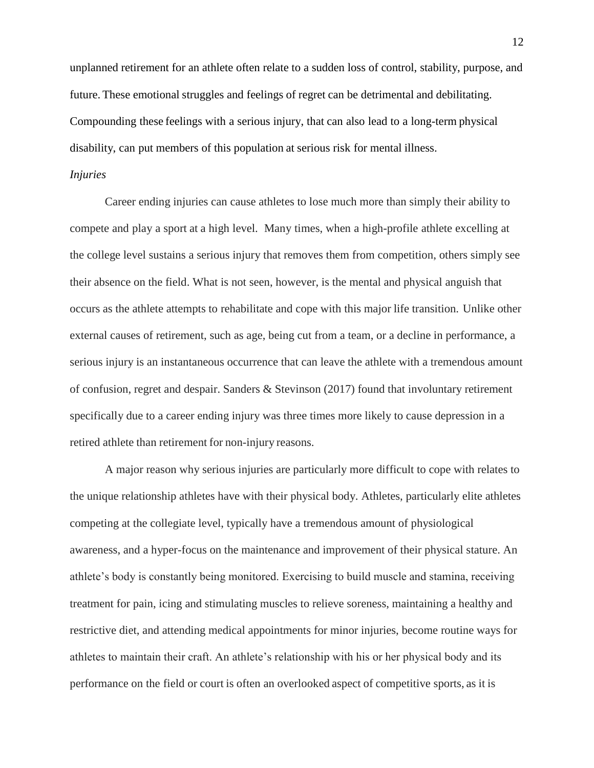unplanned retirement for an athlete often relate to a sudden loss of control, stability, purpose, and future. These emotional struggles and feelings of regret can be detrimental and debilitating. Compounding these feelings with a serious injury, that can also lead to a long-term physical disability, can put members of this population at serious risk for mental illness.

#### *Injuries*

Career ending injuries can cause athletes to lose much more than simply their ability to compete and play a sport at a high level. Many times, when a high-profile athlete excelling at the college level sustains a serious injury that removes them from competition, others simply see their absence on the field. What is not seen, however, is the mental and physical anguish that occurs as the athlete attempts to rehabilitate and cope with this major life transition. Unlike other external causes of retirement, such as age, being cut from a team, or a decline in performance, a serious injury is an instantaneous occurrence that can leave the athlete with a tremendous amount of confusion, regret and despair. Sanders & Stevinson (2017) found that involuntary retirement specifically due to a career ending injury was three times more likely to cause depression in a retired athlete than retirement for non-injury reasons.

A major reason why serious injuries are particularly more difficult to cope with relates to the unique relationship athletes have with their physical body. Athletes, particularly elite athletes competing at the collegiate level, typically have a tremendous amount of physiological awareness, and a hyper-focus on the maintenance and improvement of their physical stature. An athlete's body is constantly being monitored. Exercising to build muscle and stamina, receiving treatment for pain, icing and stimulating muscles to relieve soreness, maintaining a healthy and restrictive diet, and attending medical appointments for minor injuries, become routine ways for athletes to maintain their craft. An athlete's relationship with his or her physical body and its performance on the field or court is often an overlooked aspect of competitive sports, as it is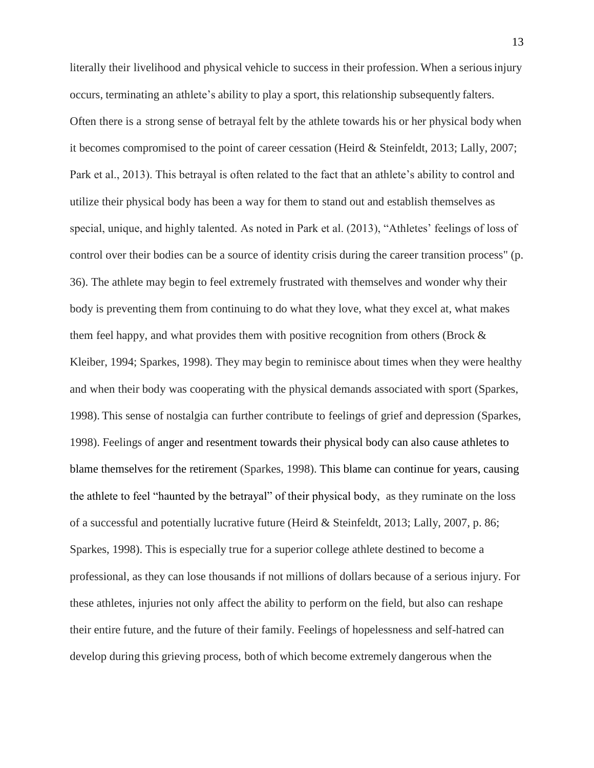literally their livelihood and physical vehicle to success in their profession. When a seriousinjury occurs, terminating an athlete's ability to play a sport, this relationship subsequently falters. Often there is a strong sense of betrayal felt by the athlete towards his or her physical body when it becomes compromised to the point of career cessation (Heird & Steinfeldt, 2013; Lally, 2007; Park et al., 2013). This betrayal is often related to the fact that an athlete's ability to control and utilize their physical body has been a way for them to stand out and establish themselves as special, unique, and highly talented. As noted in Park et al. (2013), "Athletes' feelings of loss of control over their bodies can be a source of identity crisis during the career transition process" (p. 36). The athlete may begin to feel extremely frustrated with themselves and wonder why their body is preventing them from continuing to do what they love, what they excel at, what makes them feel happy, and what provides them with positive recognition from others (Brock & Kleiber, 1994; Sparkes, 1998). They may begin to reminisce about times when they were healthy and when their body was cooperating with the physical demands associated with sport (Sparkes, 1998). This sense of nostalgia can further contribute to feelings of grief and depression (Sparkes, 1998). Feelings of anger and resentment towards their physical body can also cause athletes to blame themselves for the retirement (Sparkes, 1998). This blame can continue for years, causing the athlete to feel "haunted by the betrayal" of their physical body, as they ruminate on the loss of a successful and potentially lucrative future (Heird & Steinfeldt, 2013; Lally, 2007, p. 86; Sparkes, 1998). This is especially true for a superior college athlete destined to become a professional, as they can lose thousands if not millions of dollars because of a serious injury. For these athletes, injuries not only affect the ability to perform on the field, but also can reshape their entire future, and the future of their family. Feelings of hopelessness and self-hatred can develop during this grieving process, both of which become extremely dangerous when the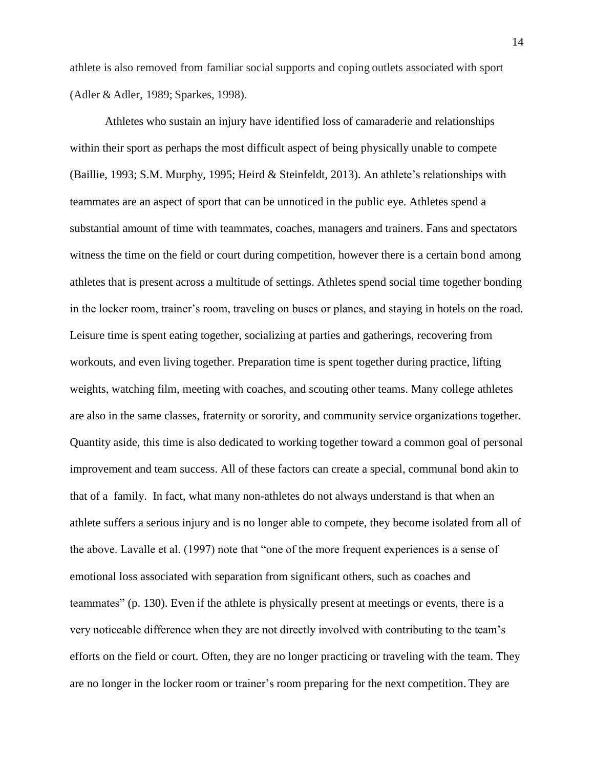athlete is also removed from familiar social supports and coping outlets associated with sport (Adler & Adler, 1989; Sparkes, 1998).

Athletes who sustain an injury have identified loss of camaraderie and relationships within their sport as perhaps the most difficult aspect of being physically unable to compete (Baillie, 1993; S.M. Murphy, 1995; Heird & Steinfeldt, 2013). An athlete's relationships with teammates are an aspect of sport that can be unnoticed in the public eye. Athletes spend a substantial amount of time with teammates, coaches, managers and trainers. Fans and spectators witness the time on the field or court during competition, however there is a certain bond among athletes that is present across a multitude of settings. Athletes spend social time together bonding in the locker room, trainer's room, traveling on buses or planes, and staying in hotels on the road. Leisure time is spent eating together, socializing at parties and gatherings, recovering from workouts, and even living together. Preparation time is spent together during practice, lifting weights, watching film, meeting with coaches, and scouting other teams. Many college athletes are also in the same classes, fraternity or sorority, and community service organizations together. Quantity aside, this time is also dedicated to working together toward a common goal of personal improvement and team success. All of these factors can create a special, communal bond akin to that of a family. In fact, what many non-athletes do not always understand is that when an athlete suffers a serious injury and is no longer able to compete, they become isolated from all of the above. Lavalle et al. (1997) note that "one of the more frequent experiences is a sense of emotional loss associated with separation from significant others, such as coaches and teammates" (p. 130). Even if the athlete is physically present at meetings or events, there is a very noticeable difference when they are not directly involved with contributing to the team's efforts on the field or court. Often, they are no longer practicing or traveling with the team. They are no longer in the locker room or trainer's room preparing for the next competition. They are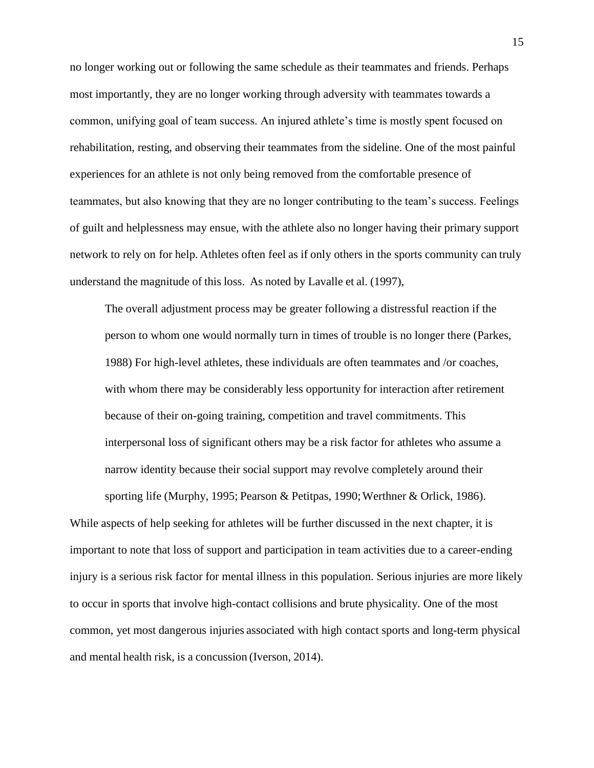no longer working out or following the same schedule as their teammates and friends. Perhaps most importantly, they are no longer working through adversity with teammates towards a common, unifying goal of team success. An injured athlete's time is mostly spent focused on rehabilitation, resting, and observing their teammates from the sideline. One of the most painful experiences for an athlete is not only being removed from the comfortable presence of teammates, but also knowing that they are no longer contributing to the team's success. Feelings of guilt and helplessness may ensue, with the athlete also no longer having their primary support network to rely on for help. Athletes often feel as if only others in the sports community can truly understand the magnitude of this loss. As noted by Lavalle et al. (1997),

The overall adjustment process may be greater following a distressful reaction if the person to whom one would normally turn in times of trouble is no longer there (Parkes, 1988) For high-level athletes, these individuals are often teammates and /or coaches, with whom there may be considerably less opportunity for interaction after retirement because of their on-going training, competition and travel commitments. This interpersonal loss of significant others may be a risk factor for athletes who assume a narrow identity because their social support may revolve completely around their sporting life (Murphy, 1995; Pearson & Petitpas, 1990; Werthner & Orlick, 1986).

While aspects of help seeking for athletes will be further discussed in the next chapter, it is important to note that loss of support and participation in team activities due to a career-ending injury is a serious risk factor for mental illness in this population. Serious injuries are more likely to occur in sports that involve high-contact collisions and brute physicality. One of the most common, yet most dangerous injuries associated with high contact sports and long-term physical and mental health risk, is a concussion (Iverson, 2014).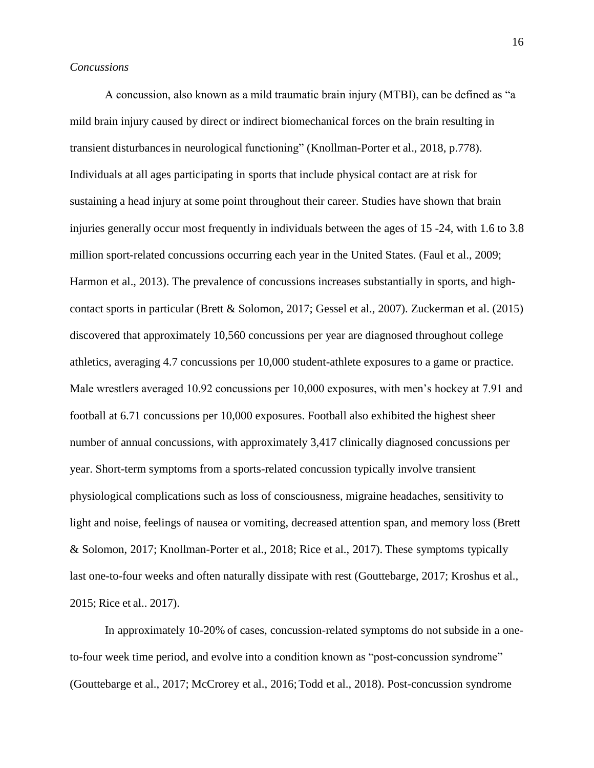#### *Concussions*

A concussion, also known as a mild traumatic brain injury (MTBI), can be defined as "a mild brain injury caused by direct or indirect biomechanical forces on the brain resulting in transient disturbancesin neurological functioning" (Knollman-Porter et al., 2018, p.778). Individuals at all ages participating in sports that include physical contact are at risk for sustaining a head injury at some point throughout their career. Studies have shown that brain injuries generally occur most frequently in individuals between the ages of 15 -24, with 1.6 to 3.8 million sport-related concussions occurring each year in the United States. (Faul et al., 2009; Harmon et al., 2013). The prevalence of concussions increases substantially in sports, and highcontact sports in particular (Brett & Solomon, 2017; Gessel et al., 2007). Zuckerman et al. (2015) discovered that approximately 10,560 concussions per year are diagnosed throughout college athletics, averaging 4.7 concussions per 10,000 student-athlete exposures to a game or practice. Male wrestlers averaged 10.92 concussions per 10,000 exposures, with men's hockey at 7.91 and football at 6.71 concussions per 10,000 exposures. Football also exhibited the highest sheer number of annual concussions, with approximately 3,417 clinically diagnosed concussions per year. Short-term symptoms from a sports-related concussion typically involve transient physiological complications such as loss of consciousness, migraine headaches, sensitivity to light and noise, feelings of nausea or vomiting, decreased attention span, and memory loss (Brett & Solomon, 2017; Knollman-Porter et al., 2018; Rice et al., 2017). These symptoms typically last one-to-four weeks and often naturally dissipate with rest (Gouttebarge, 2017; Kroshus et al., 2015; Rice et al.. 2017).

In approximately 10-20% of cases, concussion-related symptoms do not subside in a oneto-four week time period, and evolve into a condition known as "post-concussion syndrome" (Gouttebarge et al., 2017; McCrorey et al., 2016;Todd et al., 2018). Post-concussion syndrome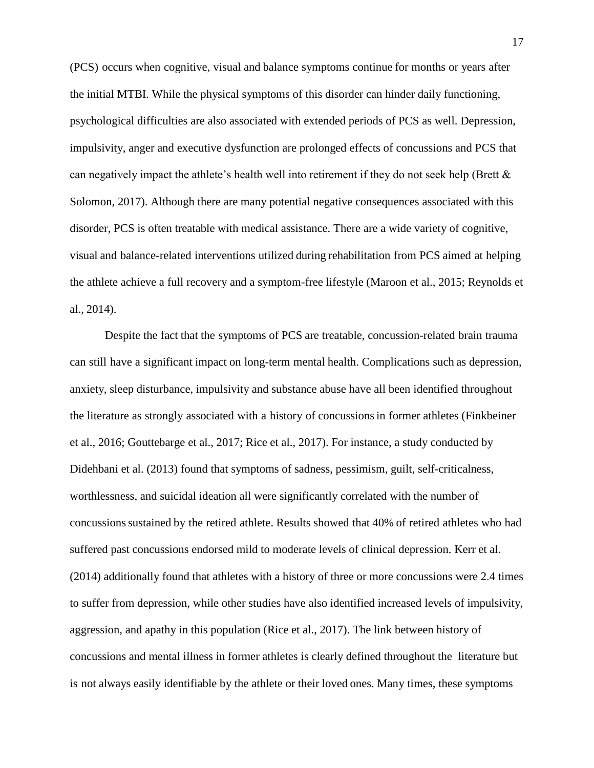(PCS) occurs when cognitive, visual and balance symptoms continue for months or years after the initial MTBI. While the physical symptoms of this disorder can hinder daily functioning, psychological difficulties are also associated with extended periods of PCS as well. Depression, impulsivity, anger and executive dysfunction are prolonged effects of concussions and PCS that can negatively impact the athlete's health well into retirement if they do not seek help (Brett & Solomon, 2017). Although there are many potential negative consequences associated with this disorder, PCS is often treatable with medical assistance. There are a wide variety of cognitive, visual and balance-related interventions utilized during rehabilitation from PCS aimed at helping the athlete achieve a full recovery and a symptom-free lifestyle (Maroon et al., 2015; Reynolds et al., 2014).

Despite the fact that the symptoms of PCS are treatable, concussion-related brain trauma can still have a significant impact on long-term mental health. Complications such as depression, anxiety, sleep disturbance, impulsivity and substance abuse have all been identified throughout the literature as strongly associated with a history of concussionsin former athletes (Finkbeiner et al., 2016; Gouttebarge et al., 2017; Rice et al., 2017). For instance, a study conducted by Didehbani et al. (2013) found that symptoms of sadness, pessimism, guilt, self-criticalness, worthlessness, and suicidal ideation all were significantly correlated with the number of concussions sustained by the retired athlete. Results showed that 40% of retired athletes who had suffered past concussions endorsed mild to moderate levels of clinical depression. Kerr et al. (2014) additionally found that athletes with a history of three or more concussions were 2.4 times to suffer from depression, while other studies have also identified increased levels of impulsivity, aggression, and apathy in this population (Rice et al., 2017). The link between history of concussions and mental illness in former athletes is clearly defined throughout the literature but is not always easily identifiable by the athlete or their loved ones. Many times, these symptoms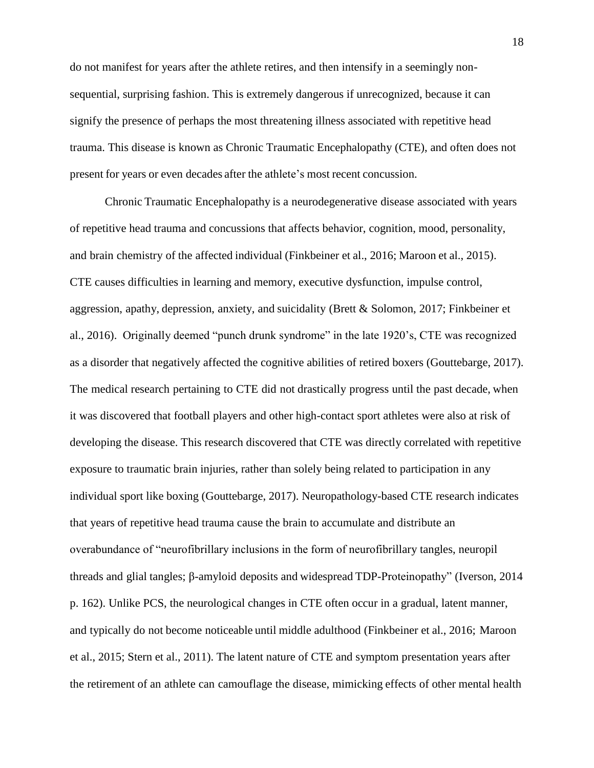do not manifest for years after the athlete retires, and then intensify in a seemingly nonsequential, surprising fashion. This is extremely dangerous if unrecognized, because it can signify the presence of perhaps the most threatening illness associated with repetitive head trauma. This disease is known as Chronic Traumatic Encephalopathy (CTE), and often does not present for years or even decades after the athlete's most recent concussion.

Chronic Traumatic Encephalopathy is a neurodegenerative disease associated with years of repetitive head trauma and concussions that affects behavior, cognition, mood, personality, and brain chemistry of the affected individual (Finkbeiner et al., 2016; Maroon et al., 2015). CTE causes difficulties in learning and memory, executive dysfunction, impulse control, aggression, apathy, depression, anxiety, and suicidality (Brett & Solomon, 2017; Finkbeiner et al., 2016). Originally deemed "punch drunk syndrome" in the late 1920's, CTE was recognized as a disorder that negatively affected the cognitive abilities of retired boxers (Gouttebarge, 2017). The medical research pertaining to CTE did not drastically progress until the past decade, when it was discovered that football players and other high-contact sport athletes were also at risk of developing the disease. This research discovered that CTE was directly correlated with repetitive exposure to traumatic brain injuries, rather than solely being related to participation in any individual sport like boxing (Gouttebarge, 2017). Neuropathology-based CTE research indicates that years of repetitive head trauma cause the brain to accumulate and distribute an overabundance of "neurofibrillary inclusions in the form of neurofibrillary tangles, neuropil threads and glial tangles; β-amyloid deposits and widespread TDP-Proteinopathy" (Iverson, 2014 p. 162). Unlike PCS, the neurological changes in CTE often occur in a gradual, latent manner, and typically do not become noticeable until middle adulthood (Finkbeiner et al., 2016; Maroon et al., 2015; Stern et al., 2011). The latent nature of CTE and symptom presentation years after the retirement of an athlete can camouflage the disease, mimicking effects of other mental health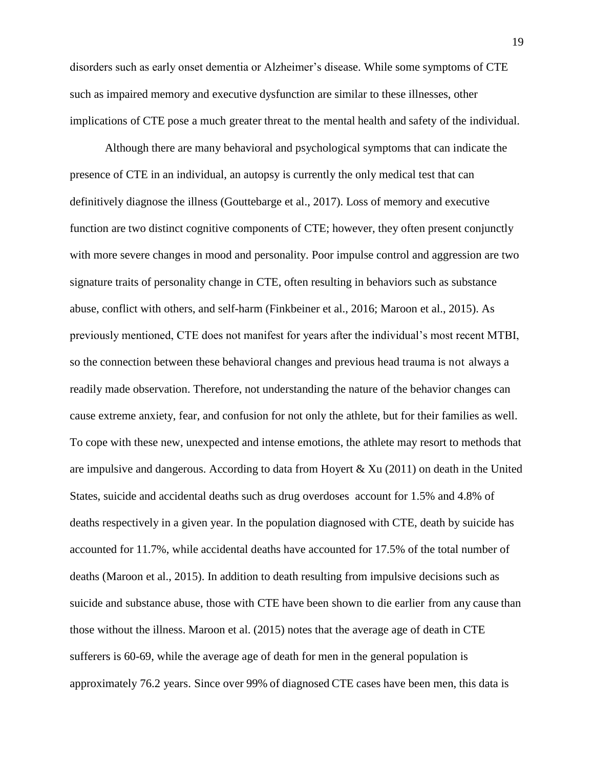disorders such as early onset dementia or Alzheimer's disease. While some symptoms of CTE such as impaired memory and executive dysfunction are similar to these illnesses, other implications of CTE pose a much greater threat to the mental health and safety of the individual.

Although there are many behavioral and psychological symptoms that can indicate the presence of CTE in an individual, an autopsy is currently the only medical test that can definitively diagnose the illness (Gouttebarge et al., 2017). Loss of memory and executive function are two distinct cognitive components of CTE; however, they often present conjunctly with more severe changes in mood and personality. Poor impulse control and aggression are two signature traits of personality change in CTE, often resulting in behaviors such as substance abuse, conflict with others, and self-harm (Finkbeiner et al., 2016; Maroon et al., 2015). As previously mentioned, CTE does not manifest for years after the individual's most recent MTBI, so the connection between these behavioral changes and previous head trauma is not always a readily made observation. Therefore, not understanding the nature of the behavior changes can cause extreme anxiety, fear, and confusion for not only the athlete, but for their families as well. To cope with these new, unexpected and intense emotions, the athlete may resort to methods that are impulsive and dangerous. According to data from Hoyert & Xu (2011) on death in the United States, suicide and accidental deaths such as drug overdoses account for 1.5% and 4.8% of deaths respectively in a given year. In the population diagnosed with CTE, death by suicide has accounted for 11.7%, while accidental deaths have accounted for 17.5% of the total number of deaths (Maroon et al., 2015). In addition to death resulting from impulsive decisions such as suicide and substance abuse, those with CTE have been shown to die earlier from any cause than those without the illness. Maroon et al. (2015) notes that the average age of death in CTE sufferers is 60-69, while the average age of death for men in the general population is approximately 76.2 years. Since over 99% of diagnosed CTE cases have been men, this data is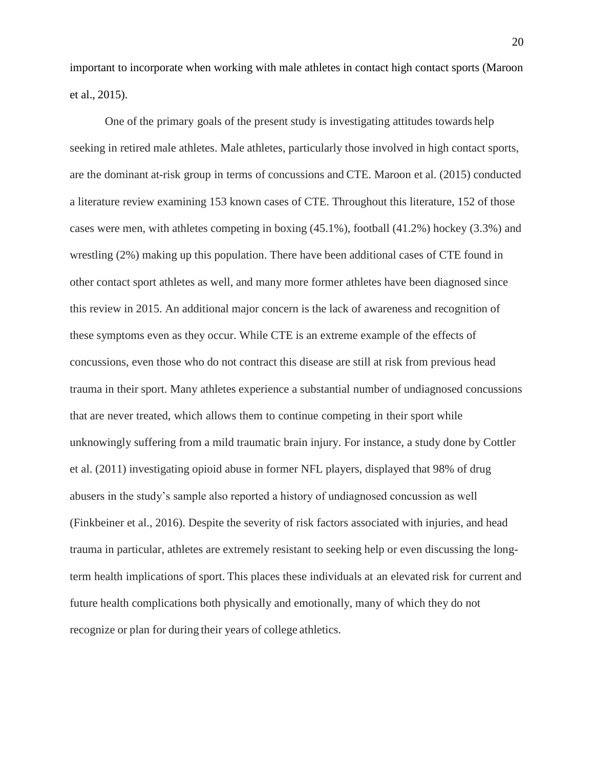important to incorporate when working with male athletes in contact high contact sports (Maroon et al., 2015).

One of the primary goals of the present study is investigating attitudes towards help seeking in retired male athletes. Male athletes, particularly those involved in high contact sports, are the dominant at-risk group in terms of concussions and CTE. Maroon et al. (2015) conducted a literature review examining 153 known cases of CTE. Throughout this literature, 152 of those cases were men, with athletes competing in boxing (45.1%), football (41.2%) hockey (3.3%) and wrestling (2%) making up this population. There have been additional cases of CTE found in other contact sport athletes as well, and many more former athletes have been diagnosed since this review in 2015. An additional major concern is the lack of awareness and recognition of these symptoms even as they occur. While CTE is an extreme example of the effects of concussions, even those who do not contract this disease are still at risk from previous head trauma in their sport. Many athletes experience a substantial number of undiagnosed concussions that are never treated, which allows them to continue competing in their sport while unknowingly suffering from a mild traumatic brain injury. For instance, a study done by Cottler et al. (2011) investigating opioid abuse in former NFL players, displayed that 98% of drug abusers in the study's sample also reported a history of undiagnosed concussion as well (Finkbeiner et al., 2016). Despite the severity of risk factors associated with injuries, and head trauma in particular, athletes are extremely resistant to seeking help or even discussing the longterm health implications of sport. This places these individuals at an elevated risk for current and future health complications both physically and emotionally, many of which they do not recognize or plan for during their years of college athletics.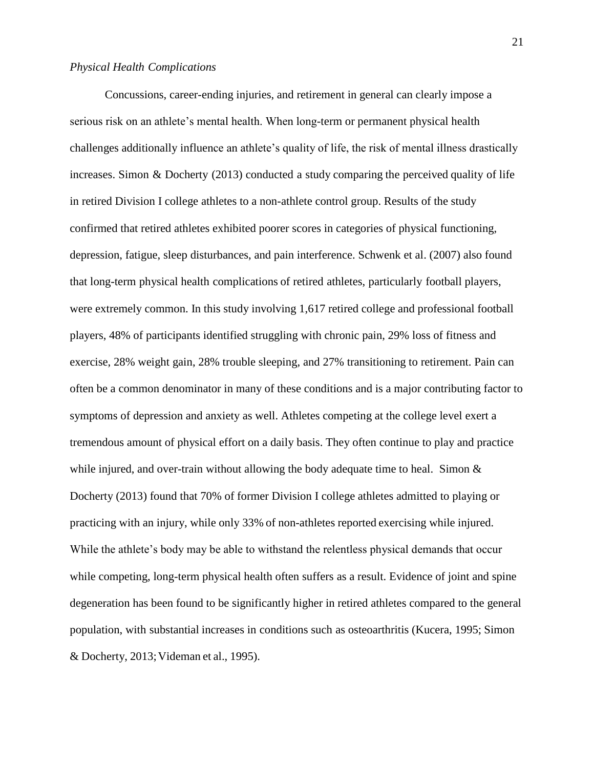#### *Physical Health Complications*

Concussions, career-ending injuries, and retirement in general can clearly impose a serious risk on an athlete's mental health. When long-term or permanent physical health challenges additionally influence an athlete's quality of life, the risk of mental illness drastically increases. Simon & Docherty (2013) conducted a study comparing the perceived quality of life in retired Division I college athletes to a non-athlete control group. Results of the study confirmed that retired athletes exhibited poorer scores in categories of physical functioning, depression, fatigue, sleep disturbances, and pain interference. Schwenk et al. (2007) also found that long-term physical health complications of retired athletes, particularly football players, were extremely common. In this study involving 1,617 retired college and professional football players, 48% of participants identified struggling with chronic pain, 29% loss of fitness and exercise, 28% weight gain, 28% trouble sleeping, and 27% transitioning to retirement. Pain can often be a common denominator in many of these conditions and is a major contributing factor to symptoms of depression and anxiety as well. Athletes competing at the college level exert a tremendous amount of physical effort on a daily basis. They often continue to play and practice while injured, and over-train without allowing the body adequate time to heal. Simon  $\&$ Docherty (2013) found that 70% of former Division I college athletes admitted to playing or practicing with an injury, while only 33% of non-athletes reported exercising while injured. While the athlete's body may be able to withstand the relentless physical demands that occur while competing, long-term physical health often suffers as a result. Evidence of joint and spine degeneration has been found to be significantly higher in retired athletes compared to the general population, with substantial increases in conditions such as osteoarthritis (Kucera, 1995; Simon & Docherty, 2013;Videman et al., 1995).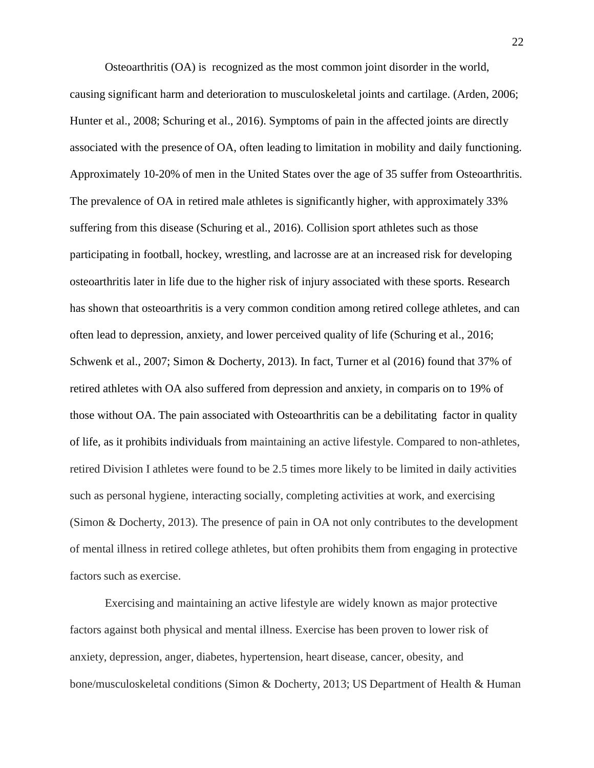Osteoarthritis (OA) is recognized as the most common joint disorder in the world, causing significant harm and deterioration to musculoskeletal joints and cartilage. (Arden, 2006; Hunter et al., 2008; Schuring et al., 2016). Symptoms of pain in the affected joints are directly associated with the presence of OA, often leading to limitation in mobility and daily functioning. Approximately 10-20% of men in the United States over the age of 35 suffer from Osteoarthritis. The prevalence of OA in retired male athletes is significantly higher, with approximately 33% suffering from this disease (Schuring et al., 2016). Collision sport athletes such as those participating in football, hockey, wrestling, and lacrosse are at an increased risk for developing osteoarthritis later in life due to the higher risk of injury associated with these sports. Research has shown that osteoarthritis is a very common condition among retired college athletes, and can often lead to depression, anxiety, and lower perceived quality of life (Schuring et al., 2016; Schwenk et al., 2007; Simon & Docherty, 2013). In fact, Turner et al (2016) found that 37% of retired athletes with OA also suffered from depression and anxiety, in comparis on to 19% of those without OA. The pain associated with Osteoarthritis can be a debilitating factor in quality of life, as it prohibits individuals from maintaining an active lifestyle. Compared to non-athletes, retired Division I athletes were found to be 2.5 times more likely to be limited in daily activities such as personal hygiene, interacting socially, completing activities at work, and exercising (Simon & Docherty, 2013). The presence of pain in OA not only contributes to the development of mental illness in retired college athletes, but often prohibits them from engaging in protective factors such as exercise.

Exercising and maintaining an active lifestyle are widely known as major protective factors against both physical and mental illness. Exercise has been proven to lower risk of anxiety, depression, anger, diabetes, hypertension, heart disease, cancer, obesity, and bone/musculoskeletal conditions (Simon & Docherty, 2013; US Department of Health & Human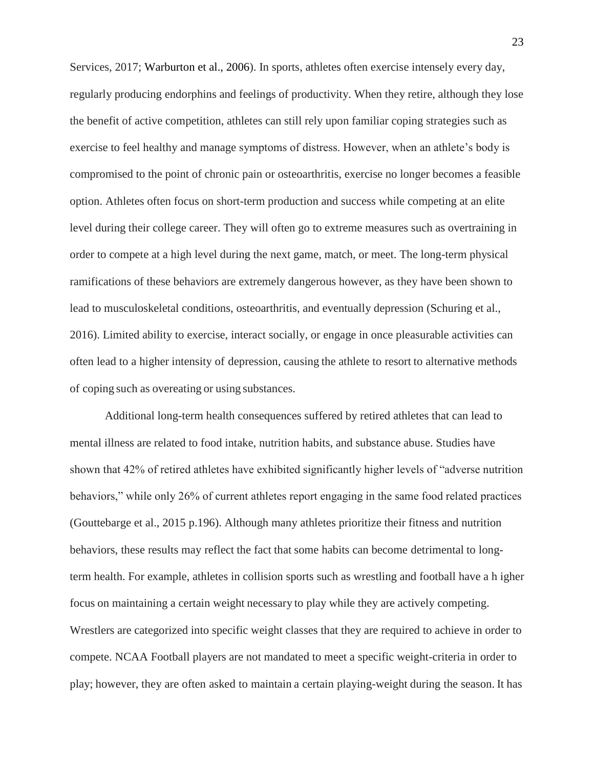Services, 2017; Warburton et al., 2006). In sports, athletes often exercise intensely every day, regularly producing endorphins and feelings of productivity. When they retire, although they lose the benefit of active competition, athletes can still rely upon familiar coping strategies such as exercise to feel healthy and manage symptoms of distress. However, when an athlete's body is compromised to the point of chronic pain or osteoarthritis, exercise no longer becomes a feasible option. Athletes often focus on short-term production and success while competing at an elite level during their college career. They will often go to extreme measures such as overtraining in order to compete at a high level during the next game, match, or meet. The long-term physical ramifications of these behaviors are extremely dangerous however, as they have been shown to lead to musculoskeletal conditions, osteoarthritis, and eventually depression (Schuring et al., 2016). Limited ability to exercise, interact socially, or engage in once pleasurable activities can often lead to a higher intensity of depression, causing the athlete to resort to alternative methods of coping such as overeating or using substances.

Additional long-term health consequences suffered by retired athletes that can lead to mental illness are related to food intake, nutrition habits, and substance abuse. Studies have shown that 42% of retired athletes have exhibited significantly higher levels of "adverse nutrition behaviors," while only 26% of current athletes report engaging in the same food related practices (Gouttebarge et al., 2015 p.196). Although many athletes prioritize their fitness and nutrition behaviors, these results may reflect the fact that some habits can become detrimental to longterm health. For example, athletes in collision sports such as wrestling and football have a h igher focus on maintaining a certain weight necessary to play while they are actively competing. Wrestlers are categorized into specific weight classes that they are required to achieve in order to compete. NCAA Football players are not mandated to meet a specific weight-criteria in order to play; however, they are often asked to maintain a certain playing-weight during the season. It has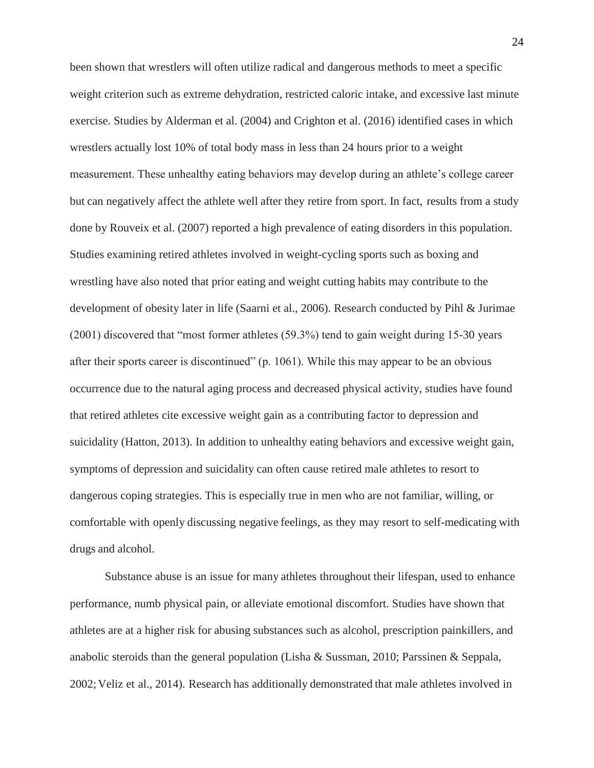been shown that wrestlers will often utilize radical and dangerous methods to meet a specific weight criterion such as extreme dehydration, restricted caloric intake, and excessive last minute exercise. Studies by Alderman et al. (2004) and Crighton et al. (2016) identified cases in which wrestlers actually lost 10% of total body mass in less than 24 hours prior to a weight measurement. These unhealthy eating behaviors may develop during an athlete's college career but can negatively affect the athlete well after they retire from sport. In fact, results from a study done by Rouveix et al. (2007) reported a high prevalence of eating disorders in this population. Studies examining retired athletes involved in weight-cycling sports such as boxing and wrestling have also noted that prior eating and weight cutting habits may contribute to the development of obesity later in life (Saarni et al., 2006). Research conducted by Pihl & Jurimae (2001) discovered that "most former athletes (59.3%) tend to gain weight during 15-30 years after their sports career is discontinued" (p. 1061). While this may appear to be an obvious occurrence due to the natural aging process and decreased physical activity, studies have found that retired athletes cite excessive weight gain as a contributing factor to depression and suicidality (Hatton, 2013). In addition to unhealthy eating behaviors and excessive weight gain, symptoms of depression and suicidality can often cause retired male athletes to resort to dangerous coping strategies. This is especially true in men who are not familiar, willing, or comfortable with openly discussing negative feelings, as they may resort to self-medicating with drugs and alcohol.

Substance abuse is an issue for many athletes throughout their lifespan, used to enhance performance, numb physical pain, or alleviate emotional discomfort. Studies have shown that athletes are at a higher risk for abusing substances such as alcohol, prescription painkillers, and anabolic steroids than the general population (Lisha & Sussman, 2010; Parssinen & Seppala, 2002;Veliz et al., 2014). Research has additionally demonstrated that male athletes involved in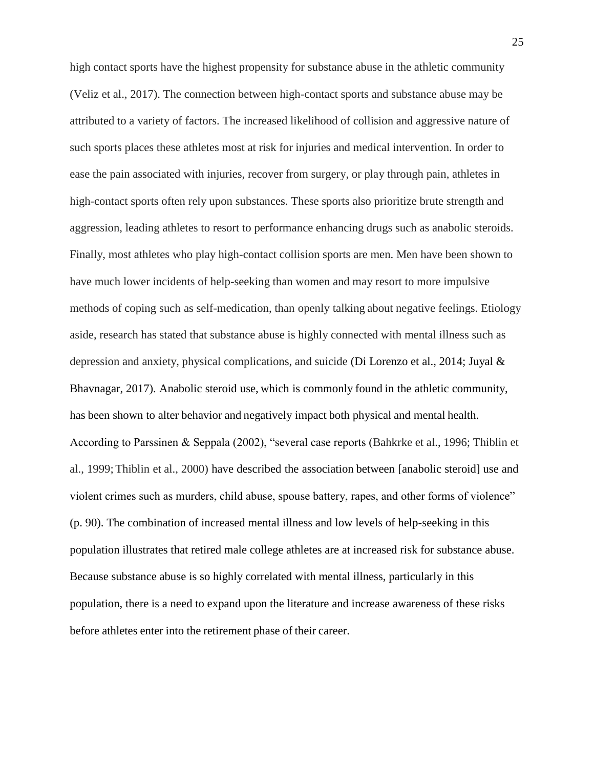high contact sports have the highest propensity for substance abuse in the athletic community (Veliz et al., 2017). The connection between high-contact sports and substance abuse may be attributed to a variety of factors. The increased likelihood of collision and aggressive nature of such sports places these athletes most at risk for injuries and medical intervention. In order to ease the pain associated with injuries, recover from surgery, or play through pain, athletes in high-contact sports often rely upon substances. These sports also prioritize brute strength and aggression, leading athletes to resort to performance enhancing drugs such as anabolic steroids. Finally, most athletes who play high-contact collision sports are men. Men have been shown to have much lower incidents of help-seeking than women and may resort to more impulsive methods of coping such as self-medication, than openly talking about negative feelings. Etiology aside, research has stated that substance abuse is highly connected with mental illness such as depression and anxiety, physical complications, and suicide (Di Lorenzo et al., 2014; Juyal & Bhavnagar, 2017). Anabolic steroid use, which is commonly found in the athletic community, has been shown to alter behavior and negatively impact both physical and mental health. According to Parssinen & Seppala (2002), "several case reports (Bahkrke et al., 1996; Thiblin et al., 1999;Thiblin et al., 2000) have described the association between [anabolic steroid] use and violent crimes such as murders, child abuse, spouse battery, rapes, and other forms of violence" (p. 90). The combination of increased mental illness and low levels of help-seeking in this population illustrates that retired male college athletes are at increased risk for substance abuse. Because substance abuse is so highly correlated with mental illness, particularly in this population, there is a need to expand upon the literature and increase awareness of these risks before athletes enter into the retirement phase of their career.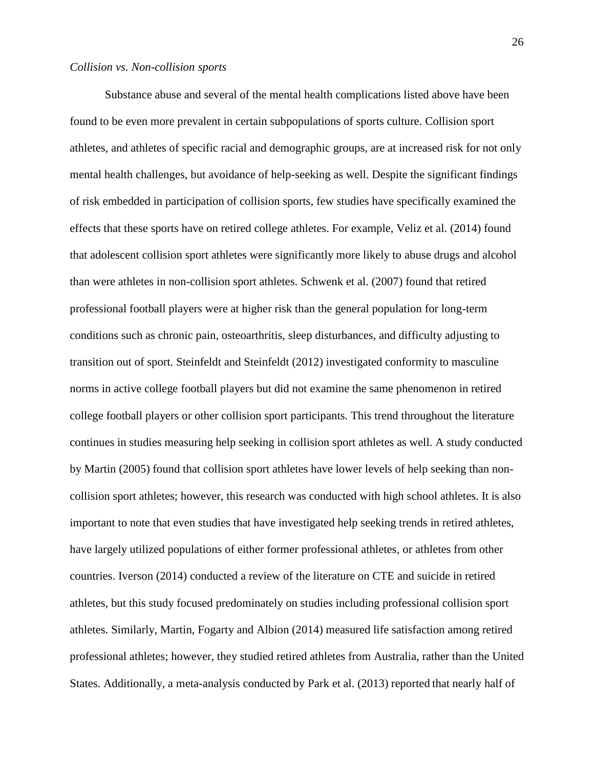Substance abuse and several of the mental health complications listed above have been found to be even more prevalent in certain subpopulations of sports culture. Collision sport athletes, and athletes of specific racial and demographic groups, are at increased risk for not only mental health challenges, but avoidance of help-seeking as well. Despite the significant findings of risk embedded in participation of collision sports, few studies have specifically examined the effects that these sports have on retired college athletes. For example, Veliz et al. (2014) found that adolescent collision sport athletes were significantly more likely to abuse drugs and alcohol than were athletes in non-collision sport athletes. Schwenk et al. (2007) found that retired professional football players were at higher risk than the general population for long-term conditions such as chronic pain, osteoarthritis, sleep disturbances, and difficulty adjusting to transition out of sport. Steinfeldt and Steinfeldt (2012) investigated conformity to masculine norms in active college football players but did not examine the same phenomenon in retired college football players or other collision sport participants. This trend throughout the literature continues in studies measuring help seeking in collision sport athletes as well. A study conducted by Martin (2005) found that collision sport athletes have lower levels of help seeking than noncollision sport athletes; however, this research was conducted with high school athletes. It is also important to note that even studies that have investigated help seeking trends in retired athletes, have largely utilized populations of either former professional athletes, or athletes from other countries. Iverson (2014) conducted a review of the literature on CTE and suicide in retired athletes, but this study focused predominately on studies including professional collision sport athletes. Similarly, Martin, Fogarty and Albion (2014) measured life satisfaction among retired professional athletes; however, they studied retired athletes from Australia, rather than the United States. Additionally, a meta-analysis conducted by Park et al. (2013) reported that nearly half of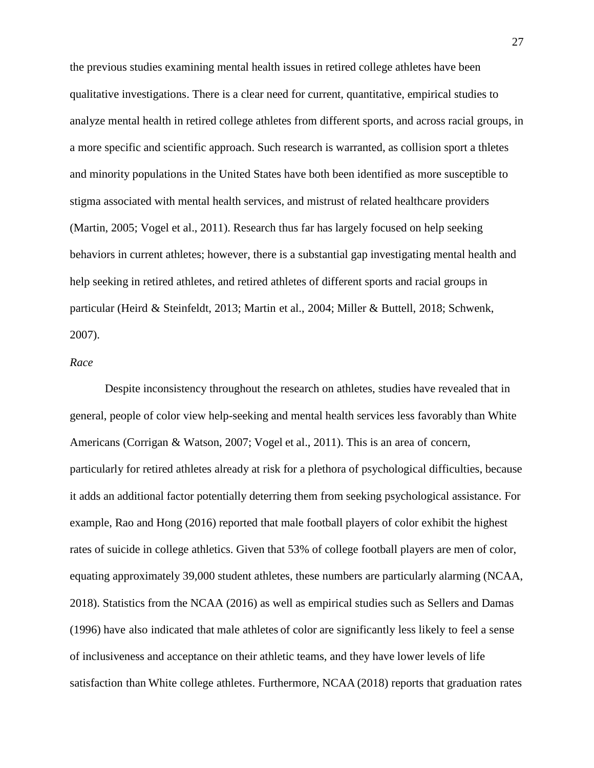the previous studies examining mental health issues in retired college athletes have been qualitative investigations. There is a clear need for current, quantitative, empirical studies to analyze mental health in retired college athletes from different sports, and across racial groups, in a more specific and scientific approach. Such research is warranted, as collision sport a thletes and minority populations in the United States have both been identified as more susceptible to stigma associated with mental health services, and mistrust of related healthcare providers (Martin, 2005; Vogel et al., 2011). Research thus far has largely focused on help seeking behaviors in current athletes; however, there is a substantial gap investigating mental health and help seeking in retired athletes, and retired athletes of different sports and racial groups in particular (Heird & Steinfeldt, 2013; Martin et al., 2004; Miller & Buttell, 2018; Schwenk, 2007).

#### *Race*

Despite inconsistency throughout the research on athletes, studies have revealed that in general, people of color view help-seeking and mental health services less favorably than White Americans (Corrigan & Watson, 2007; Vogel et al., 2011). This is an area of concern, particularly for retired athletes already at risk for a plethora of psychological difficulties, because it adds an additional factor potentially deterring them from seeking psychological assistance. For example, Rao and Hong (2016) reported that male football players of color exhibit the highest rates of suicide in college athletics. Given that 53% of college football players are men of color, equating approximately 39,000 student athletes, these numbers are particularly alarming (NCAA, 2018). Statistics from the NCAA (2016) as well as empirical studies such as Sellers and Damas (1996) have also indicated that male athletes of color are significantly less likely to feel a sense of inclusiveness and acceptance on their athletic teams, and they have lower levels of life satisfaction than White college athletes. Furthermore, NCAA (2018) reports that graduation rates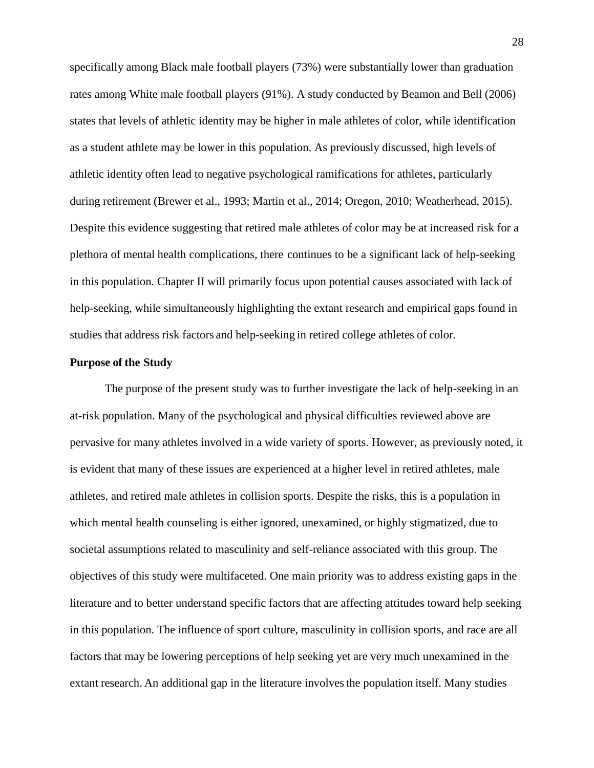specifically among Black male football players (73%) were substantially lower than graduation rates among White male football players (91%). A study conducted by Beamon and Bell (2006) states that levels of athletic identity may be higher in male athletes of color, while identification as a student athlete may be lower in this population. As previously discussed, high levels of athletic identity often lead to negative psychological ramifications for athletes, particularly during retirement (Brewer et al., 1993; Martin et al., 2014; Oregon, 2010; Weatherhead, 2015). Despite this evidence suggesting that retired male athletes of color may be at increased risk for a plethora of mental health complications, there continues to be a significant lack of help-seeking in this population. Chapter II will primarily focus upon potential causes associated with lack of help-seeking, while simultaneously highlighting the extant research and empirical gaps found in studies that address risk factors and help-seeking in retired college athletes of color.

## **Purpose of the Study**

The purpose of the present study was to further investigate the lack of help-seeking in an at-risk population. Many of the psychological and physical difficulties reviewed above are pervasive for many athletes involved in a wide variety of sports. However, as previously noted, it is evident that many of these issues are experienced at a higher level in retired athletes, male athletes, and retired male athletes in collision sports. Despite the risks, this is a population in which mental health counseling is either ignored, unexamined, or highly stigmatized, due to societal assumptions related to masculinity and self-reliance associated with this group. The objectives of this study were multifaceted. One main priority was to address existing gaps in the literature and to better understand specific factors that are affecting attitudes toward help seeking in this population. The influence of sport culture, masculinity in collision sports, and race are all factors that may be lowering perceptions of help seeking yet are very much unexamined in the extant research. An additional gap in the literature involvesthe population itself. Many studies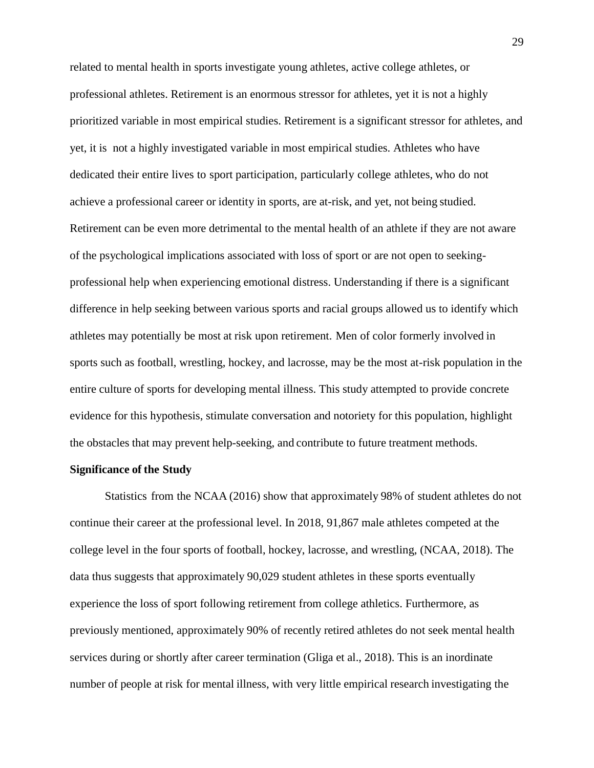related to mental health in sports investigate young athletes, active college athletes, or professional athletes. Retirement is an enormous stressor for athletes, yet it is not a highly prioritized variable in most empirical studies. Retirement is a significant stressor for athletes, and yet, it is not a highly investigated variable in most empirical studies. Athletes who have dedicated their entire lives to sport participation, particularly college athletes, who do not achieve a professional career or identity in sports, are at-risk, and yet, not being studied. Retirement can be even more detrimental to the mental health of an athlete if they are not aware of the psychological implications associated with loss of sport or are not open to seekingprofessional help when experiencing emotional distress. Understanding if there is a significant difference in help seeking between various sports and racial groups allowed us to identify which athletes may potentially be most at risk upon retirement. Men of color formerly involved in sports such as football, wrestling, hockey, and lacrosse, may be the most at-risk population in the entire culture of sports for developing mental illness. This study attempted to provide concrete evidence for this hypothesis, stimulate conversation and notoriety for this population, highlight the obstacles that may prevent help-seeking, and contribute to future treatment methods.

### **Significance of the Study**

Statistics from the NCAA (2016) show that approximately 98% of student athletes do not continue their career at the professional level. In 2018, 91,867 male athletes competed at the college level in the four sports of football, hockey, lacrosse, and wrestling, (NCAA, 2018). The data thus suggests that approximately 90,029 student athletes in these sports eventually experience the loss of sport following retirement from college athletics. Furthermore, as previously mentioned, approximately 90% of recently retired athletes do not seek mental health services during or shortly after career termination (Gliga et al., 2018). This is an inordinate number of people at risk for mental illness, with very little empirical research investigating the

29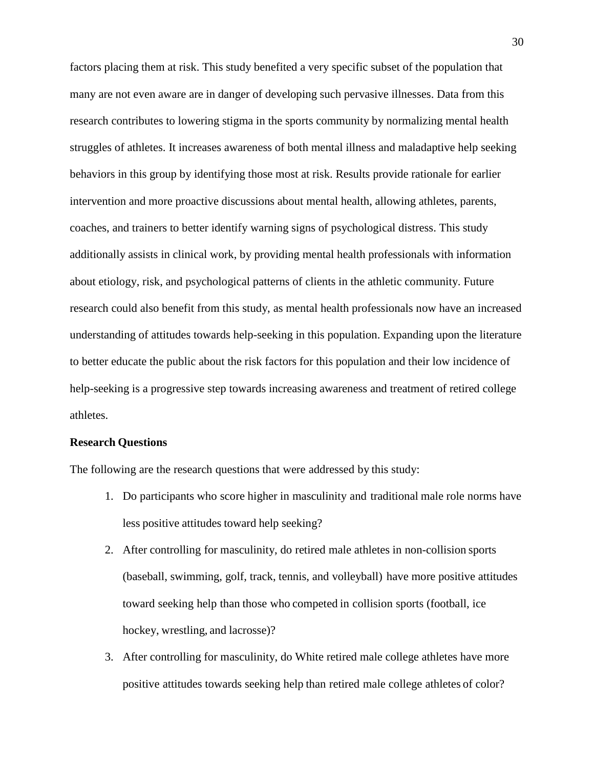factors placing them at risk. This study benefited a very specific subset of the population that many are not even aware are in danger of developing such pervasive illnesses. Data from this research contributes to lowering stigma in the sports community by normalizing mental health struggles of athletes. It increases awareness of both mental illness and maladaptive help seeking behaviors in this group by identifying those most at risk. Results provide rationale for earlier intervention and more proactive discussions about mental health, allowing athletes, parents, coaches, and trainers to better identify warning signs of psychological distress. This study additionally assists in clinical work, by providing mental health professionals with information about etiology, risk, and psychological patterns of clients in the athletic community. Future research could also benefit from this study, as mental health professionals now have an increased understanding of attitudes towards help-seeking in this population. Expanding upon the literature to better educate the public about the risk factors for this population and their low incidence of help-seeking is a progressive step towards increasing awareness and treatment of retired college athletes.

## **Research Questions**

The following are the research questions that were addressed by this study:

- 1. Do participants who score higher in masculinity and traditional male role norms have less positive attitudes toward help seeking?
- 2. After controlling for masculinity, do retired male athletes in non-collision sports (baseball, swimming, golf, track, tennis, and volleyball) have more positive attitudes toward seeking help than those who competed in collision sports (football, ice hockey, wrestling, and lacrosse)?
- 3. After controlling for masculinity, do White retired male college athletes have more positive attitudes towards seeking help than retired male college athletes of color?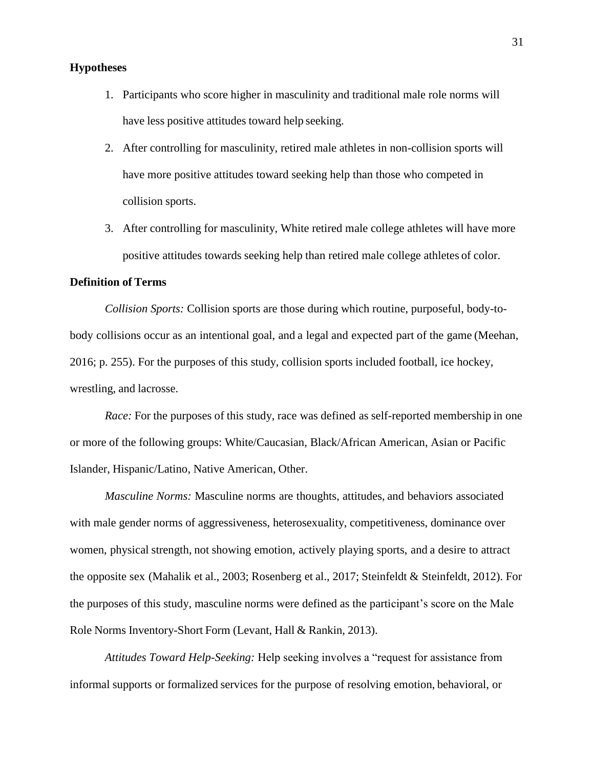## **Hypotheses**

- 1. Participants who score higher in masculinity and traditional male role norms will have less positive attitudes toward help seeking.
- 2. After controlling for masculinity, retired male athletes in non-collision sports will have more positive attitudes toward seeking help than those who competed in collision sports.
- 3. After controlling for masculinity, White retired male college athletes will have more positive attitudes towards seeking help than retired male college athletes of color.

## **Definition of Terms**

*Collision Sports:* Collision sports are those during which routine, purposeful, body-tobody collisions occur as an intentional goal, and a legal and expected part of the game (Meehan, 2016; p. 255). For the purposes of this study, collision sports included football, ice hockey, wrestling, and lacrosse.

*Race:* For the purposes of this study, race was defined as self-reported membership in one or more of the following groups: White/Caucasian, Black/African American, Asian or Pacific Islander, Hispanic/Latino, Native American, Other.

*Masculine Norms:* Masculine norms are thoughts, attitudes, and behaviors associated with male gender norms of aggressiveness, heterosexuality, competitiveness, dominance over women, physical strength, not showing emotion, actively playing sports, and a desire to attract the opposite sex (Mahalik et al., 2003; Rosenberg et al., 2017; Steinfeldt & Steinfeldt, 2012). For the purposes of this study, masculine norms were defined as the participant's score on the Male Role Norms Inventory-Short Form (Levant, Hall & Rankin, 2013).

*Attitudes Toward Help-Seeking:* Help seeking involves a "request for assistance from informal supports or formalized services for the purpose of resolving emotion, behavioral, or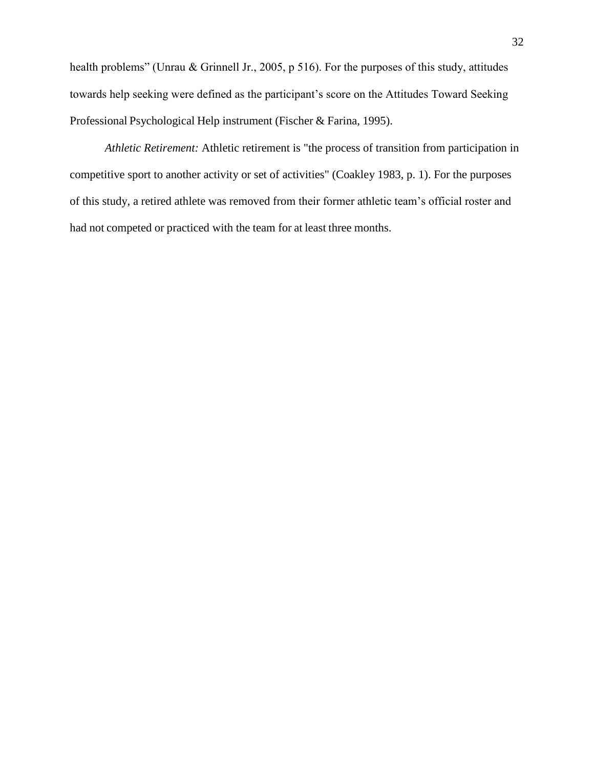health problems" (Unrau & Grinnell Jr., 2005, p 516). For the purposes of this study, attitudes towards help seeking were defined as the participant's score on the Attitudes Toward Seeking Professional Psychological Help instrument (Fischer & Farina, 1995).

*Athletic Retirement:* Athletic retirement is "the process of transition from participation in competitive sport to another activity or set of activities" (Coakley 1983, p. 1). For the purposes of this study, a retired athlete was removed from their former athletic team's official roster and had not competed or practiced with the team for at least three months.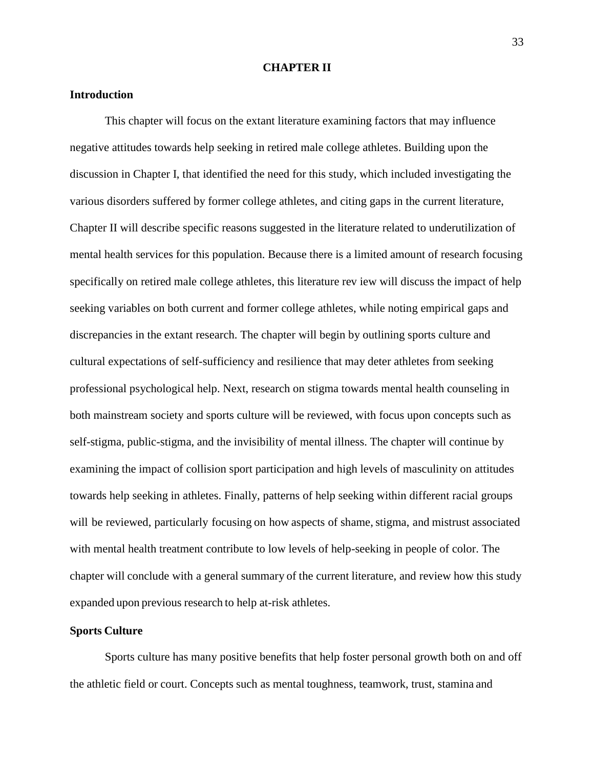#### **CHAPTER II**

## **Introduction**

This chapter will focus on the extant literature examining factors that may influence negative attitudes towards help seeking in retired male college athletes. Building upon the discussion in Chapter I, that identified the need for this study, which included investigating the various disorders suffered by former college athletes, and citing gaps in the current literature, Chapter II will describe specific reasons suggested in the literature related to underutilization of mental health services for this population. Because there is a limited amount of research focusing specifically on retired male college athletes, this literature rev iew will discuss the impact of help seeking variables on both current and former college athletes, while noting empirical gaps and discrepancies in the extant research. The chapter will begin by outlining sports culture and cultural expectations of self-sufficiency and resilience that may deter athletes from seeking professional psychological help. Next, research on stigma towards mental health counseling in both mainstream society and sports culture will be reviewed, with focus upon concepts such as self-stigma, public-stigma, and the invisibility of mental illness. The chapter will continue by examining the impact of collision sport participation and high levels of masculinity on attitudes towards help seeking in athletes. Finally, patterns of help seeking within different racial groups will be reviewed, particularly focusing on how aspects of shame, stigma, and mistrust associated with mental health treatment contribute to low levels of help-seeking in people of color. The chapter will conclude with a general summary of the current literature, and review how this study expanded upon previous research to help at-risk athletes.

## **Sports Culture**

Sports culture has many positive benefits that help foster personal growth both on and off the athletic field or court. Concepts such as mental toughness, teamwork, trust, stamina and

33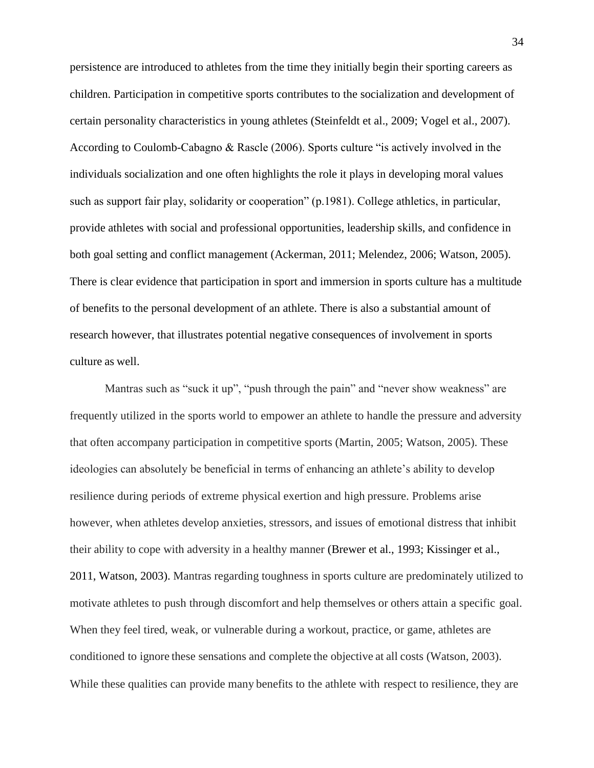persistence are introduced to athletes from the time they initially begin their sporting careers as children. Participation in competitive sports contributes to the socialization and development of certain personality characteristics in young athletes (Steinfeldt et al., 2009; Vogel et al., 2007). According to Coulomb-Cabagno & Rascle (2006). Sports culture "is actively involved in the individuals socialization and one often highlights the role it plays in developing moral values such as support fair play, solidarity or cooperation" (p.1981). College athletics, in particular, provide athletes with social and professional opportunities, leadership skills, and confidence in both goal setting and conflict management (Ackerman, 2011; Melendez, 2006; Watson, 2005). There is clear evidence that participation in sport and immersion in sports culture has a multitude of benefits to the personal development of an athlete. There is also a substantial amount of research however, that illustrates potential negative consequences of involvement in sports culture as well.

Mantras such as "suck it up", "push through the pain" and "never show weakness" are frequently utilized in the sports world to empower an athlete to handle the pressure and adversity that often accompany participation in competitive sports (Martin, 2005; Watson, 2005). These ideologies can absolutely be beneficial in terms of enhancing an athlete's ability to develop resilience during periods of extreme physical exertion and high pressure. Problems arise however, when athletes develop anxieties, stressors, and issues of emotional distress that inhibit their ability to cope with adversity in a healthy manner (Brewer et al., 1993; Kissinger et al., 2011, Watson, 2003). Mantras regarding toughness in sports culture are predominately utilized to motivate athletes to push through discomfort and help themselves or others attain a specific goal. When they feel tired, weak, or vulnerable during a workout, practice, or game, athletes are conditioned to ignore these sensations and complete the objective at all costs (Watson, 2003). While these qualities can provide many benefits to the athlete with respect to resilience, they are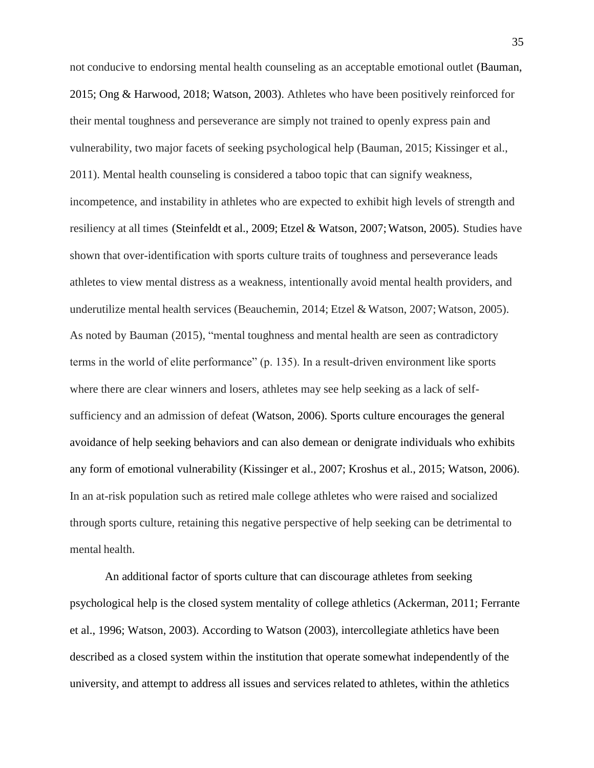not conducive to endorsing mental health counseling as an acceptable emotional outlet (Bauman, 2015; Ong & Harwood, 2018; Watson, 2003). Athletes who have been positively reinforced for their mental toughness and perseverance are simply not trained to openly express pain and vulnerability, two major facets of seeking psychological help (Bauman, 2015; Kissinger et al., 2011). Mental health counseling is considered a taboo topic that can signify weakness, incompetence, and instability in athletes who are expected to exhibit high levels of strength and resiliency at all times (Steinfeldt et al., 2009; Etzel & Watson, 2007;Watson, 2005). Studies have shown that over-identification with sports culture traits of toughness and perseverance leads athletes to view mental distress as a weakness, intentionally avoid mental health providers, and underutilize mental health services (Beauchemin, 2014; Etzel & Watson, 2007; Watson, 2005). As noted by Bauman (2015), "mental toughness and mental health are seen as contradictory terms in the world of elite performance" (p. 135). In a result-driven environment like sports where there are clear winners and losers, athletes may see help seeking as a lack of selfsufficiency and an admission of defeat (Watson, 2006). Sports culture encourages the general avoidance of help seeking behaviors and can also demean or denigrate individuals who exhibits any form of emotional vulnerability (Kissinger et al., 2007; Kroshus et al., 2015; Watson, 2006). In an at-risk population such as retired male college athletes who were raised and socialized through sports culture, retaining this negative perspective of help seeking can be detrimental to mental health.

An additional factor of sports culture that can discourage athletes from seeking psychological help is the closed system mentality of college athletics (Ackerman, 2011; Ferrante et al., 1996; Watson, 2003). According to Watson (2003), intercollegiate athletics have been described as a closed system within the institution that operate somewhat independently of the university, and attempt to address all issues and services related to athletes, within the athletics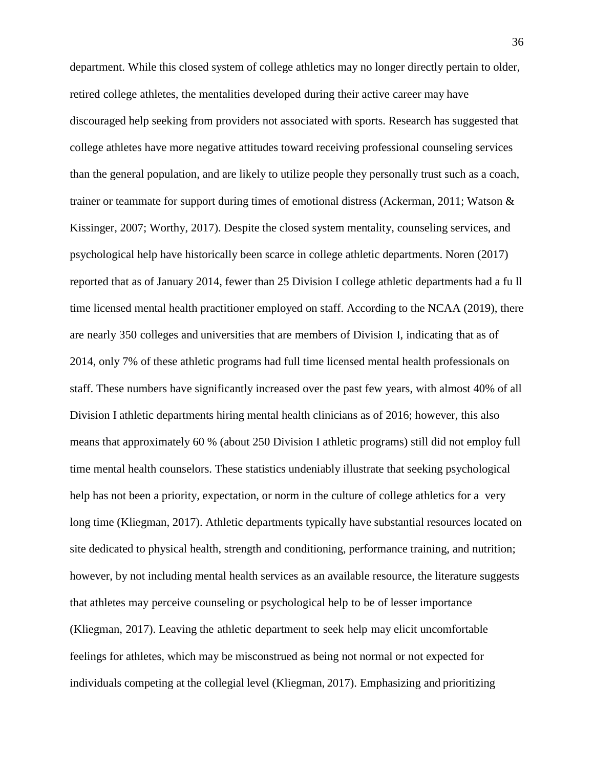department. While this closed system of college athletics may no longer directly pertain to older, retired college athletes, the mentalities developed during their active career may have discouraged help seeking from providers not associated with sports. Research has suggested that college athletes have more negative attitudes toward receiving professional counseling services than the general population, and are likely to utilize people they personally trust such as a coach, trainer or teammate for support during times of emotional distress (Ackerman, 2011; Watson & Kissinger, 2007; Worthy, 2017). Despite the closed system mentality, counseling services, and psychological help have historically been scarce in college athletic departments. Noren (2017) reported that as of January 2014, fewer than 25 Division I college athletic departments had a fu ll time licensed mental health practitioner employed on staff. According to the NCAA (2019), there are nearly 350 colleges and universities that are members of Division I, indicating that as of 2014, only 7% of these athletic programs had full time licensed mental health professionals on staff. These numbers have significantly increased over the past few years, with almost 40% of all Division I athletic departments hiring mental health clinicians as of 2016; however, this also means that approximately 60 % (about 250 Division I athletic programs) still did not employ full time mental health counselors. These statistics undeniably illustrate that seeking psychological help has not been a priority, expectation, or norm in the culture of college athletics for a very long time (Kliegman, 2017). Athletic departments typically have substantial resources located on site dedicated to physical health, strength and conditioning, performance training, and nutrition; however, by not including mental health services as an available resource, the literature suggests that athletes may perceive counseling or psychological help to be of lesser importance (Kliegman, 2017). Leaving the athletic department to seek help may elicit uncomfortable feelings for athletes, which may be misconstrued as being not normal or not expected for individuals competing at the collegial level (Kliegman, 2017). Emphasizing and prioritizing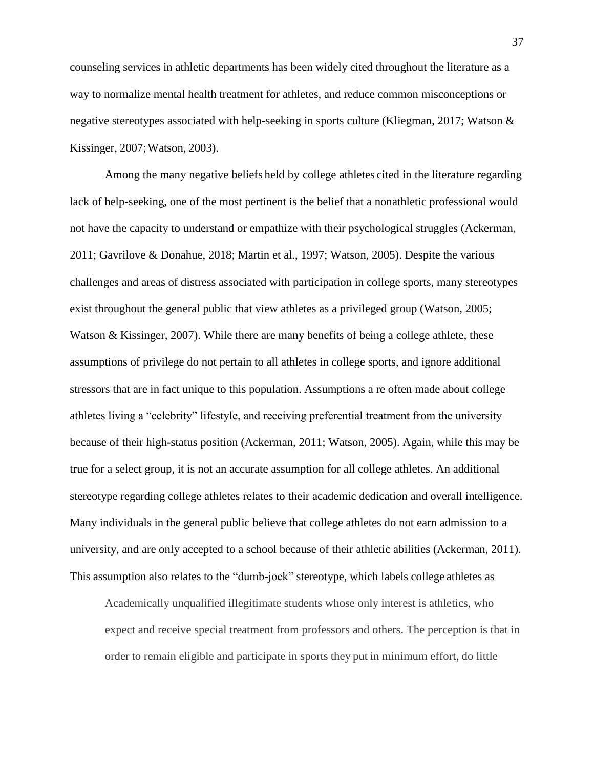counseling services in athletic departments has been widely cited throughout the literature as a way to normalize mental health treatment for athletes, and reduce common misconceptions or negative stereotypes associated with help-seeking in sports culture (Kliegman, 2017; Watson & Kissinger, 2007;Watson, 2003).

Among the many negative beliefs held by college athletes cited in the literature regarding lack of help-seeking, one of the most pertinent is the belief that a nonathletic professional would not have the capacity to understand or empathize with their psychological struggles (Ackerman, 2011; Gavrilove & Donahue, 2018; Martin et al., 1997; Watson, 2005). Despite the various challenges and areas of distress associated with participation in college sports, many stereotypes exist throughout the general public that view athletes as a privileged group (Watson, 2005; Watson & Kissinger, 2007). While there are many benefits of being a college athlete, these assumptions of privilege do not pertain to all athletes in college sports, and ignore additional stressors that are in fact unique to this population. Assumptions a re often made about college athletes living a "celebrity" lifestyle, and receiving preferential treatment from the university because of their high-status position (Ackerman, 2011; Watson, 2005). Again, while this may be true for a select group, it is not an accurate assumption for all college athletes. An additional stereotype regarding college athletes relates to their academic dedication and overall intelligence. Many individuals in the general public believe that college athletes do not earn admission to a university, and are only accepted to a school because of their athletic abilities (Ackerman, 2011). This assumption also relates to the "dumb-jock" stereotype, which labels college athletes as

Academically unqualified illegitimate students whose only interest is athletics, who expect and receive special treatment from professors and others. The perception is that in order to remain eligible and participate in sports they put in minimum effort, do little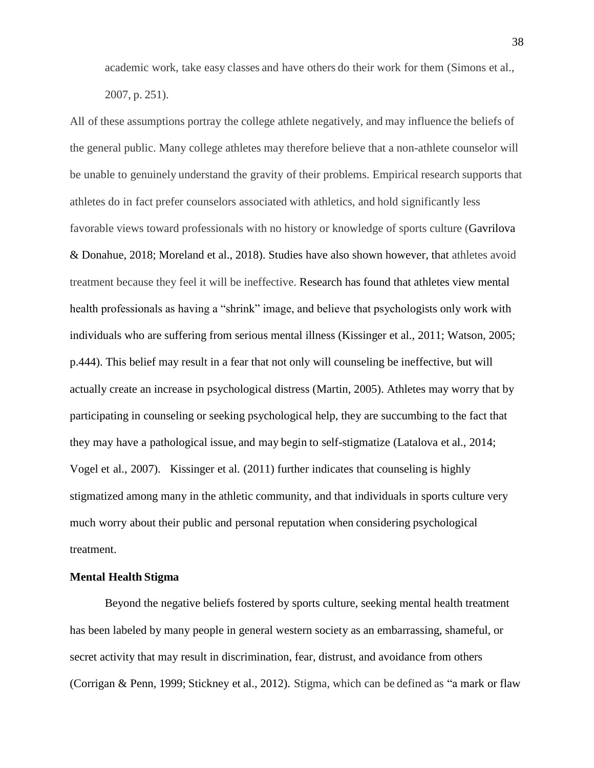academic work, take easy classes and have others do their work for them (Simons et al.,

2007, p. 251).

All of these assumptions portray the college athlete negatively, and may influence the beliefs of the general public. Many college athletes may therefore believe that a non-athlete counselor will be unable to genuinely understand the gravity of their problems. Empirical research supports that athletes do in fact prefer counselors associated with athletics, and hold significantly less favorable views toward professionals with no history or knowledge of sports culture (Gavrilova & Donahue, 2018; Moreland et al., 2018). Studies have also shown however, that athletes avoid treatment because they feel it will be ineffective. Research has found that athletes view mental health professionals as having a "shrink" image, and believe that psychologists only work with individuals who are suffering from serious mental illness (Kissinger et al., 2011; Watson, 2005; p.444). This belief may result in a fear that not only will counseling be ineffective, but will actually create an increase in psychological distress (Martin, 2005). Athletes may worry that by participating in counseling or seeking psychological help, they are succumbing to the fact that they may have a pathological issue, and may begin to self-stigmatize (Latalova et al., 2014; Vogel et al., 2007). Kissinger et al. (2011) further indicates that counseling is highly stigmatized among many in the athletic community, and that individuals in sports culture very much worry about their public and personal reputation when considering psychological treatment.

# **Mental Health Stigma**

Beyond the negative beliefs fostered by sports culture, seeking mental health treatment has been labeled by many people in general western society as an embarrassing, shameful, or secret activity that may result in discrimination, fear, distrust, and avoidance from others (Corrigan & Penn, 1999; Stickney et al., 2012). Stigma, which can be defined as "a mark or flaw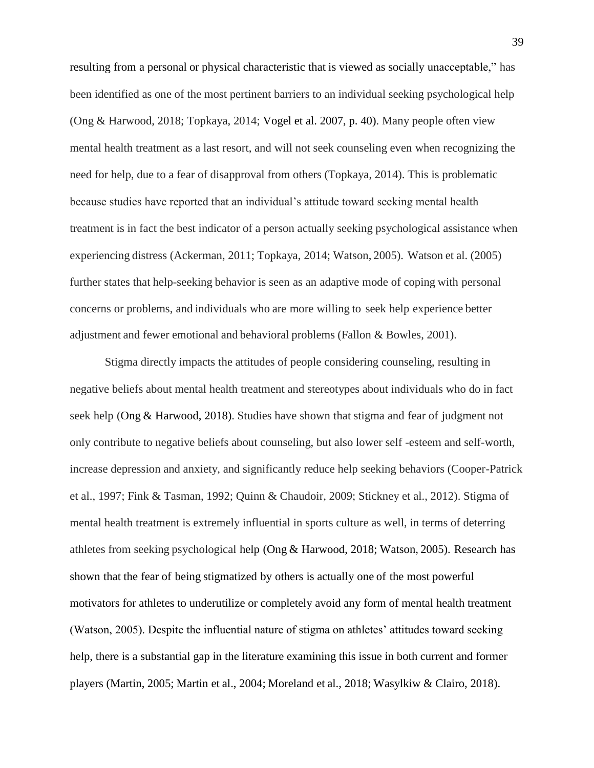resulting from a personal or physical characteristic that is viewed as socially unacceptable," has been identified as one of the most pertinent barriers to an individual seeking psychological help (Ong & Harwood, 2018; Topkaya, 2014; Vogel et al. 2007, p. 40). Many people often view mental health treatment as a last resort, and will not seek counseling even when recognizing the need for help, due to a fear of disapproval from others (Topkaya, 2014). This is problematic because studies have reported that an individual's attitude toward seeking mental health treatment is in fact the best indicator of a person actually seeking psychological assistance when experiencing distress (Ackerman, 2011; Topkaya, 2014; Watson, 2005). Watson et al. (2005) further states that help-seeking behavior is seen as an adaptive mode of coping with personal concerns or problems, and individuals who are more willing to seek help experience better adjustment and fewer emotional and behavioral problems (Fallon & Bowles, 2001).

Stigma directly impacts the attitudes of people considering counseling, resulting in negative beliefs about mental health treatment and stereotypes about individuals who do in fact seek help (Ong & Harwood, 2018). Studies have shown that stigma and fear of judgment not only contribute to negative beliefs about counseling, but also lower self -esteem and self-worth, increase depression and anxiety, and significantly reduce help seeking behaviors (Cooper-Patrick et al., 1997; Fink & Tasman, 1992; Quinn & Chaudoir, 2009; Stickney et al., 2012). Stigma of mental health treatment is extremely influential in sports culture as well, in terms of deterring athletes from seeking psychological help (Ong & Harwood, 2018; Watson, 2005). Research has shown that the fear of being stigmatized by others is actually one of the most powerful motivators for athletes to underutilize or completely avoid any form of mental health treatment (Watson, 2005). Despite the influential nature of stigma on athletes' attitudes toward seeking help, there is a substantial gap in the literature examining this issue in both current and former players (Martin, 2005; Martin et al., 2004; Moreland et al., 2018; Wasylkiw & Clairo, 2018).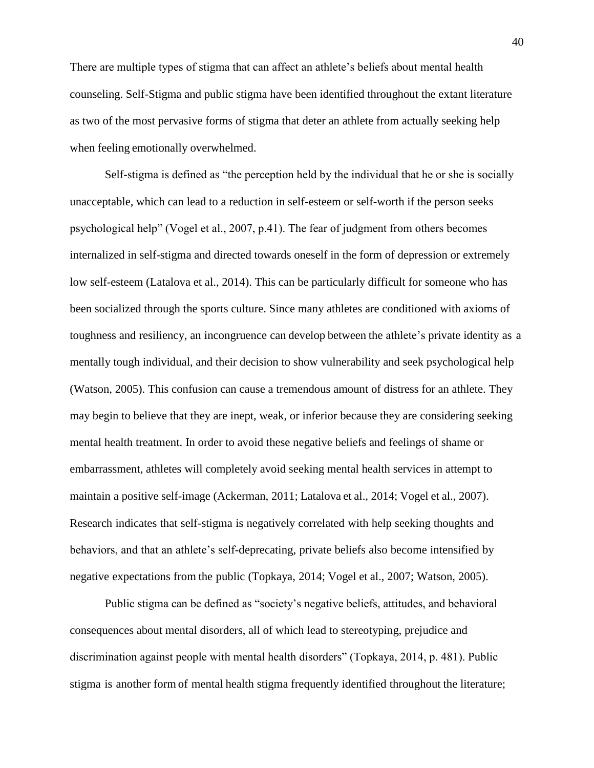There are multiple types of stigma that can affect an athlete's beliefs about mental health counseling. Self-Stigma and public stigma have been identified throughout the extant literature as two of the most pervasive forms of stigma that deter an athlete from actually seeking help when feeling emotionally overwhelmed.

Self-stigma is defined as "the perception held by the individual that he or she is socially unacceptable, which can lead to a reduction in self-esteem or self-worth if the person seeks psychological help" (Vogel et al., 2007, p.41). The fear of judgment from others becomes internalized in self-stigma and directed towards oneself in the form of depression or extremely low self-esteem (Latalova et al., 2014). This can be particularly difficult for someone who has been socialized through the sports culture. Since many athletes are conditioned with axioms of toughness and resiliency, an incongruence can develop between the athlete's private identity as a mentally tough individual, and their decision to show vulnerability and seek psychological help (Watson, 2005). This confusion can cause a tremendous amount of distress for an athlete. They may begin to believe that they are inept, weak, or inferior because they are considering seeking mental health treatment. In order to avoid these negative beliefs and feelings of shame or embarrassment, athletes will completely avoid seeking mental health services in attempt to maintain a positive self-image (Ackerman, 2011; Latalova et al., 2014; Vogel et al., 2007). Research indicates that self-stigma is negatively correlated with help seeking thoughts and behaviors, and that an athlete's self-deprecating, private beliefs also become intensified by negative expectations from the public (Topkaya, 2014; Vogel et al., 2007; Watson, 2005).

Public stigma can be defined as "society's negative beliefs, attitudes, and behavioral consequences about mental disorders, all of which lead to stereotyping, prejudice and discrimination against people with mental health disorders" (Topkaya, 2014, p. 481). Public stigma is another form of mental health stigma frequently identified throughout the literature;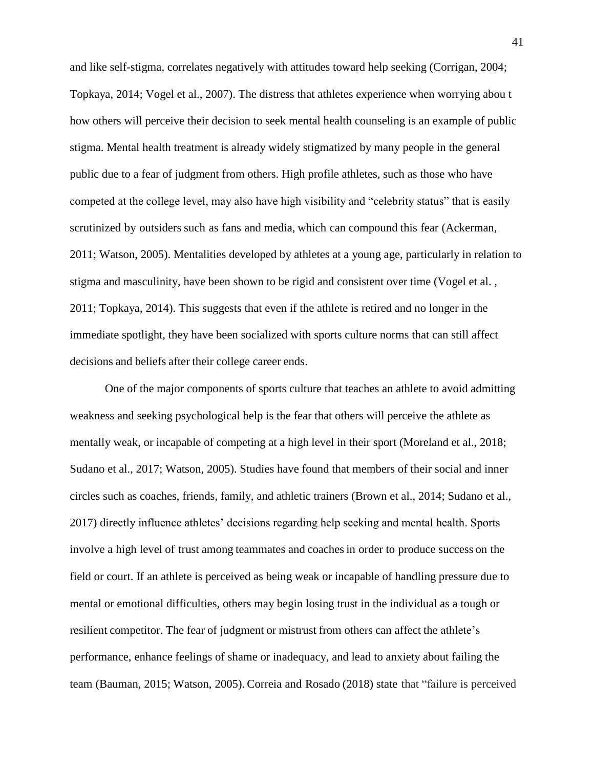and like self-stigma, correlates negatively with attitudes toward help seeking (Corrigan, 2004; Topkaya, 2014; Vogel et al., 2007). The distress that athletes experience when worrying abou t how others will perceive their decision to seek mental health counseling is an example of public stigma. Mental health treatment is already widely stigmatized by many people in the general public due to a fear of judgment from others. High profile athletes, such as those who have competed at the college level, may also have high visibility and "celebrity status" that is easily scrutinized by outsiders such as fans and media, which can compound this fear (Ackerman, 2011; Watson, 2005). Mentalities developed by athletes at a young age, particularly in relation to stigma and masculinity, have been shown to be rigid and consistent over time (Vogel et al. , 2011; Topkaya, 2014). This suggests that even if the athlete is retired and no longer in the immediate spotlight, they have been socialized with sports culture norms that can still affect decisions and beliefs after their college career ends.

One of the major components of sports culture that teaches an athlete to avoid admitting weakness and seeking psychological help is the fear that others will perceive the athlete as mentally weak, or incapable of competing at a high level in their sport (Moreland et al., 2018; Sudano et al., 2017; Watson, 2005). Studies have found that members of their social and inner circles such as coaches, friends, family, and athletic trainers (Brown et al., 2014; Sudano et al., 2017) directly influence athletes' decisions regarding help seeking and mental health. Sports involve a high level of trust among teammates and coachesin order to produce success on the field or court. If an athlete is perceived as being weak or incapable of handling pressure due to mental or emotional difficulties, others may begin losing trust in the individual as a tough or resilient competitor. The fear of judgment or mistrust from others can affect the athlete's performance, enhance feelings of shame or inadequacy, and lead to anxiety about failing the team (Bauman, 2015; Watson, 2005). Correia and Rosado (2018) state that "failure is perceived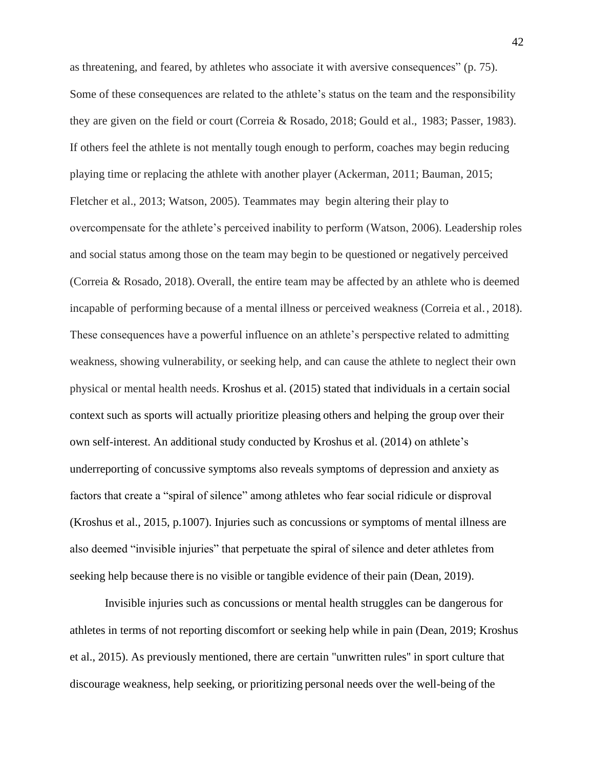as threatening, and feared, by athletes who associate it with aversive consequences" (p. 75). Some of these consequences are related to the athlete's status on the team and the responsibility they are given on the field or court (Correia & Rosado, 2018; Gould et al., 1983; Passer, 1983). If others feel the athlete is not mentally tough enough to perform, coaches may begin reducing playing time or replacing the athlete with another player (Ackerman, 2011; Bauman, 2015; Fletcher et al., 2013; Watson, 2005). Teammates may begin altering their play to overcompensate for the athlete's perceived inability to perform (Watson, 2006). Leadership roles and social status among those on the team may begin to be questioned or negatively perceived (Correia & Rosado, 2018). Overall, the entire team may be affected by an athlete who is deemed incapable of performing because of a mental illness or perceived weakness (Correia et al., 2018). These consequences have a powerful influence on an athlete's perspective related to admitting weakness, showing vulnerability, or seeking help, and can cause the athlete to neglect their own physical or mental health needs. Kroshus et al. (2015) stated that individuals in a certain social context such as sports will actually prioritize pleasing others and helping the group over their own self-interest. An additional study conducted by Kroshus et al. (2014) on athlete's underreporting of concussive symptoms also reveals symptoms of depression and anxiety as factors that create a "spiral of silence" among athletes who fear social ridicule or disproval (Kroshus et al., 2015, p.1007). Injuries such as concussions or symptoms of mental illness are also deemed "invisible injuries" that perpetuate the spiral of silence and deter athletes from seeking help because there is no visible or tangible evidence of their pain (Dean, 2019).

Invisible injuries such as concussions or mental health struggles can be dangerous for athletes in terms of not reporting discomfort or seeking help while in pain (Dean, 2019; Kroshus et al., 2015). As previously mentioned, there are certain "unwritten rules'' in sport culture that discourage weakness, help seeking, or prioritizing personal needs over the well-being of the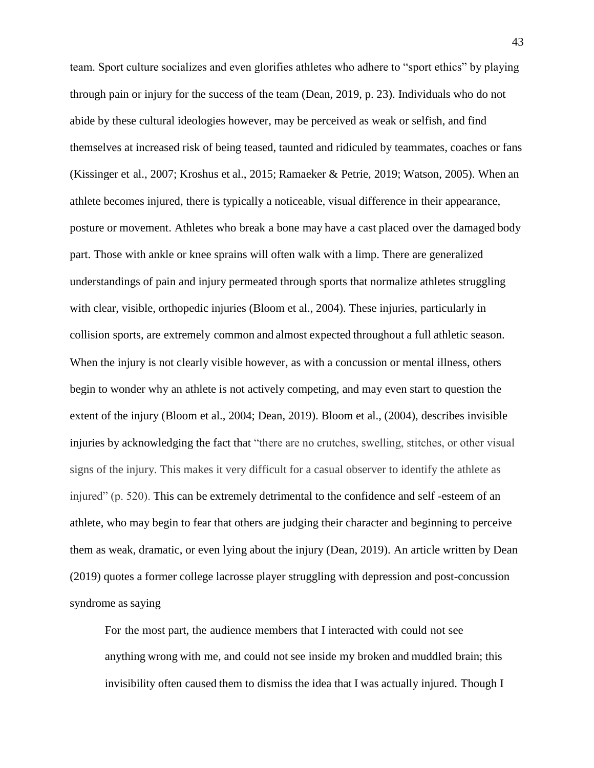team. Sport culture socializes and even glorifies athletes who adhere to "sport ethics" by playing through pain or injury for the success of the team (Dean, 2019, p. 23). Individuals who do not abide by these cultural ideologies however, may be perceived as weak or selfish, and find themselves at increased risk of being teased, taunted and ridiculed by teammates, coaches or fans (Kissinger et al., 2007; Kroshus et al., 2015; Ramaeker & Petrie, 2019; Watson, 2005). When an athlete becomes injured, there is typically a noticeable, visual difference in their appearance, posture or movement. Athletes who break a bone may have a cast placed over the damaged body part. Those with ankle or knee sprains will often walk with a limp. There are generalized understandings of pain and injury permeated through sports that normalize athletes struggling with clear, visible, orthopedic injuries (Bloom et al., 2004). These injuries, particularly in collision sports, are extremely common and almost expected throughout a full athletic season. When the injury is not clearly visible however, as with a concussion or mental illness, others begin to wonder why an athlete is not actively competing, and may even start to question the extent of the injury (Bloom et al., 2004; Dean, 2019). Bloom et al., (2004), describes invisible injuries by acknowledging the fact that "there are no crutches, swelling, stitches, or other visual signs of the injury. This makes it very difficult for a casual observer to identify the athlete as injured" (p. 520). This can be extremely detrimental to the confidence and self -esteem of an athlete, who may begin to fear that others are judging their character and beginning to perceive them as weak, dramatic, or even lying about the injury (Dean, 2019). An article written by Dean (2019) quotes a former college lacrosse player struggling with depression and post-concussion syndrome as saying

For the most part, the audience members that I interacted with could not see anything wrong with me, and could not see inside my broken and muddled brain; this invisibility often caused them to dismiss the idea that I was actually injured. Though I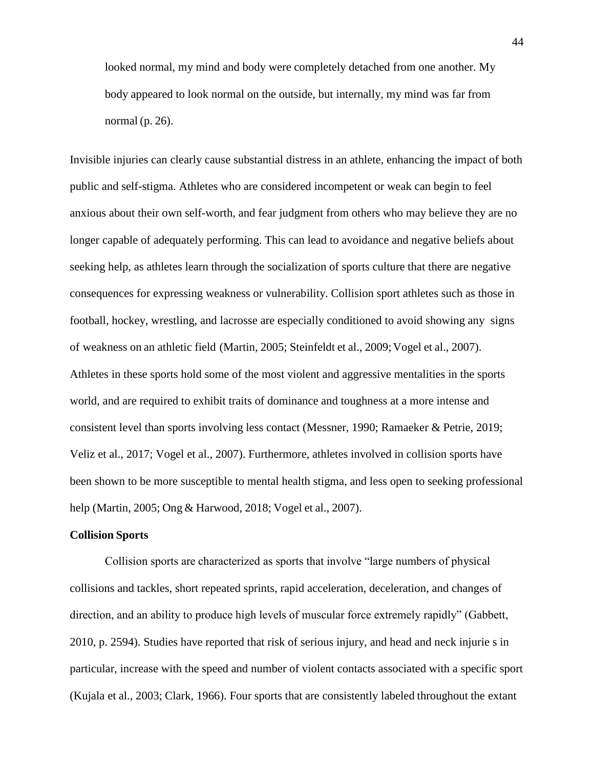looked normal, my mind and body were completely detached from one another. My body appeared to look normal on the outside, but internally, my mind was far from normal (p. 26).

Invisible injuries can clearly cause substantial distress in an athlete, enhancing the impact of both public and self-stigma. Athletes who are considered incompetent or weak can begin to feel anxious about their own self-worth, and fear judgment from others who may believe they are no longer capable of adequately performing. This can lead to avoidance and negative beliefs about seeking help, as athletes learn through the socialization of sports culture that there are negative consequences for expressing weakness or vulnerability. Collision sport athletes such as those in football, hockey, wrestling, and lacrosse are especially conditioned to avoid showing any signs of weakness on an athletic field (Martin, 2005; Steinfeldt et al., 2009;Vogel et al., 2007). Athletes in these sports hold some of the most violent and aggressive mentalities in the sports world, and are required to exhibit traits of dominance and toughness at a more intense and consistent level than sports involving less contact (Messner, 1990; Ramaeker & Petrie, 2019; Veliz et al., 2017; Vogel et al., 2007). Furthermore, athletes involved in collision sports have been shown to be more susceptible to mental health stigma, and less open to seeking professional help (Martin, 2005; Ong & Harwood, 2018; Vogel et al., 2007).

#### **Collision Sports**

Collision sports are characterized as sports that involve "large numbers of physical collisions and tackles, short repeated sprints, rapid acceleration, deceleration, and changes of direction, and an ability to produce high levels of muscular force extremely rapidly" (Gabbett, 2010, p. 2594). Studies have reported that risk of serious injury, and head and neck injurie s in particular, increase with the speed and number of violent contacts associated with a specific sport (Kujala et al., 2003; Clark, 1966). Four sports that are consistently labeled throughout the extant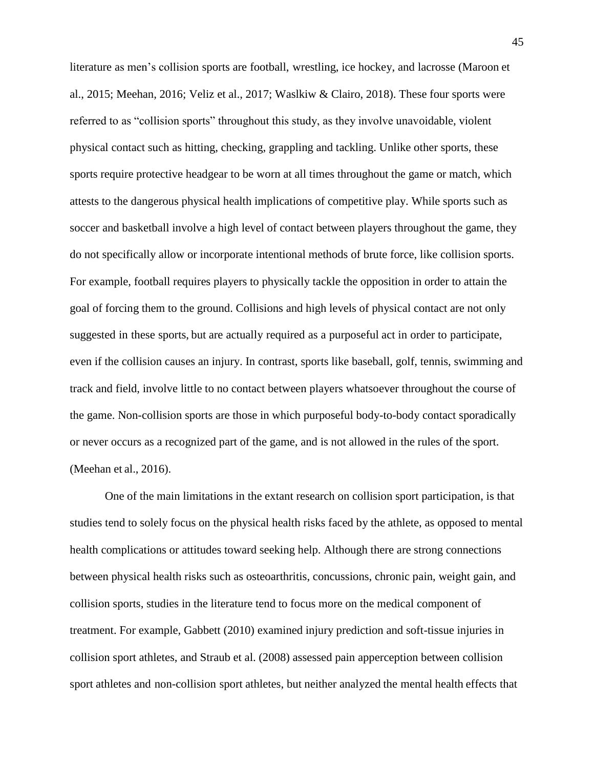literature as men's collision sports are football, wrestling, ice hockey, and lacrosse (Maroon et al., 2015; Meehan, 2016; Veliz et al., 2017; Waslkiw & Clairo, 2018). These four sports were referred to as "collision sports" throughout this study, as they involve unavoidable, violent physical contact such as hitting, checking, grappling and tackling. Unlike other sports, these sports require protective headgear to be worn at all times throughout the game or match, which attests to the dangerous physical health implications of competitive play. While sports such as soccer and basketball involve a high level of contact between players throughout the game, they do not specifically allow or incorporate intentional methods of brute force, like collision sports. For example, football requires players to physically tackle the opposition in order to attain the goal of forcing them to the ground. Collisions and high levels of physical contact are not only suggested in these sports, but are actually required as a purposeful act in order to participate, even if the collision causes an injury. In contrast, sports like baseball, golf, tennis, swimming and track and field, involve little to no contact between players whatsoever throughout the course of the game. Non-collision sports are those in which purposeful body-to-body contact sporadically or never occurs as a recognized part of the game, and is not allowed in the rules of the sport. (Meehan et al., 2016).

One of the main limitations in the extant research on collision sport participation, is that studies tend to solely focus on the physical health risks faced by the athlete, as opposed to mental health complications or attitudes toward seeking help. Although there are strong connections between physical health risks such as osteoarthritis, concussions, chronic pain, weight gain, and collision sports, studies in the literature tend to focus more on the medical component of treatment. For example, Gabbett (2010) examined injury prediction and soft-tissue injuries in collision sport athletes, and Straub et al. (2008) assessed pain apperception between collision sport athletes and non-collision sport athletes, but neither analyzed the mental health effects that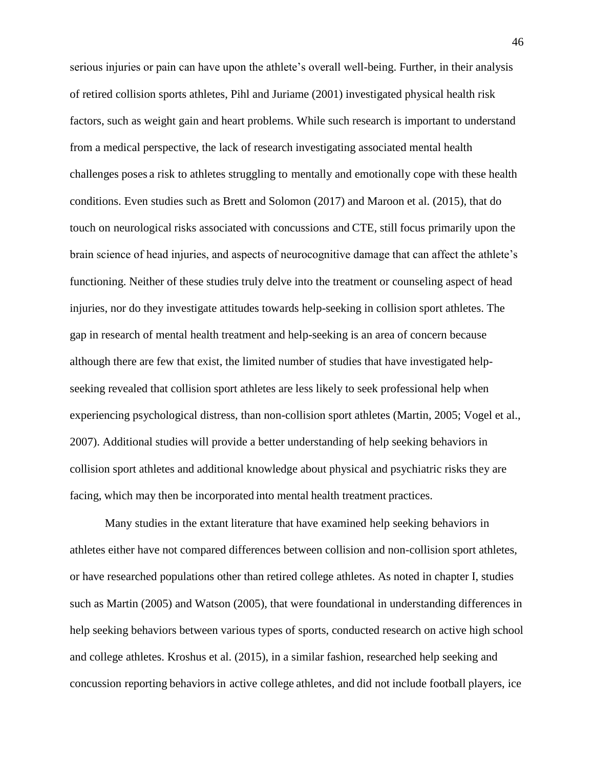serious injuries or pain can have upon the athlete's overall well-being. Further, in their analysis of retired collision sports athletes, Pihl and Juriame (2001) investigated physical health risk factors, such as weight gain and heart problems. While such research is important to understand from a medical perspective, the lack of research investigating associated mental health challenges poses a risk to athletes struggling to mentally and emotionally cope with these health conditions. Even studies such as Brett and Solomon (2017) and Maroon et al. (2015), that do touch on neurological risks associated with concussions and CTE, still focus primarily upon the brain science of head injuries, and aspects of neurocognitive damage that can affect the athlete's functioning. Neither of these studies truly delve into the treatment or counseling aspect of head injuries, nor do they investigate attitudes towards help-seeking in collision sport athletes. The gap in research of mental health treatment and help-seeking is an area of concern because although there are few that exist, the limited number of studies that have investigated helpseeking revealed that collision sport athletes are less likely to seek professional help when experiencing psychological distress, than non-collision sport athletes (Martin, 2005; Vogel et al., 2007). Additional studies will provide a better understanding of help seeking behaviors in collision sport athletes and additional knowledge about physical and psychiatric risks they are facing, which may then be incorporated into mental health treatment practices.

Many studies in the extant literature that have examined help seeking behaviors in athletes either have not compared differences between collision and non-collision sport athletes, or have researched populations other than retired college athletes. As noted in chapter I, studies such as Martin (2005) and Watson (2005), that were foundational in understanding differences in help seeking behaviors between various types of sports, conducted research on active high school and college athletes. Kroshus et al. (2015), in a similar fashion, researched help seeking and concussion reporting behaviorsin active college athletes, and did not include football players, ice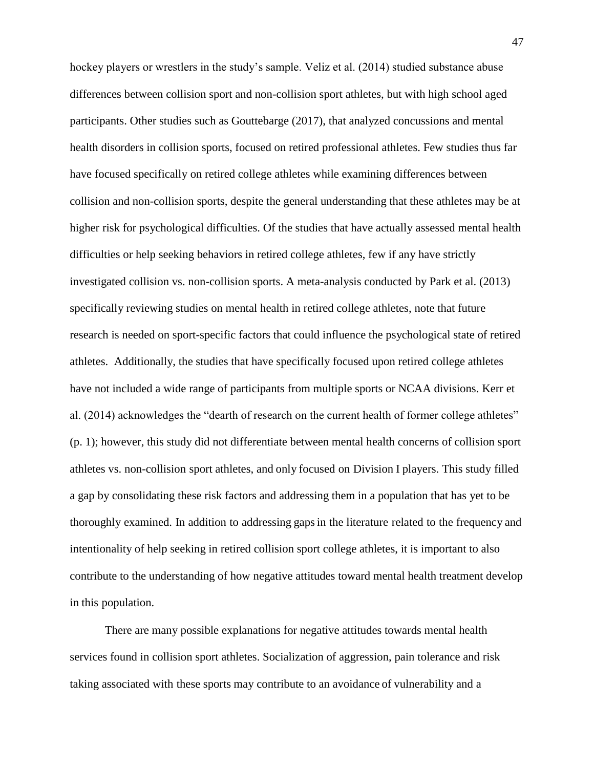hockey players or wrestlers in the study's sample. Veliz et al. (2014) studied substance abuse differences between collision sport and non-collision sport athletes, but with high school aged participants. Other studies such as Gouttebarge (2017), that analyzed concussions and mental health disorders in collision sports, focused on retired professional athletes. Few studies thus far have focused specifically on retired college athletes while examining differences between collision and non-collision sports, despite the general understanding that these athletes may be at higher risk for psychological difficulties. Of the studies that have actually assessed mental health difficulties or help seeking behaviors in retired college athletes, few if any have strictly investigated collision vs. non-collision sports. A meta-analysis conducted by Park et al. (2013) specifically reviewing studies on mental health in retired college athletes, note that future research is needed on sport-specific factors that could influence the psychological state of retired athletes. Additionally, the studies that have specifically focused upon retired college athletes have not included a wide range of participants from multiple sports or NCAA divisions. Kerr et al. (2014) acknowledges the "dearth of research on the current health of former college athletes" (p. 1); however, this study did not differentiate between mental health concerns of collision sport athletes vs. non-collision sport athletes, and only focused on Division I players. This study filled a gap by consolidating these risk factors and addressing them in a population that has yet to be thoroughly examined. In addition to addressing gapsin the literature related to the frequency and intentionality of help seeking in retired collision sport college athletes, it is important to also contribute to the understanding of how negative attitudes toward mental health treatment develop in this population.

There are many possible explanations for negative attitudes towards mental health services found in collision sport athletes. Socialization of aggression, pain tolerance and risk taking associated with these sports may contribute to an avoidance of vulnerability and a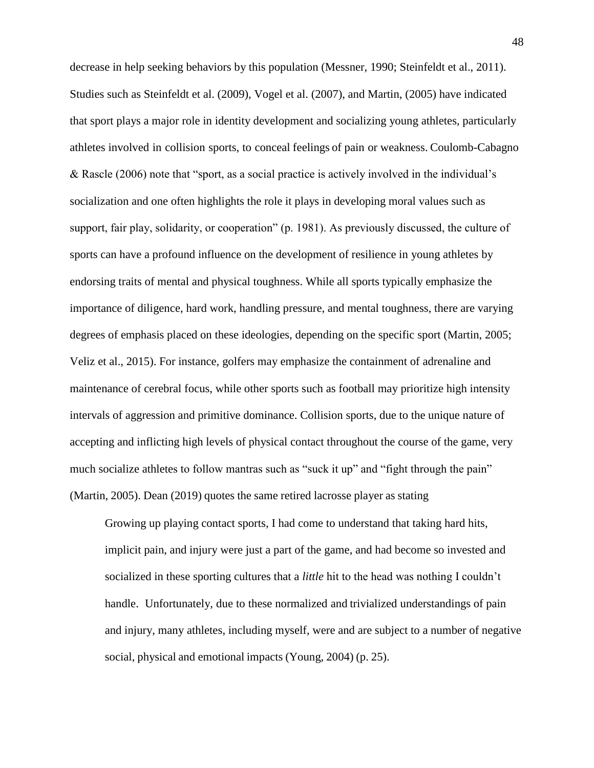decrease in help seeking behaviors by this population (Messner, 1990; Steinfeldt et al., 2011). Studies such as Steinfeldt et al. (2009), Vogel et al. (2007), and Martin, (2005) have indicated that sport plays a major role in identity development and socializing young athletes, particularly athletes involved in collision sports, to conceal feelings of pain or weakness. Coulomb-Cabagno & Rascle (2006) note that "sport, as a social practice is actively involved in the individual's socialization and one often highlights the role it plays in developing moral values such as support, fair play, solidarity, or cooperation" (p. 1981). As previously discussed, the culture of sports can have a profound influence on the development of resilience in young athletes by endorsing traits of mental and physical toughness. While all sports typically emphasize the importance of diligence, hard work, handling pressure, and mental toughness, there are varying degrees of emphasis placed on these ideologies, depending on the specific sport (Martin, 2005; Veliz et al., 2015). For instance, golfers may emphasize the containment of adrenaline and maintenance of cerebral focus, while other sports such as football may prioritize high intensity intervals of aggression and primitive dominance. Collision sports, due to the unique nature of accepting and inflicting high levels of physical contact throughout the course of the game, very much socialize athletes to follow mantras such as "suck it up" and "fight through the pain" (Martin, 2005). Dean (2019) quotes the same retired lacrosse player as stating

Growing up playing contact sports, I had come to understand that taking hard hits, implicit pain, and injury were just a part of the game, and had become so invested and socialized in these sporting cultures that a *little* hit to the head was nothing I couldn't handle. Unfortunately, due to these normalized and trivialized understandings of pain and injury, many athletes, including myself, were and are subject to a number of negative social, physical and emotional impacts (Young, 2004) (p. 25).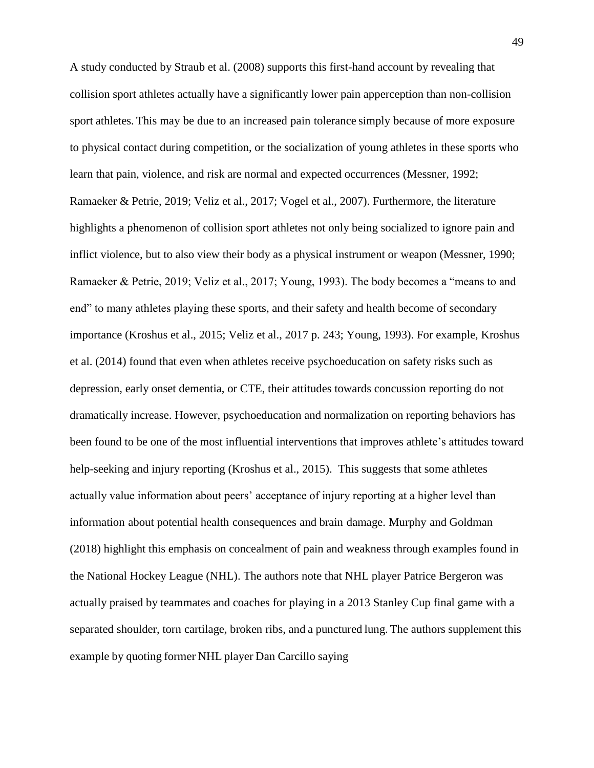A study conducted by Straub et al. (2008) supports this first-hand account by revealing that collision sport athletes actually have a significantly lower pain apperception than non-collision sport athletes. This may be due to an increased pain tolerance simply because of more exposure to physical contact during competition, or the socialization of young athletes in these sports who learn that pain, violence, and risk are normal and expected occurrences (Messner, 1992; Ramaeker & Petrie, 2019; Veliz et al., 2017; Vogel et al., 2007). Furthermore, the literature highlights a phenomenon of collision sport athletes not only being socialized to ignore pain and inflict violence, but to also view their body as a physical instrument or weapon (Messner, 1990; Ramaeker & Petrie, 2019; Veliz et al., 2017; Young, 1993). The body becomes a "means to and end" to many athletes playing these sports, and their safety and health become of secondary importance (Kroshus et al., 2015; Veliz et al., 2017 p. 243; Young, 1993). For example, Kroshus et al. (2014) found that even when athletes receive psychoeducation on safety risks such as depression, early onset dementia, or CTE, their attitudes towards concussion reporting do not dramatically increase. However, psychoeducation and normalization on reporting behaviors has been found to be one of the most influential interventions that improves athlete's attitudes toward help-seeking and injury reporting (Kroshus et al., 2015). This suggests that some athletes actually value information about peers' acceptance of injury reporting at a higher level than information about potential health consequences and brain damage. Murphy and Goldman (2018) highlight this emphasis on concealment of pain and weakness through examples found in the National Hockey League (NHL). The authors note that NHL player Patrice Bergeron was actually praised by teammates and coaches for playing in a 2013 Stanley Cup final game with a separated shoulder, torn cartilage, broken ribs, and a punctured lung. The authors supplement this example by quoting former NHL player Dan Carcillo saying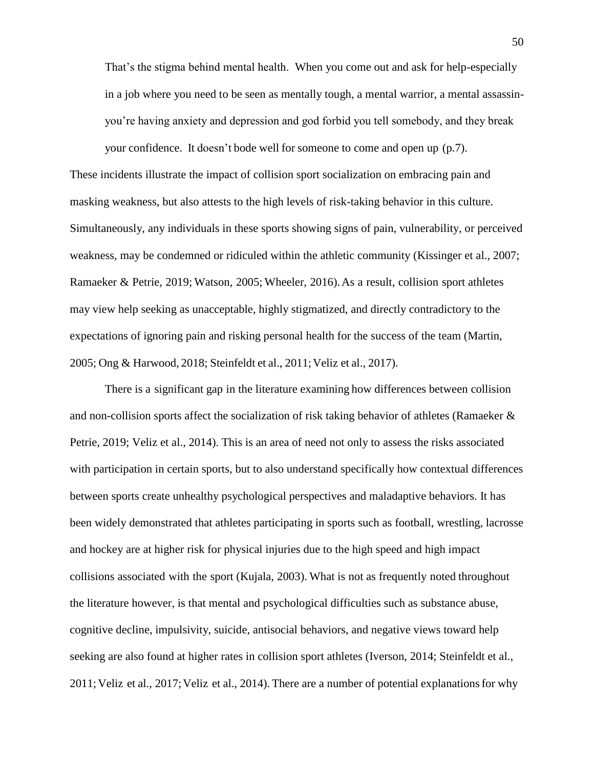That's the stigma behind mental health. When you come out and ask for help-especially in a job where you need to be seen as mentally tough, a mental warrior, a mental assassinyou're having anxiety and depression and god forbid you tell somebody, and they break your confidence. It doesn't bode well for someone to come and open up (p.7).

These incidents illustrate the impact of collision sport socialization on embracing pain and masking weakness, but also attests to the high levels of risk-taking behavior in this culture. Simultaneously, any individuals in these sports showing signs of pain, vulnerability, or perceived weakness, may be condemned or ridiculed within the athletic community (Kissinger et al., 2007; Ramaeker & Petrie, 2019; Watson, 2005; Wheeler, 2016).As a result, collision sport athletes may view help seeking as unacceptable, highly stigmatized, and directly contradictory to the expectations of ignoring pain and risking personal health for the success of the team (Martin, 2005; Ong & Harwood, 2018; Steinfeldt et al., 2011; Veliz et al., 2017).

There is a significant gap in the literature examining how differences between collision and non-collision sports affect the socialization of risk taking behavior of athletes (Ramaeker & Petrie, 2019; Veliz et al., 2014). This is an area of need not only to assess the risks associated with participation in certain sports, but to also understand specifically how contextual differences between sports create unhealthy psychological perspectives and maladaptive behaviors. It has been widely demonstrated that athletes participating in sports such as football, wrestling, lacrosse and hockey are at higher risk for physical injuries due to the high speed and high impact collisions associated with the sport (Kujala, 2003). What is not as frequently noted throughout the literature however, is that mental and psychological difficulties such as substance abuse, cognitive decline, impulsivity, suicide, antisocial behaviors, and negative views toward help seeking are also found at higher rates in collision sport athletes (Iverson, 2014; Steinfeldt et al., 2011;Veliz et al., 2017;Veliz et al., 2014). There are a number of potential explanationsfor why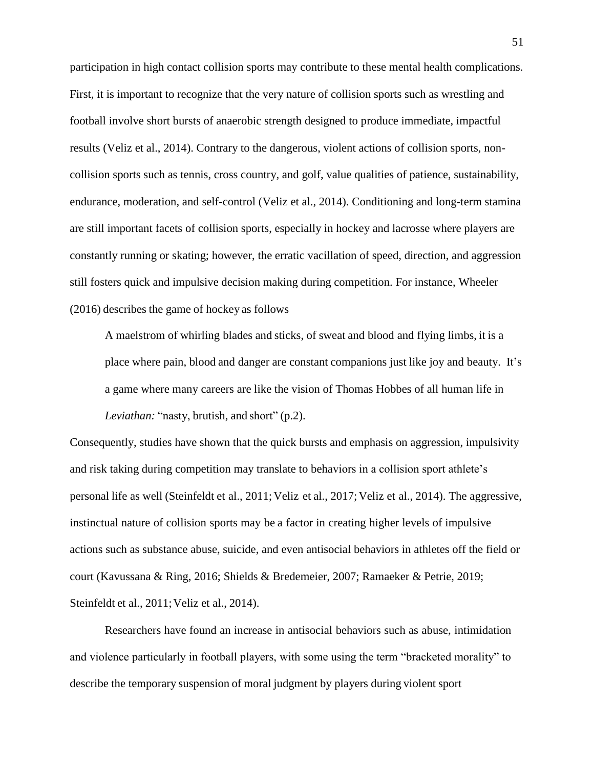participation in high contact collision sports may contribute to these mental health complications. First, it is important to recognize that the very nature of collision sports such as wrestling and football involve short bursts of anaerobic strength designed to produce immediate, impactful results (Veliz et al., 2014). Contrary to the dangerous, violent actions of collision sports, noncollision sports such as tennis, cross country, and golf, value qualities of patience, sustainability, endurance, moderation, and self-control (Veliz et al., 2014). Conditioning and long-term stamina are still important facets of collision sports, especially in hockey and lacrosse where players are constantly running or skating; however, the erratic vacillation of speed, direction, and aggression still fosters quick and impulsive decision making during competition. For instance, Wheeler (2016) describes the game of hockey as follows

A maelstrom of whirling blades and sticks, of sweat and blood and flying limbs, it is a place where pain, blood and danger are constant companions just like joy and beauty. It's a game where many careers are like the vision of Thomas Hobbes of all human life in *Leviathan:* "nasty, brutish, and short" (p.2).

Consequently, studies have shown that the quick bursts and emphasis on aggression, impulsivity and risk taking during competition may translate to behaviors in a collision sport athlete's personal life as well (Steinfeldt et al., 2011; Veliz et al., 2017; Veliz et al., 2014). The aggressive, instinctual nature of collision sports may be a factor in creating higher levels of impulsive actions such as substance abuse, suicide, and even antisocial behaviors in athletes off the field or court (Kavussana & Ring, 2016; Shields & Bredemeier, 2007; Ramaeker & Petrie, 2019; Steinfeldt et al., 2011; Veliz et al., 2014).

Researchers have found an increase in antisocial behaviors such as abuse, intimidation and violence particularly in football players, with some using the term "bracketed morality" to describe the temporary suspension of moral judgment by players during violent sport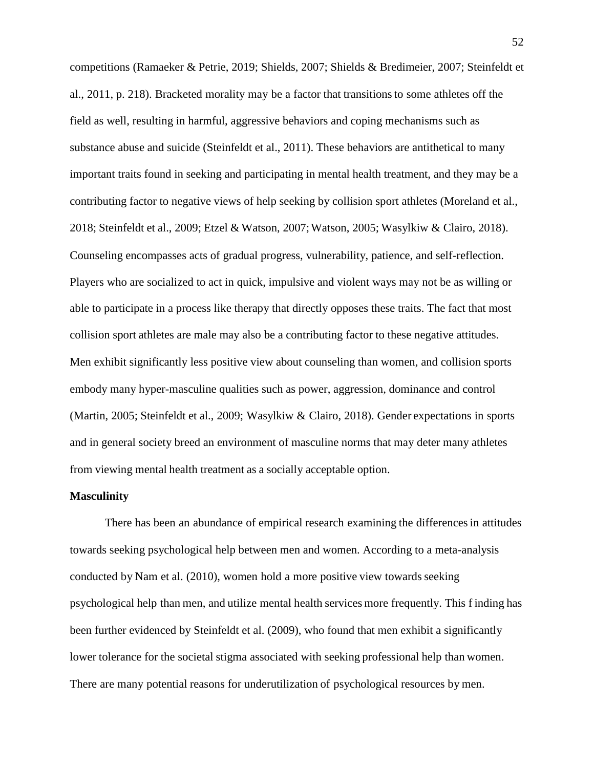competitions (Ramaeker & Petrie, 2019; Shields, 2007; Shields & Bredimeier, 2007; Steinfeldt et al., 2011, p. 218). Bracketed morality may be a factor that transitionsto some athletes off the field as well, resulting in harmful, aggressive behaviors and coping mechanisms such as substance abuse and suicide (Steinfeldt et al., 2011). These behaviors are antithetical to many important traits found in seeking and participating in mental health treatment, and they may be a contributing factor to negative views of help seeking by collision sport athletes (Moreland et al., 2018; Steinfeldt et al., 2009; Etzel & Watson, 2007;Watson, 2005; Wasylkiw & Clairo, 2018). Counseling encompasses acts of gradual progress, vulnerability, patience, and self-reflection. Players who are socialized to act in quick, impulsive and violent ways may not be as willing or able to participate in a process like therapy that directly opposes these traits. The fact that most collision sport athletes are male may also be a contributing factor to these negative attitudes. Men exhibit significantly less positive view about counseling than women, and collision sports embody many hyper-masculine qualities such as power, aggression, dominance and control (Martin, 2005; Steinfeldt et al., 2009; Wasylkiw & Clairo, 2018). Gender expectations in sports and in general society breed an environment of masculine norms that may deter many athletes from viewing mental health treatment as a socially acceptable option.

#### **Masculinity**

There has been an abundance of empirical research examining the differences in attitudes towards seeking psychological help between men and women. According to a meta-analysis conducted by Nam et al.  $(2010)$ , women hold a more positive view towards seeking psychological help than men, and utilize mental health services more frequently. This f inding has been further evidenced by Steinfeldt et al. (2009), who found that men exhibit a significantly lower tolerance for the societal stigma associated with seeking professional help than women. There are many potential reasons for underutilization of psychological resources by men.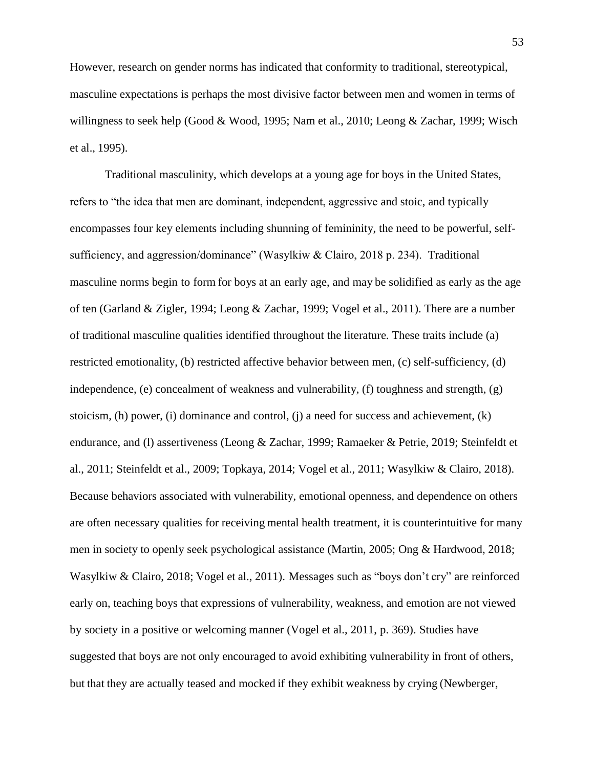However, research on gender norms has indicated that conformity to traditional, stereotypical, masculine expectations is perhaps the most divisive factor between men and women in terms of willingness to seek help (Good & Wood, 1995; Nam et al., 2010; Leong & Zachar, 1999; Wisch et al., 1995).

Traditional masculinity, which develops at a young age for boys in the United States, refers to "the idea that men are dominant, independent, aggressive and stoic, and typically encompasses four key elements including shunning of femininity, the need to be powerful, selfsufficiency, and aggression/dominance" (Wasylkiw & Clairo, 2018 p. 234). Traditional masculine norms begin to form for boys at an early age, and may be solidified as early as the age of ten (Garland & Zigler, 1994; Leong & Zachar, 1999; Vogel et al., 2011). There are a number of traditional masculine qualities identified throughout the literature. These traits include (a) restricted emotionality, (b) restricted affective behavior between men, (c) self-sufficiency, (d) independence, (e) concealment of weakness and vulnerability, (f) toughness and strength, (g) stoicism, (h) power, (i) dominance and control, (j) a need for success and achievement, (k) endurance, and (l) assertiveness (Leong & Zachar, 1999; Ramaeker & Petrie, 2019; Steinfeldt et al., 2011; Steinfeldt et al., 2009; Topkaya, 2014; Vogel et al., 2011; Wasylkiw & Clairo, 2018). Because behaviors associated with vulnerability, emotional openness, and dependence on others are often necessary qualities for receiving mental health treatment, it is counterintuitive for many men in society to openly seek psychological assistance (Martin, 2005; Ong & Hardwood, 2018; Wasylkiw & Clairo, 2018; Vogel et al., 2011). Messages such as "boys don't cry" are reinforced early on, teaching boys that expressions of vulnerability, weakness, and emotion are not viewed by society in a positive or welcoming manner (Vogel et al., 2011, p. 369). Studies have suggested that boys are not only encouraged to avoid exhibiting vulnerability in front of others, but that they are actually teased and mocked if they exhibit weakness by crying (Newberger,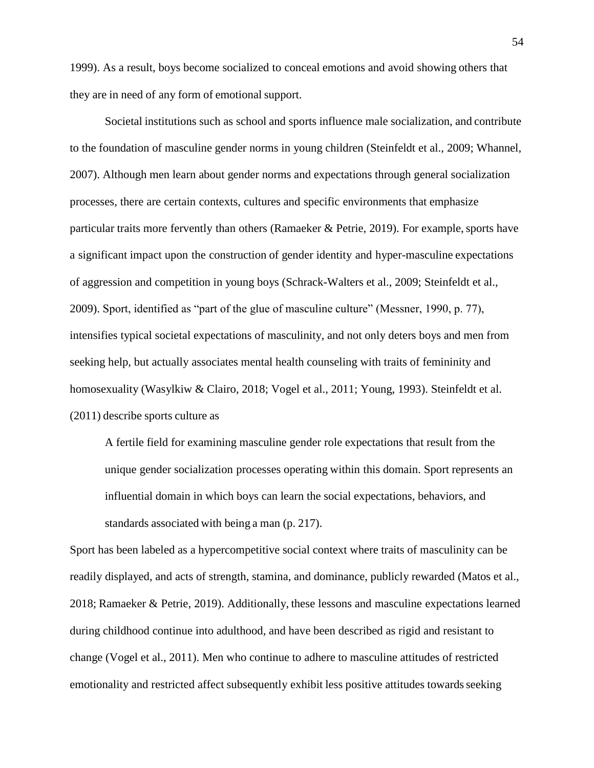1999). As a result, boys become socialized to conceal emotions and avoid showing others that they are in need of any form of emotional support.

Societal institutions such as school and sports influence male socialization, and contribute to the foundation of masculine gender norms in young children (Steinfeldt et al., 2009; Whannel, 2007). Although men learn about gender norms and expectations through general socialization processes, there are certain contexts, cultures and specific environments that emphasize particular traits more fervently than others (Ramaeker  $\&$  Petrie, 2019). For example, sports have a significant impact upon the construction of gender identity and hyper-masculine expectations of aggression and competition in young boys (Schrack-Walters et al., 2009; Steinfeldt et al., 2009). Sport, identified as "part of the glue of masculine culture" (Messner, 1990, p. 77), intensifies typical societal expectations of masculinity, and not only deters boys and men from seeking help, but actually associates mental health counseling with traits of femininity and homosexuality (Wasylkiw & Clairo, 2018; Vogel et al., 2011; Young, 1993). Steinfeldt et al. (2011) describe sports culture as

A fertile field for examining masculine gender role expectations that result from the unique gender socialization processes operating within this domain. Sport represents an influential domain in which boys can learn the social expectations, behaviors, and standards associated with being a man (p. 217).

Sport has been labeled as a hypercompetitive social context where traits of masculinity can be readily displayed, and acts of strength, stamina, and dominance, publicly rewarded (Matos et al., 2018; Ramaeker & Petrie, 2019). Additionally, these lessons and masculine expectations learned during childhood continue into adulthood, and have been described as rigid and resistant to change (Vogel et al., 2011). Men who continue to adhere to masculine attitudes of restricted emotionality and restricted affect subsequently exhibit less positive attitudes towards seeking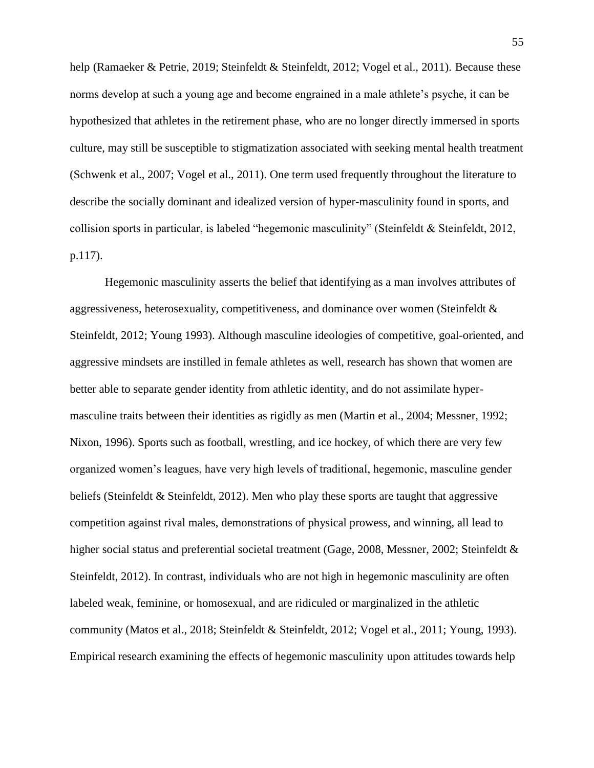help (Ramaeker & Petrie, 2019; Steinfeldt & Steinfeldt, 2012; Vogel et al., 2011). Because these norms develop at such a young age and become engrained in a male athlete's psyche, it can be hypothesized that athletes in the retirement phase, who are no longer directly immersed in sports culture, may still be susceptible to stigmatization associated with seeking mental health treatment (Schwenk et al., 2007; Vogel et al., 2011). One term used frequently throughout the literature to describe the socially dominant and idealized version of hyper-masculinity found in sports, and collision sports in particular, is labeled "hegemonic masculinity" (Steinfeldt & Steinfeldt, 2012, p.117).

Hegemonic masculinity asserts the belief that identifying as a man involves attributes of aggressiveness, heterosexuality, competitiveness, and dominance over women (Steinfeldt & Steinfeldt, 2012; Young 1993). Although masculine ideologies of competitive, goal-oriented, and aggressive mindsets are instilled in female athletes as well, research has shown that women are better able to separate gender identity from athletic identity, and do not assimilate hypermasculine traits between their identities as rigidly as men (Martin et al., 2004; Messner, 1992; Nixon, 1996). Sports such as football, wrestling, and ice hockey, of which there are very few organized women's leagues, have very high levels of traditional, hegemonic, masculine gender beliefs (Steinfeldt & Steinfeldt, 2012). Men who play these sports are taught that aggressive competition against rival males, demonstrations of physical prowess, and winning, all lead to higher social status and preferential societal treatment (Gage, 2008, Messner, 2002; Steinfeldt & Steinfeldt, 2012). In contrast, individuals who are not high in hegemonic masculinity are often labeled weak, feminine, or homosexual, and are ridiculed or marginalized in the athletic community (Matos et al., 2018; Steinfeldt & Steinfeldt, 2012; Vogel et al., 2011; Young, 1993). Empirical research examining the effects of hegemonic masculinity upon attitudes towards help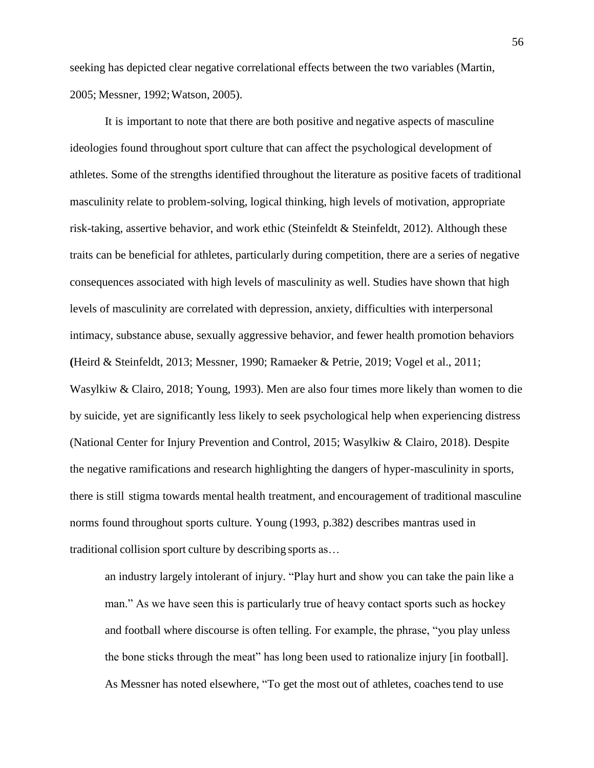seeking has depicted clear negative correlational effects between the two variables (Martin, 2005; Messner, 1992;Watson, 2005).

It is important to note that there are both positive and negative aspects of masculine ideologies found throughout sport culture that can affect the psychological development of athletes. Some of the strengths identified throughout the literature as positive facets of traditional masculinity relate to problem-solving, logical thinking, high levels of motivation, appropriate risk-taking, assertive behavior, and work ethic (Steinfeldt & Steinfeldt, 2012). Although these traits can be beneficial for athletes, particularly during competition, there are a series of negative consequences associated with high levels of masculinity as well. Studies have shown that high levels of masculinity are correlated with depression, anxiety, difficulties with interpersonal intimacy, substance abuse, sexually aggressive behavior, and fewer health promotion behaviors **(**Heird & Steinfeldt, 2013; Messner, 1990; Ramaeker & Petrie, 2019; Vogel et al., 2011; Wasylkiw & Clairo, 2018; Young, 1993). Men are also four times more likely than women to die by suicide, yet are significantly less likely to seek psychological help when experiencing distress (National Center for Injury Prevention and Control, 2015; Wasylkiw & Clairo, 2018). Despite the negative ramifications and research highlighting the dangers of hyper-masculinity in sports, there is still stigma towards mental health treatment, and encouragement of traditional masculine norms found throughout sports culture. Young (1993, p.382) describes mantras used in traditional collision sport culture by describing sports as…

an industry largely intolerant of injury. "Play hurt and show you can take the pain like a man." As we have seen this is particularly true of heavy contact sports such as hockey and football where discourse is often telling. For example, the phrase, "you play unless the bone sticks through the meat" has long been used to rationalize injury [in football]. As Messner has noted elsewhere, "To get the most out of athletes, coachestend to use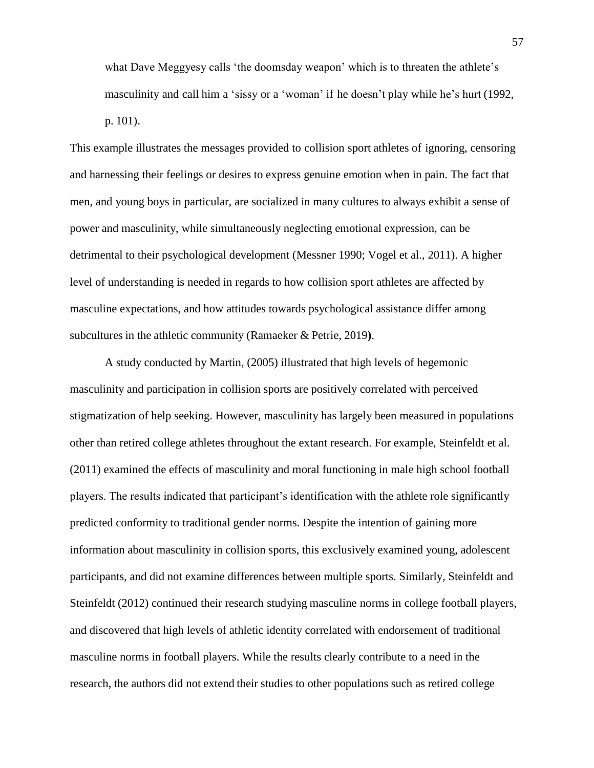what Dave Meggyesy calls 'the doomsday weapon' which is to threaten the athlete's masculinity and call him a 'sissy or a 'woman' if he doesn't play while he's hurt (1992, p. 101).

This example illustrates the messages provided to collision sport athletes of ignoring, censoring and harnessing their feelings or desires to express genuine emotion when in pain. The fact that men, and young boys in particular, are socialized in many cultures to always exhibit a sense of power and masculinity, while simultaneously neglecting emotional expression, can be detrimental to their psychological development (Messner 1990; Vogel et al., 2011). A higher level of understanding is needed in regards to how collision sport athletes are affected by masculine expectations, and how attitudes towards psychological assistance differ among subcultures in the athletic community (Ramaeker & Petrie, 2019**)**.

A study conducted by Martin, (2005) illustrated that high levels of hegemonic masculinity and participation in collision sports are positively correlated with perceived stigmatization of help seeking. However, masculinity has largely been measured in populations other than retired college athletes throughout the extant research. For example, Steinfeldt et al. (2011) examined the effects of masculinity and moral functioning in male high school football players. The results indicated that participant's identification with the athlete role significantly predicted conformity to traditional gender norms. Despite the intention of gaining more information about masculinity in collision sports, this exclusively examined young, adolescent participants, and did not examine differences between multiple sports. Similarly, Steinfeldt and Steinfeldt (2012) continued their research studying masculine norms in college football players, and discovered that high levels of athletic identity correlated with endorsement of traditional masculine norms in football players. While the results clearly contribute to a need in the research, the authors did not extend their studies to other populations such as retired college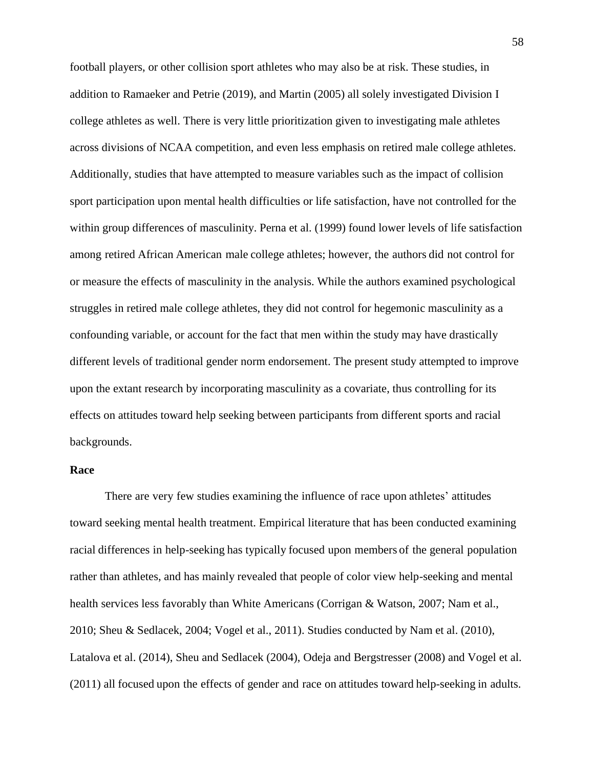football players, or other collision sport athletes who may also be at risk. These studies, in addition to Ramaeker and Petrie (2019), and Martin (2005) all solely investigated Division I college athletes as well. There is very little prioritization given to investigating male athletes across divisions of NCAA competition, and even less emphasis on retired male college athletes. Additionally, studies that have attempted to measure variables such as the impact of collision sport participation upon mental health difficulties or life satisfaction, have not controlled for the within group differences of masculinity. Perna et al. (1999) found lower levels of life satisfaction among retired African American male college athletes; however, the authors did not control for or measure the effects of masculinity in the analysis. While the authors examined psychological struggles in retired male college athletes, they did not control for hegemonic masculinity as a confounding variable, or account for the fact that men within the study may have drastically different levels of traditional gender norm endorsement. The present study attempted to improve upon the extant research by incorporating masculinity as a covariate, thus controlling for its effects on attitudes toward help seeking between participants from different sports and racial backgrounds.

# **Race**

There are very few studies examining the influence of race upon athletes' attitudes toward seeking mental health treatment. Empirical literature that has been conducted examining racial differences in help-seeking has typically focused upon members of the general population rather than athletes, and has mainly revealed that people of color view help-seeking and mental health services less favorably than White Americans (Corrigan & Watson, 2007; Nam et al., 2010; Sheu & Sedlacek, 2004; Vogel et al., 2011). Studies conducted by Nam et al. (2010), Latalova et al. (2014), Sheu and Sedlacek (2004), Odeja and Bergstresser (2008) and Vogel et al. (2011) all focused upon the effects of gender and race on attitudes toward help-seeking in adults.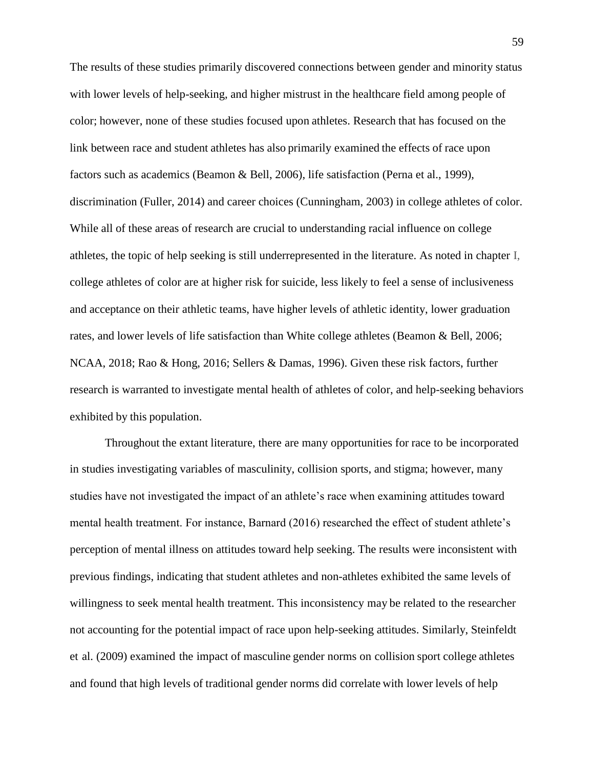The results of these studies primarily discovered connections between gender and minority status with lower levels of help-seeking, and higher mistrust in the healthcare field among people of color; however, none of these studies focused upon athletes. Research that has focused on the link between race and student athletes has also primarily examined the effects of race upon factors such as academics (Beamon & Bell, 2006), life satisfaction (Perna et al., 1999), discrimination (Fuller, 2014) and career choices (Cunningham, 2003) in college athletes of color. While all of these areas of research are crucial to understanding racial influence on college athletes, the topic of help seeking is still underrepresented in the literature. As noted in chapter I, college athletes of color are at higher risk for suicide, less likely to feel a sense of inclusiveness and acceptance on their athletic teams, have higher levels of athletic identity, lower graduation rates, and lower levels of life satisfaction than White college athletes (Beamon & Bell, 2006; NCAA, 2018; Rao & Hong, 2016; Sellers & Damas, 1996). Given these risk factors, further research is warranted to investigate mental health of athletes of color, and help-seeking behaviors exhibited by this population.

Throughout the extant literature, there are many opportunities for race to be incorporated in studies investigating variables of masculinity, collision sports, and stigma; however, many studies have not investigated the impact of an athlete's race when examining attitudes toward mental health treatment. For instance, Barnard (2016) researched the effect of student athlete's perception of mental illness on attitudes toward help seeking. The results were inconsistent with previous findings, indicating that student athletes and non-athletes exhibited the same levels of willingness to seek mental health treatment. This inconsistency may be related to the researcher not accounting for the potential impact of race upon help-seeking attitudes. Similarly, Steinfeldt et al. (2009) examined the impact of masculine gender norms on collision sport college athletes and found that high levels of traditional gender norms did correlate with lower levels of help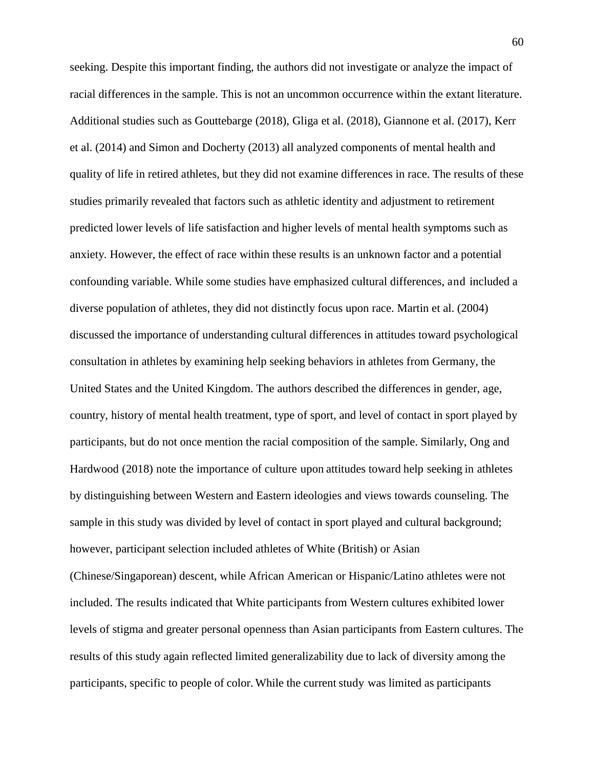seeking. Despite this important finding, the authors did not investigate or analyze the impact of racial differences in the sample. This is not an uncommon occurrence within the extant literature. Additional studies such as Gouttebarge (2018), Gliga et al. (2018), Giannone et al. (2017), Kerr et al. (2014) and Simon and Docherty (2013) all analyzed components of mental health and quality of life in retired athletes, but they did not examine differences in race. The results of these studies primarily revealed that factors such as athletic identity and adjustment to retirement predicted lower levels of life satisfaction and higher levels of mental health symptoms such as anxiety. However, the effect of race within these results is an unknown factor and a potential confounding variable. While some studies have emphasized cultural differences, and included a diverse population of athletes, they did not distinctly focus upon race. Martin et al. (2004) discussed the importance of understanding cultural differences in attitudes toward psychological consultation in athletes by examining help seeking behaviors in athletes from Germany, the United States and the United Kingdom. The authors described the differences in gender, age, country, history of mental health treatment, type of sport, and level of contact in sport played by participants, but do not once mention the racial composition of the sample. Similarly, Ong and Hardwood (2018) note the importance of culture upon attitudes toward help seeking in athletes by distinguishing between Western and Eastern ideologies and views towards counseling. The sample in this study was divided by level of contact in sport played and cultural background; however, participant selection included athletes of White (British) or Asian (Chinese/Singaporean) descent, while African American or Hispanic/Latino athletes were not included. The results indicated that White participants from Western cultures exhibited lower

levels of stigma and greater personal openness than Asian participants from Eastern cultures. The results of this study again reflected limited generalizability due to lack of diversity among the participants, specific to people of color. While the current study was limited as participants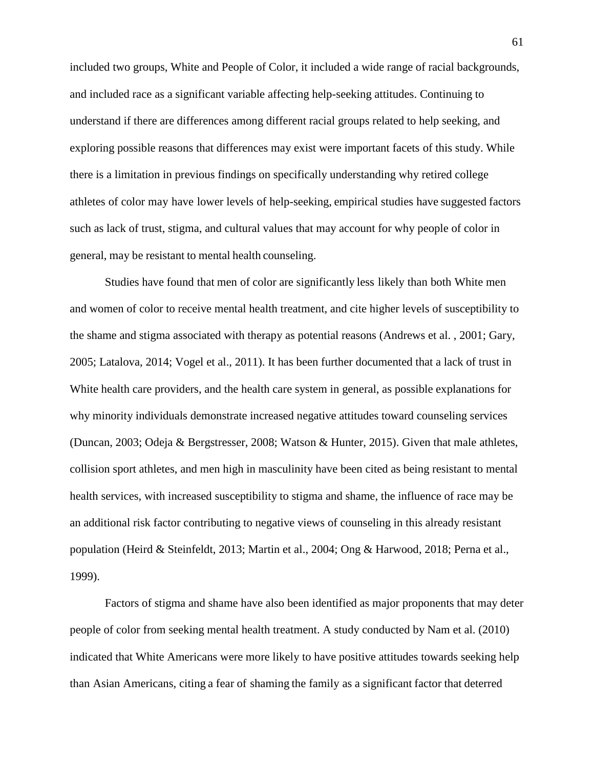included two groups, White and People of Color, it included a wide range of racial backgrounds, and included race as a significant variable affecting help-seeking attitudes. Continuing to understand if there are differences among different racial groups related to help seeking, and exploring possible reasons that differences may exist were important facets of this study. While there is a limitation in previous findings on specifically understanding why retired college athletes of color may have lower levels of help-seeking, empirical studies have suggested factors such as lack of trust, stigma, and cultural values that may account for why people of color in general, may be resistant to mental health counseling.

Studies have found that men of color are significantly less likely than both White men and women of color to receive mental health treatment, and cite higher levels of susceptibility to the shame and stigma associated with therapy as potential reasons (Andrews et al. , 2001; Gary, 2005; Latalova, 2014; Vogel et al., 2011). It has been further documented that a lack of trust in White health care providers, and the health care system in general, as possible explanations for why minority individuals demonstrate increased negative attitudes toward counseling services (Duncan, 2003; Odeja & Bergstresser, 2008; Watson & Hunter, 2015). Given that male athletes, collision sport athletes, and men high in masculinity have been cited as being resistant to mental health services, with increased susceptibility to stigma and shame, the influence of race may be an additional risk factor contributing to negative views of counseling in this already resistant population (Heird & Steinfeldt, 2013; Martin et al., 2004; Ong & Harwood, 2018; Perna et al., 1999).

Factors of stigma and shame have also been identified as major proponents that may deter people of color from seeking mental health treatment. A study conducted by Nam et al. (2010) indicated that White Americans were more likely to have positive attitudes towards seeking help than Asian Americans, citing a fear of shaming the family as a significant factor that deterred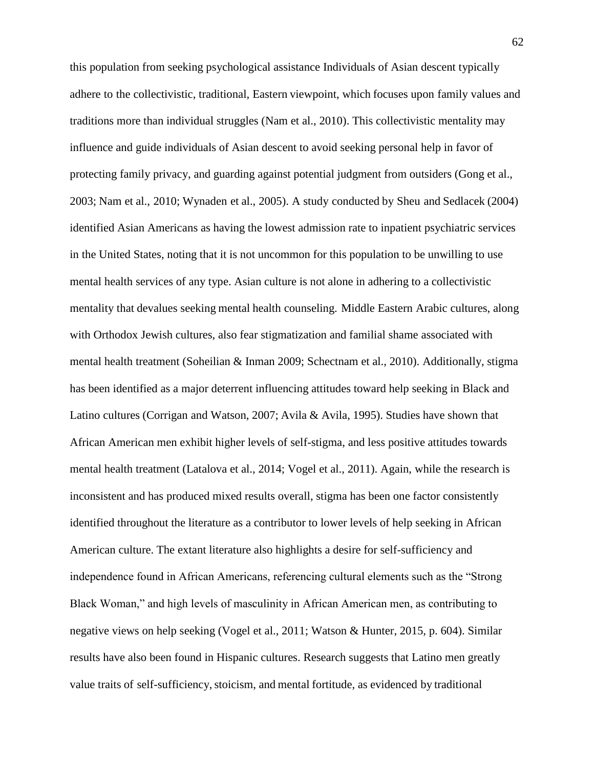this population from seeking psychological assistance Individuals of Asian descent typically adhere to the collectivistic, traditional, Eastern viewpoint, which focuses upon family values and traditions more than individual struggles (Nam et al., 2010). This collectivistic mentality may influence and guide individuals of Asian descent to avoid seeking personal help in favor of protecting family privacy, and guarding against potential judgment from outsiders (Gong et al., 2003; Nam et al., 2010; Wynaden et al., 2005). A study conducted by Sheu and Sedlacek (2004) identified Asian Americans as having the lowest admission rate to inpatient psychiatric services in the United States, noting that it is not uncommon for this population to be unwilling to use mental health services of any type. Asian culture is not alone in adhering to a collectivistic mentality that devalues seeking mental health counseling. Middle Eastern Arabic cultures, along with Orthodox Jewish cultures, also fear stigmatization and familial shame associated with mental health treatment (Soheilian & Inman 2009; Schectnam et al., 2010). Additionally, stigma has been identified as a major deterrent influencing attitudes toward help seeking in Black and Latino cultures (Corrigan and Watson, 2007; Avila & Avila, 1995). Studies have shown that African American men exhibit higher levels of self-stigma, and less positive attitudes towards mental health treatment (Latalova et al., 2014; Vogel et al., 2011). Again, while the research is inconsistent and has produced mixed results overall, stigma has been one factor consistently identified throughout the literature as a contributor to lower levels of help seeking in African American culture. The extant literature also highlights a desire for self-sufficiency and independence found in African Americans, referencing cultural elements such as the "Strong Black Woman," and high levels of masculinity in African American men, as contributing to negative views on help seeking (Vogel et al., 2011; Watson & Hunter, 2015, p. 604). Similar results have also been found in Hispanic cultures. Research suggests that Latino men greatly value traits of self-sufficiency, stoicism, and mental fortitude, as evidenced by traditional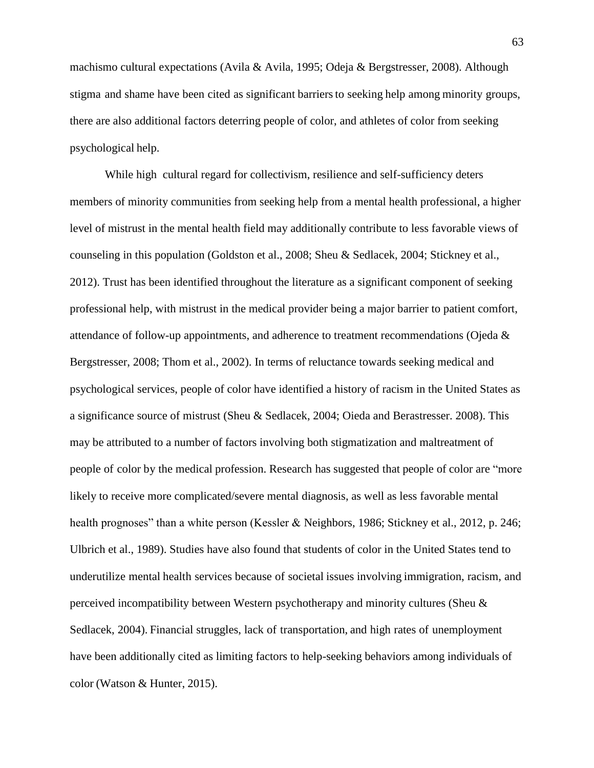machismo cultural expectations (Avila & Avila, 1995; Odeja & Bergstresser, 2008). Although stigma and shame have been cited as significant barriersto seeking help among minority groups, there are also additional factors deterring people of color, and athletes of color from seeking psychological help.

While high cultural regard for collectivism, resilience and self-sufficiency deters members of minority communities from seeking help from a mental health professional, a higher level of mistrust in the mental health field may additionally contribute to less favorable views of counseling in this population (Goldston et al., 2008; Sheu & Sedlacek, 2004; Stickney et al., 2012). Trust has been identified throughout the literature as a significant component of seeking professional help, with mistrust in the medical provider being a major barrier to patient comfort, attendance of follow-up appointments, and adherence to treatment recommendations (Ojeda & Bergstresser, 2008; Thom et al., 2002). In terms of reluctance towards seeking medical and psychological services, people of color have identified a history of racism in the United States as a significance source of mistrust (Sheu & Sedlacek, 2004; Oieda and Berastresser. 2008). This may be attributed to a number of factors involving both stigmatization and maltreatment of people of color by the medical profession. Research has suggested that people of color are "more likely to receive more complicated/severe mental diagnosis, as well as less favorable mental health prognoses" than a white person (Kessler & Neighbors, 1986; Stickney et al., 2012, p. 246; Ulbrich et al., 1989). Studies have also found that students of color in the United States tend to underutilize mental health services because of societal issues involving immigration, racism, and perceived incompatibility between Western psychotherapy and minority cultures (Sheu & Sedlacek, 2004). Financial struggles, lack of transportation, and high rates of unemployment have been additionally cited as limiting factors to help-seeking behaviors among individuals of color (Watson & Hunter, 2015).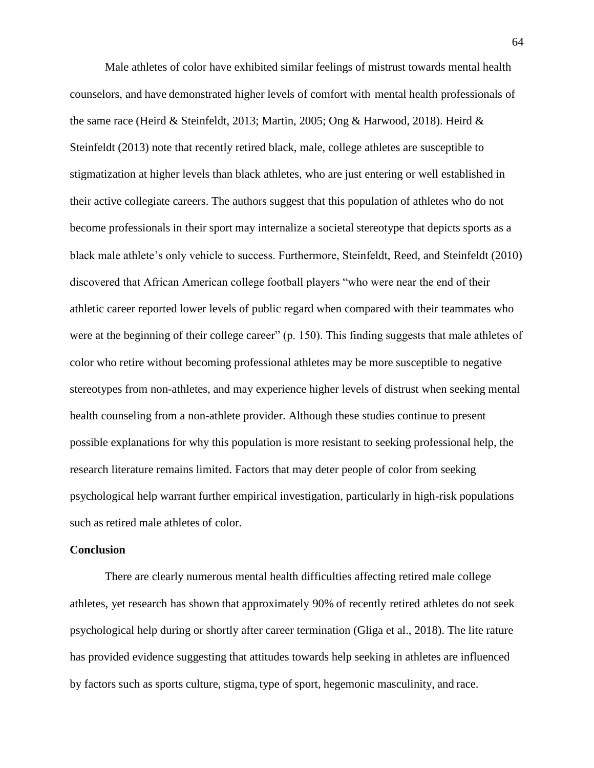Male athletes of color have exhibited similar feelings of mistrust towards mental health counselors, and have demonstrated higher levels of comfort with mental health professionals of the same race (Heird & Steinfeldt, 2013; Martin, 2005; Ong & Harwood, 2018). Heird & Steinfeldt (2013) note that recently retired black, male, college athletes are susceptible to stigmatization at higher levels than black athletes, who are just entering or well established in their active collegiate careers. The authors suggest that this population of athletes who do not become professionals in their sport may internalize a societal stereotype that depicts sports as a black male athlete's only vehicle to success. Furthermore, Steinfeldt, Reed, and Steinfeldt (2010) discovered that African American college football players "who were near the end of their athletic career reported lower levels of public regard when compared with their teammates who were at the beginning of their college career" (p. 150). This finding suggests that male athletes of color who retire without becoming professional athletes may be more susceptible to negative stereotypes from non-athletes, and may experience higher levels of distrust when seeking mental health counseling from a non-athlete provider. Although these studies continue to present possible explanations for why this population is more resistant to seeking professional help, the research literature remains limited. Factors that may deter people of color from seeking psychological help warrant further empirical investigation, particularly in high-risk populations such as retired male athletes of color.

### **Conclusion**

There are clearly numerous mental health difficulties affecting retired male college athletes, yet research has shown that approximately 90% of recently retired athletes do not seek psychological help during or shortly after career termination (Gliga et al., 2018). The lite rature has provided evidence suggesting that attitudes towards help seeking in athletes are influenced by factors such as sports culture, stigma, type of sport, hegemonic masculinity, and race.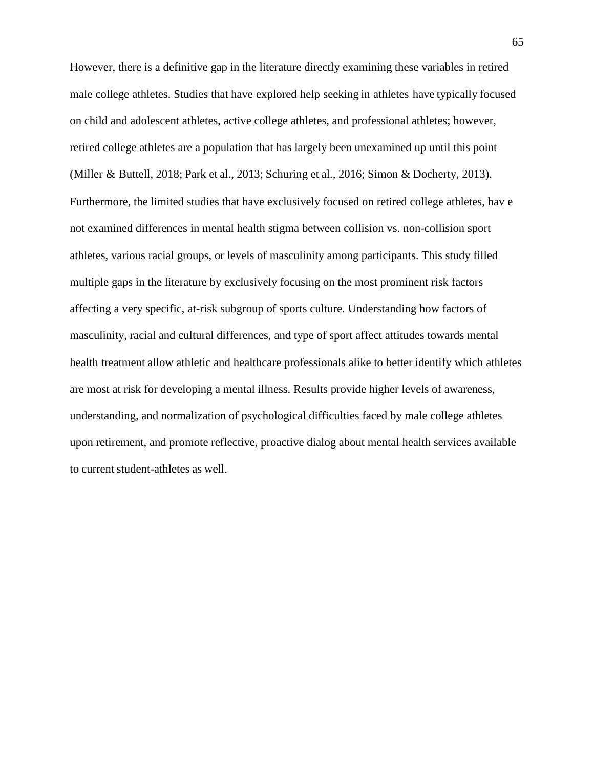However, there is a definitive gap in the literature directly examining these variables in retired male college athletes. Studies that have explored help seeking in athletes have typically focused on child and adolescent athletes, active college athletes, and professional athletes; however, retired college athletes are a population that has largely been unexamined up until this point (Miller & Buttell, 2018; Park et al., 2013; Schuring et al., 2016; Simon & Docherty, 2013). Furthermore, the limited studies that have exclusively focused on retired college athletes, hav e not examined differences in mental health stigma between collision vs. non-collision sport athletes, various racial groups, or levels of masculinity among participants. This study filled multiple gaps in the literature by exclusively focusing on the most prominent risk factors affecting a very specific, at-risk subgroup of sports culture. Understanding how factors of masculinity, racial and cultural differences, and type of sport affect attitudes towards mental health treatment allow athletic and healthcare professionals alike to better identify which athletes are most at risk for developing a mental illness. Results provide higher levels of awareness, understanding, and normalization of psychological difficulties faced by male college athletes upon retirement, and promote reflective, proactive dialog about mental health services available to current student-athletes as well.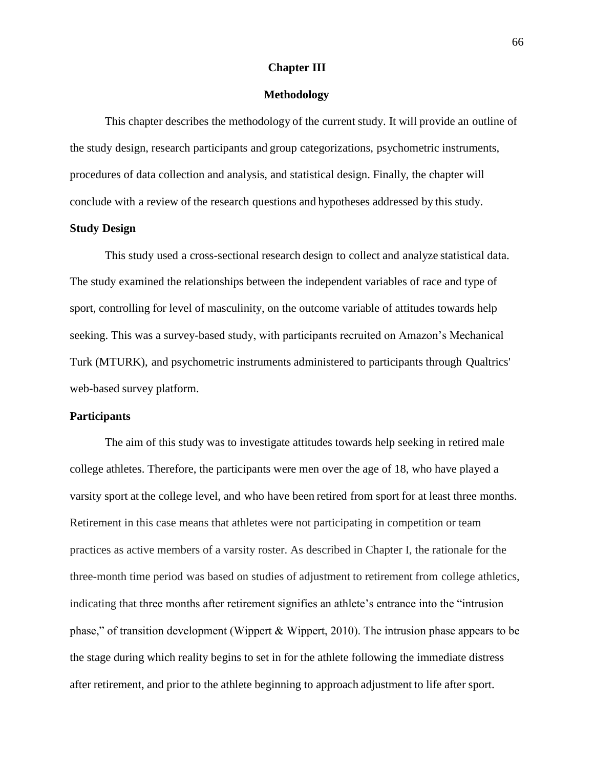### **Chapter III**

### **Methodology**

This chapter describes the methodology of the current study. It will provide an outline of the study design, research participants and group categorizations, psychometric instruments, procedures of data collection and analysis, and statistical design. Finally, the chapter will conclude with a review of the research questions and hypotheses addressed by this study.

#### **Study Design**

This study used a cross-sectional research design to collect and analyze statistical data. The study examined the relationships between the independent variables of race and type of sport, controlling for level of masculinity, on the outcome variable of attitudes towards help seeking. This was a survey-based study, with participants recruited on Amazon's Mechanical Turk (MTURK), and psychometric instruments administered to participants through Qualtrics' web-based survey platform.

# **Participants**

The aim of this study was to investigate attitudes towards help seeking in retired male college athletes. Therefore, the participants were men over the age of 18, who have played a varsity sport at the college level, and who have been retired from sport for at least three months. Retirement in this case means that athletes were not participating in competition or team practices as active members of a varsity roster. As described in Chapter I, the rationale for the three-month time period was based on studies of adjustment to retirement from college athletics, indicating that three months after retirement signifies an athlete's entrance into the "intrusion phase," of transition development (Wippert & Wippert, 2010). The intrusion phase appears to be the stage during which reality begins to set in for the athlete following the immediate distress after retirement, and prior to the athlete beginning to approach adjustment to life after sport.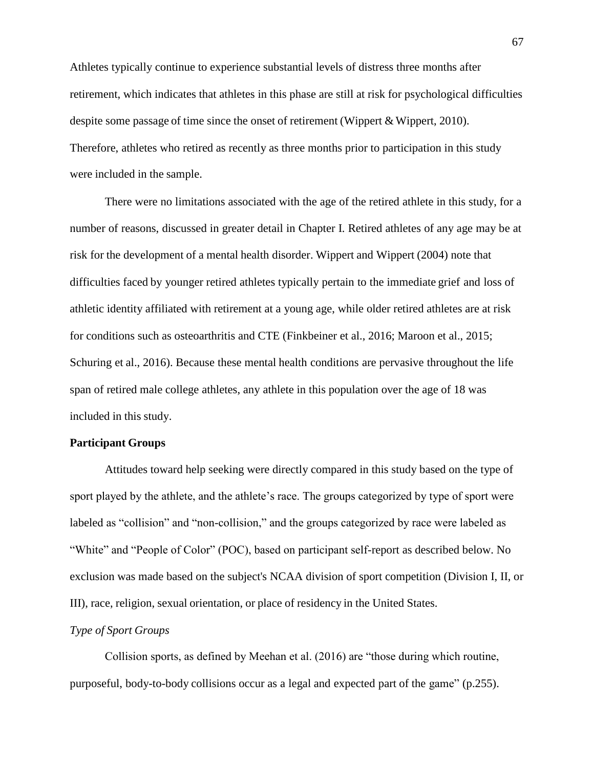Athletes typically continue to experience substantial levels of distress three months after retirement, which indicates that athletes in this phase are still at risk for psychological difficulties despite some passage of time since the onset of retirement (Wippert & Wippert, 2010). Therefore, athletes who retired as recently as three months prior to participation in this study were included in the sample.

There were no limitations associated with the age of the retired athlete in this study, for a number of reasons, discussed in greater detail in Chapter I. Retired athletes of any age may be at risk for the development of a mental health disorder. Wippert and Wippert (2004) note that difficulties faced by younger retired athletes typically pertain to the immediate grief and loss of athletic identity affiliated with retirement at a young age, while older retired athletes are at risk for conditions such as osteoarthritis and CTE (Finkbeiner et al., 2016; Maroon et al., 2015; Schuring et al., 2016). Because these mental health conditions are pervasive throughout the life span of retired male college athletes, any athlete in this population over the age of 18 was included in this study.

## **Participant Groups**

Attitudes toward help seeking were directly compared in this study based on the type of sport played by the athlete, and the athlete's race. The groups categorized by type of sport were labeled as "collision" and "non-collision," and the groups categorized by race were labeled as "White" and "People of Color" (POC), based on participant self-report as described below. No exclusion was made based on the subject's NCAA division of sport competition (Division I, II, or III), race, religion, sexual orientation, or place of residency in the United States.

### *Type of Sport Groups*

Collision sports, as defined by Meehan et al. (2016) are "those during which routine, purposeful, body-to-body collisions occur as a legal and expected part of the game" (p.255).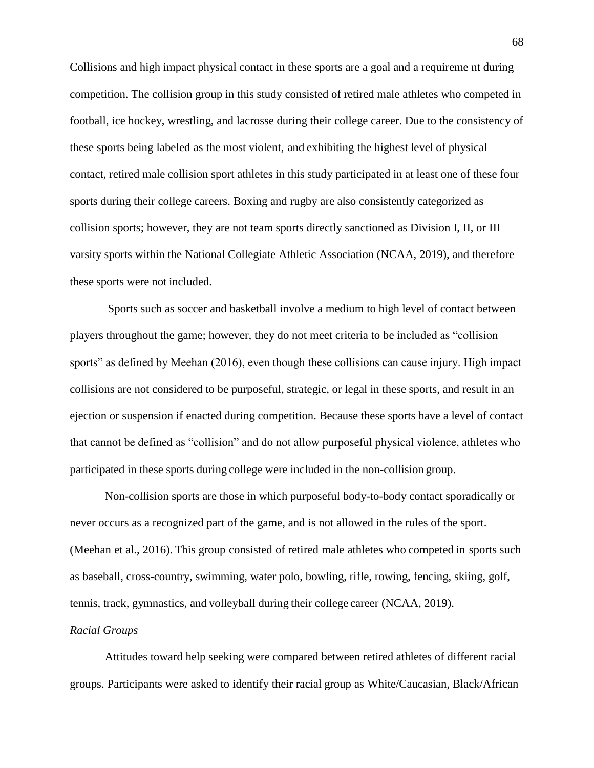Collisions and high impact physical contact in these sports are a goal and a requireme nt during competition. The collision group in this study consisted of retired male athletes who competed in football, ice hockey, wrestling, and lacrosse during their college career. Due to the consistency of these sports being labeled as the most violent, and exhibiting the highest level of physical contact, retired male collision sport athletes in this study participated in at least one of these four sports during their college careers. Boxing and rugby are also consistently categorized as collision sports; however, they are not team sports directly sanctioned as Division I, II, or III varsity sports within the National Collegiate Athletic Association (NCAA, 2019), and therefore these sports were not included.

Sports such as soccer and basketball involve a medium to high level of contact between players throughout the game; however, they do not meet criteria to be included as "collision sports" as defined by Meehan (2016), even though these collisions can cause injury. High impact collisions are not considered to be purposeful, strategic, or legal in these sports, and result in an ejection or suspension if enacted during competition. Because these sports have a level of contact that cannot be defined as "collision" and do not allow purposeful physical violence, athletes who participated in these sports during college were included in the non-collision group.

Non-collision sports are those in which purposeful body-to-body contact sporadically or never occurs as a recognized part of the game, and is not allowed in the rules of the sport. (Meehan et al., 2016). This group consisted of retired male athletes who competed in sports such as baseball, cross-country, swimming, water polo, bowling, rifle, rowing, fencing, skiing, golf, tennis, track, gymnastics, and volleyball during their college career (NCAA, 2019).

### *Racial Groups*

Attitudes toward help seeking were compared between retired athletes of different racial groups. Participants were asked to identify their racial group as White/Caucasian, Black/African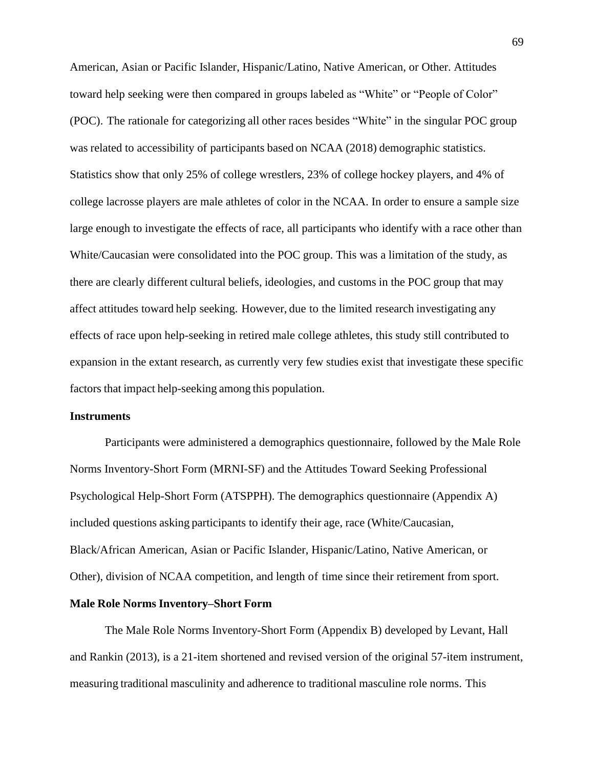American, Asian or Pacific Islander, Hispanic/Latino, Native American, or Other. Attitudes toward help seeking were then compared in groups labeled as "White" or "People of Color" (POC). The rationale for categorizing all other races besides "White" in the singular POC group was related to accessibility of participants based on NCAA (2018) demographic statistics. Statistics show that only 25% of college wrestlers, 23% of college hockey players, and 4% of college lacrosse players are male athletes of color in the NCAA. In order to ensure a sample size large enough to investigate the effects of race, all participants who identify with a race other than White/Caucasian were consolidated into the POC group. This was a limitation of the study, as there are clearly different cultural beliefs, ideologies, and customs in the POC group that may affect attitudes toward help seeking. However, due to the limited research investigating any effects of race upon help-seeking in retired male college athletes, this study still contributed to expansion in the extant research, as currently very few studies exist that investigate these specific factors that impact help-seeking among this population.

# **Instruments**

Participants were administered a demographics questionnaire, followed by the Male Role Norms Inventory-Short Form (MRNI-SF) and the Attitudes Toward Seeking Professional Psychological Help-Short Form (ATSPPH). The demographics questionnaire (Appendix A) included questions asking participants to identify their age, race (White/Caucasian, Black/African American, Asian or Pacific Islander, Hispanic/Latino, Native American, or Other), division of NCAA competition, and length of time since their retirement from sport.

### **Male Role Norms Inventory–Short Form**

The Male Role Norms Inventory-Short Form (Appendix B) developed by Levant, Hall and Rankin (2013), is a 21-item shortened and revised version of the original 57-item instrument, measuring traditional masculinity and adherence to traditional masculine role norms. This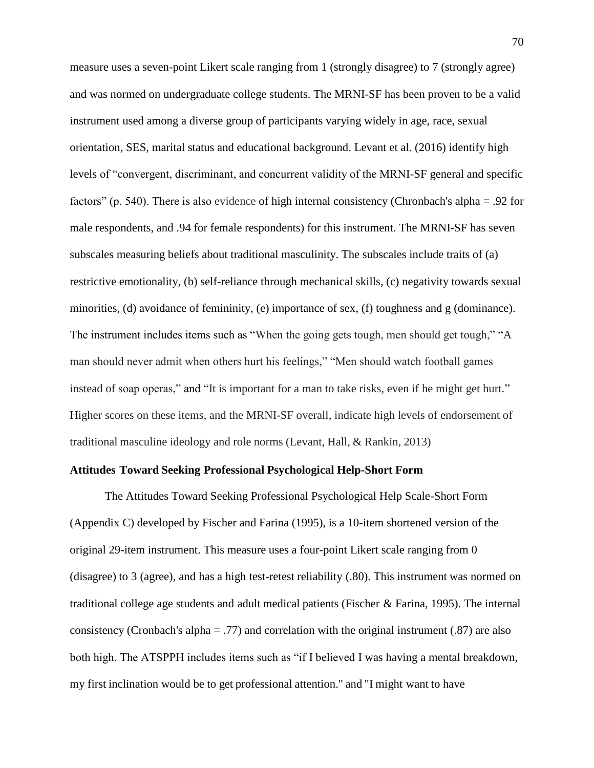measure uses a seven-point Likert scale ranging from 1 (strongly disagree) to 7 (strongly agree) and was normed on undergraduate college students. The MRNI-SF has been proven to be a valid instrument used among a diverse group of participants varying widely in age, race, sexual orientation, SES, marital status and educational background. Levant et al. (2016) identify high levels of "convergent, discriminant, and concurrent validity of the MRNI-SF general and specific factors" (p. 540). There is also evidence of high internal consistency (Chronbach's alpha = .92 for male respondents, and .94 for female respondents) for this instrument. The MRNI-SF has seven subscales measuring beliefs about traditional masculinity. The subscales include traits of (a) restrictive emotionality, (b) self-reliance through mechanical skills, (c) negativity towards sexual minorities, (d) avoidance of femininity, (e) importance of sex, (f) toughness and g (dominance). The instrument includes items such as "When the going gets tough, men should get tough," "A man should never admit when others hurt his feelings," "Men should watch football games instead of soap operas," and "It is important for a man to take risks, even if he might get hurt." Higher scores on these items, and the MRNI-SF overall, indicate high levels of endorsement of traditional masculine ideology and role norms (Levant, Hall, & Rankin, 2013)

## **Attitudes Toward Seeking Professional Psychological Help-Short Form**

The Attitudes Toward Seeking Professional Psychological Help Scale-Short Form (Appendix C) developed by Fischer and Farina (1995), is a 10-item shortened version of the original 29-item instrument. This measure uses a four-point Likert scale ranging from 0 (disagree) to 3 (agree), and has a high test-retest reliability (.80). This instrument was normed on traditional college age students and adult medical patients (Fischer & Farina, 1995). The internal consistency (Cronbach's alpha = .77) and correlation with the original instrument (.87) are also both high. The ATSPPH includes items such as "if I believed I was having a mental breakdown, my first inclination would be to get professional attention." and "I might want to have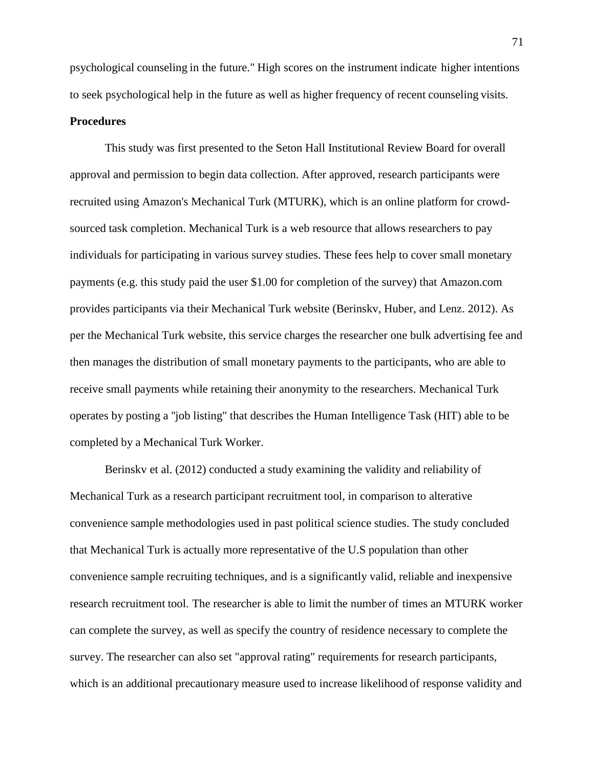psychological counseling in the future." High scores on the instrument indicate higher intentions to seek psychological help in the future as well as higher frequency of recent counseling visits.

### **Procedures**

This study was first presented to the Seton Hall Institutional Review Board for overall approval and permission to begin data collection. After approved, research participants were recruited using Amazon's Mechanical Turk (MTURK), which is an online platform for crowdsourced task completion. Mechanical Turk is a web resource that allows researchers to pay individuals for participating in various survey studies. These fees help to cover small monetary payments (e.g. this study paid the user \$1.00 for completion of the survey) that Amazon.com provides participants via their Mechanical Turk website (Berinskv, Huber, and Lenz. 2012). As per the Mechanical Turk website, this service charges the researcher one bulk advertising fee and then manages the distribution of small monetary payments to the participants, who are able to receive small payments while retaining their anonymity to the researchers. Mechanical Turk operates by posting a ''job listing" that describes the Human Intelligence Task (HIT) able to be completed by a Mechanical Turk Worker.

Berinskv et al. (2012) conducted a study examining the validity and reliability of Mechanical Turk as a research participant recruitment tool, in comparison to alterative convenience sample methodologies used in past political science studies. The study concluded that Mechanical Turk is actually more representative of the U.S population than other convenience sample recruiting techniques, and is a significantly valid, reliable and inexpensive research recruitment tool. The researcher is able to limit the number of times an MTURK worker can complete the survey, as well as specify the country of residence necessary to complete the survey. The researcher can also set "approval rating" requirements for research participants, which is an additional precautionary measure used to increase likelihood of response validity and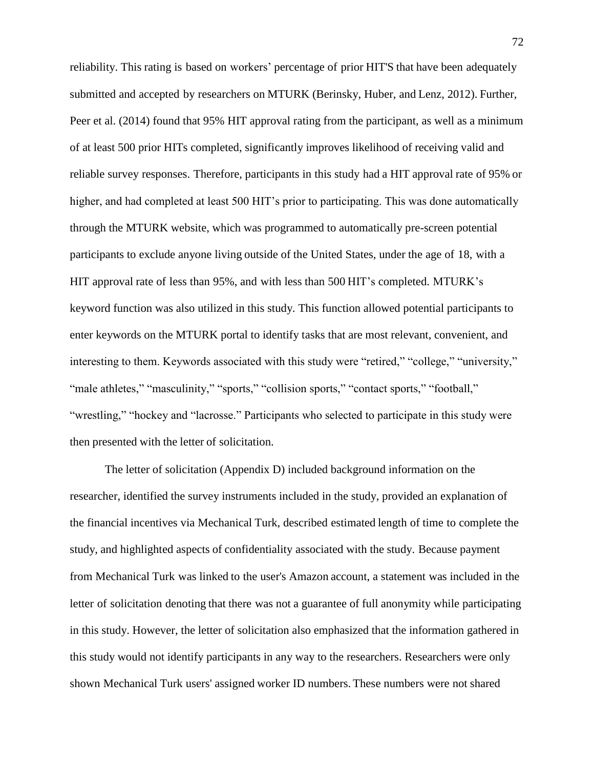reliability. This rating is based on workers' percentage of prior HIT'S that have been adequately submitted and accepted by researchers on MTURK (Berinsky, Huber, and Lenz, 2012). Further, Peer et al. (2014) found that 95% HIT approval rating from the participant, as well as a minimum of at least 500 prior HITs completed, significantly improves likelihood of receiving valid and reliable survey responses. Therefore, participants in this study had a HIT approval rate of 95% or higher, and had completed at least 500 HIT's prior to participating. This was done automatically through the MTURK website, which was programmed to automatically pre-screen potential participants to exclude anyone living outside of the United States, under the age of 18, with a HIT approval rate of less than 95%, and with less than 500 HIT's completed. MTURK's keyword function was also utilized in this study. This function allowed potential participants to enter keywords on the MTURK portal to identify tasks that are most relevant, convenient, and interesting to them. Keywords associated with this study were "retired," "college," "university," "male athletes," "masculinity," "sports," "collision sports," "contact sports," "football," "wrestling," "hockey and "lacrosse." Participants who selected to participate in this study were then presented with the letter of solicitation.

The letter of solicitation (Appendix D) included background information on the researcher, identified the survey instruments included in the study, provided an explanation of the financial incentives via Mechanical Turk, described estimated length of time to complete the study, and highlighted aspects of confidentiality associated with the study. Because payment from Mechanical Turk was linked to the user's Amazon account, a statement was included in the letter of solicitation denoting that there was not a guarantee of full anonymity while participating in this study. However, the letter of solicitation also emphasized that the information gathered in this study would not identify participants in any way to the researchers. Researchers were only shown Mechanical Turk users' assigned worker ID numbers. These numbers were not shared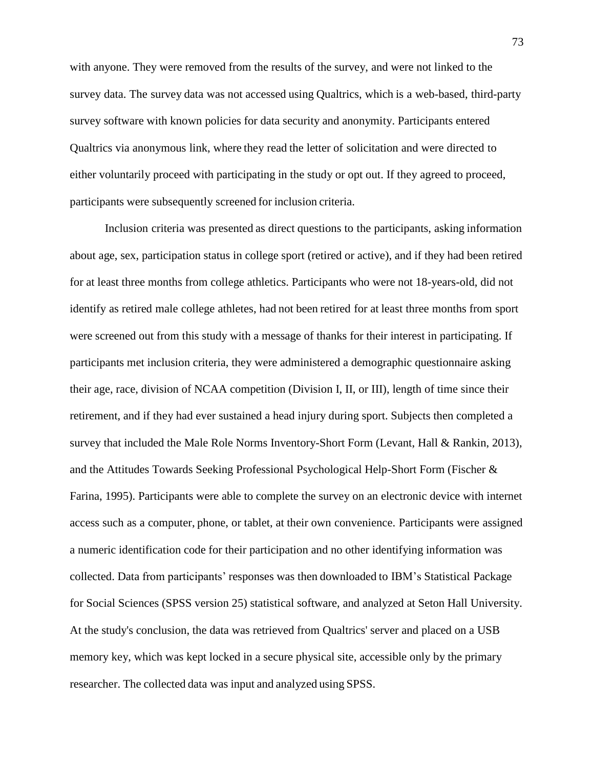with anyone. They were removed from the results of the survey, and were not linked to the survey data. The survey data was not accessed using Qualtrics, which is a web-based, third-party survey software with known policies for data security and anonymity. Participants entered Qualtrics via anonymous link, where they read the letter of solicitation and were directed to either voluntarily proceed with participating in the study or opt out. If they agreed to proceed, participants were subsequently screened for inclusion criteria.

Inclusion criteria was presented as direct questions to the participants, asking information about age, sex, participation status in college sport (retired or active), and if they had been retired for at least three months from college athletics. Participants who were not 18-years-old, did not identify as retired male college athletes, had not been retired for at least three months from sport were screened out from this study with a message of thanks for their interest in participating. If participants met inclusion criteria, they were administered a demographic questionnaire asking their age, race, division of NCAA competition (Division I, II, or III), length of time since their retirement, and if they had ever sustained a head injury during sport. Subjects then completed a survey that included the Male Role Norms Inventory-Short Form (Levant, Hall & Rankin, 2013), and the Attitudes Towards Seeking Professional Psychological Help-Short Form (Fischer & Farina, 1995). Participants were able to complete the survey on an electronic device with internet access such as a computer, phone, or tablet, at their own convenience. Participants were assigned a numeric identification code for their participation and no other identifying information was collected. Data from participants' responses was then downloaded to IBM's Statistical Package for Social Sciences (SPSS version 25) statistical software, and analyzed at Seton Hall University. At the study's conclusion, the data was retrieved from Qualtrics' server and placed on a USB memory key, which was kept locked in a secure physical site, accessible only by the primary researcher. The collected data was input and analyzed using SPSS.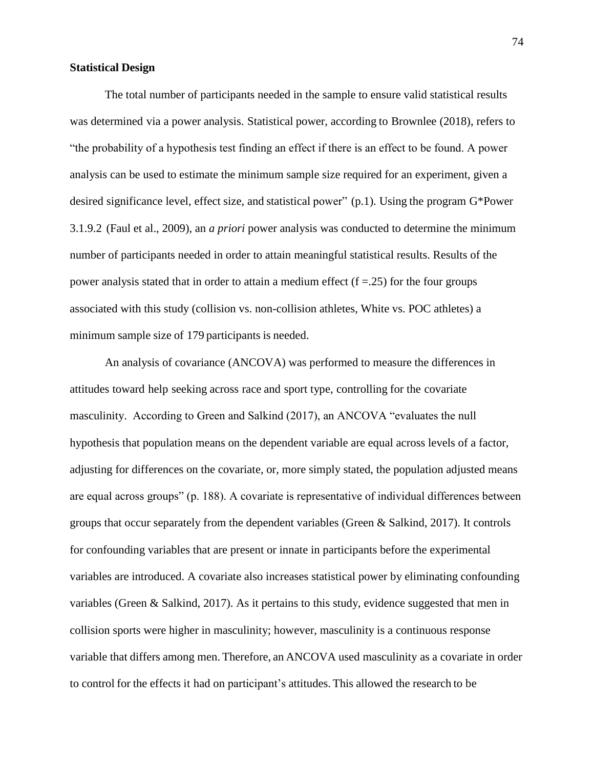### **Statistical Design**

The total number of participants needed in the sample to ensure valid statistical results was determined via a power analysis. Statistical power, according to Brownlee (2018), refers to "the probability of a hypothesis test finding an effect if there is an effect to be found. A power analysis can be used to estimate the minimum sample size required for an experiment, given a desired significance level, effect size, and statistical power" (p.1). Using the program G\*Power 3.1.9.2 (Faul et al., 2009), an *a priori* power analysis was conducted to determine the minimum number of participants needed in order to attain meaningful statistical results. Results of the power analysis stated that in order to attain a medium effect  $(f = .25)$  for the four groups associated with this study (collision vs. non-collision athletes, White vs. POC athletes) a minimum sample size of 179 participants is needed.

An analysis of covariance (ANCOVA) was performed to measure the differences in attitudes toward help seeking across race and sport type, controlling for the covariate masculinity. According to Green and Salkind (2017), an ANCOVA "evaluates the null hypothesis that population means on the dependent variable are equal across levels of a factor, adjusting for differences on the covariate, or, more simply stated, the population adjusted means are equal across groups" (p. 188). A covariate is representative of individual differences between groups that occur separately from the dependent variables (Green & Salkind, 2017). It controls for confounding variables that are present or innate in participants before the experimental variables are introduced. A covariate also increases statistical power by eliminating confounding variables (Green & Salkind, 2017). As it pertains to this study, evidence suggested that men in collision sports were higher in masculinity; however, masculinity is a continuous response variable that differs among men. Therefore, an ANCOVA used masculinity as a covariate in order to control for the effects it had on participant's attitudes. This allowed the research to be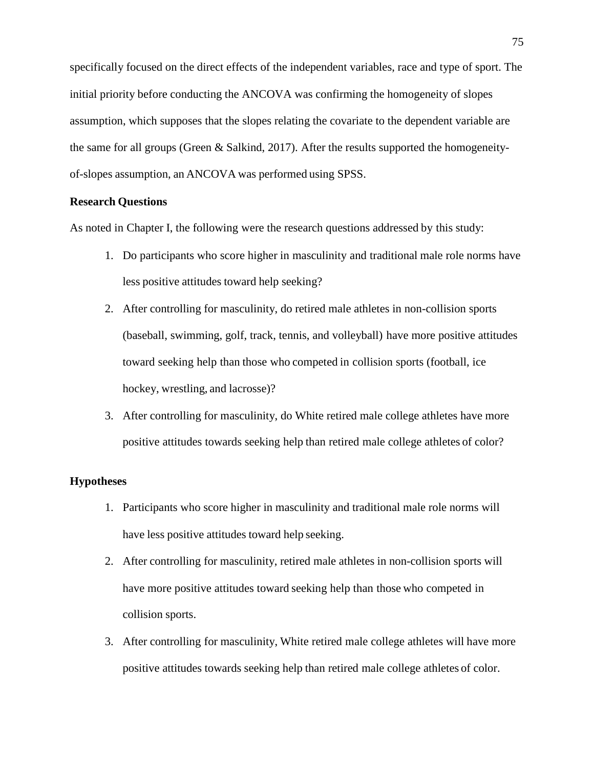specifically focused on the direct effects of the independent variables, race and type of sport. The initial priority before conducting the ANCOVA was confirming the homogeneity of slopes assumption, which supposes that the slopes relating the covariate to the dependent variable are the same for all groups (Green & Salkind, 2017). After the results supported the homogeneityof-slopes assumption, an ANCOVA was performed using SPSS.

### **Research Questions**

As noted in Chapter I, the following were the research questions addressed by this study:

- 1. Do participants who score higher in masculinity and traditional male role norms have less positive attitudes toward help seeking?
- 2. After controlling for masculinity, do retired male athletes in non-collision sports (baseball, swimming, golf, track, tennis, and volleyball) have more positive attitudes toward seeking help than those who competed in collision sports (football, ice hockey, wrestling, and lacrosse)?
- 3. After controlling for masculinity, do White retired male college athletes have more positive attitudes towards seeking help than retired male college athletes of color?

### **Hypotheses**

- 1. Participants who score higher in masculinity and traditional male role norms will have less positive attitudes toward help seeking.
- 2. After controlling for masculinity, retired male athletes in non-collision sports will have more positive attitudes toward seeking help than those who competed in collision sports.
- 3. After controlling for masculinity, White retired male college athletes will have more positive attitudes towards seeking help than retired male college athletes of color.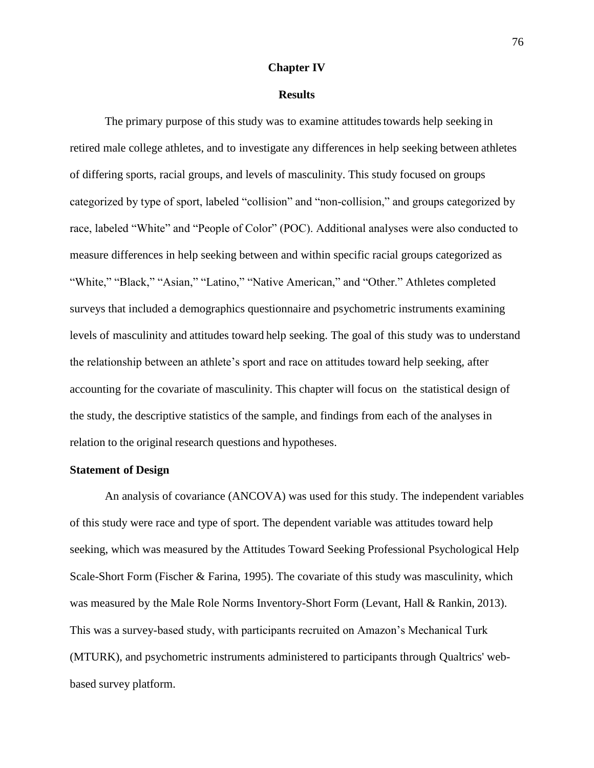### **Chapter IV**

#### **Results**

The primary purpose of this study was to examine attitudes towards help seeking in retired male college athletes, and to investigate any differences in help seeking between athletes of differing sports, racial groups, and levels of masculinity. This study focused on groups categorized by type of sport, labeled "collision" and "non-collision," and groups categorized by race, labeled "White" and "People of Color" (POC). Additional analyses were also conducted to measure differences in help seeking between and within specific racial groups categorized as "White," "Black," "Asian," "Latino," "Native American," and "Other." Athletes completed surveys that included a demographics questionnaire and psychometric instruments examining levels of masculinity and attitudes toward help seeking. The goal of this study was to understand the relationship between an athlete's sport and race on attitudes toward help seeking, after accounting for the covariate of masculinity. This chapter will focus on the statistical design of the study, the descriptive statistics of the sample, and findings from each of the analyses in relation to the original research questions and hypotheses.

### **Statement of Design**

An analysis of covariance (ANCOVA) was used for this study. The independent variables of this study were race and type of sport. The dependent variable was attitudes toward help seeking, which was measured by the Attitudes Toward Seeking Professional Psychological Help Scale-Short Form (Fischer & Farina, 1995). The covariate of this study was masculinity, which was measured by the Male Role Norms Inventory-Short Form (Levant, Hall & Rankin, 2013). This was a survey-based study, with participants recruited on Amazon's Mechanical Turk (MTURK), and psychometric instruments administered to participants through Qualtrics' webbased survey platform.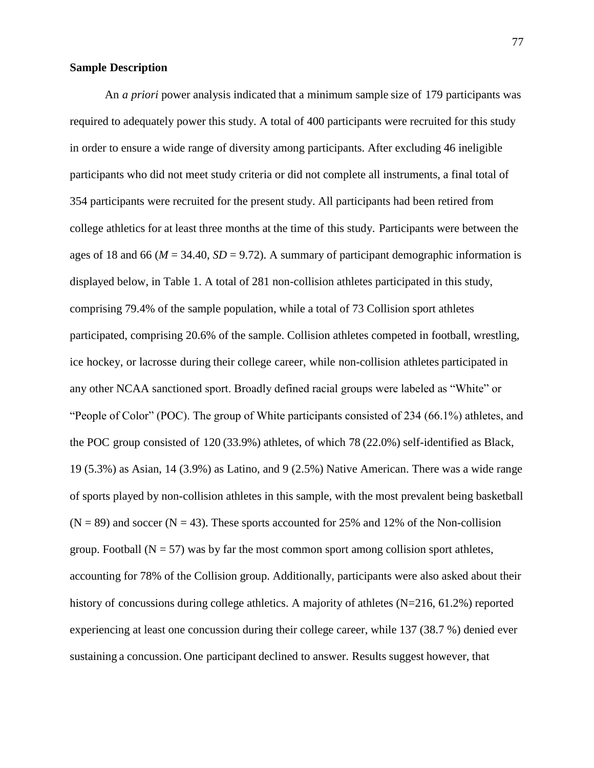### **Sample Description**

An *a priori* power analysis indicated that a minimum sample size of 179 participants was required to adequately power this study. A total of 400 participants were recruited for this study in order to ensure a wide range of diversity among participants. After excluding 46 ineligible participants who did not meet study criteria or did not complete all instruments, a final total of 354 participants were recruited for the present study. All participants had been retired from college athletics for at least three months at the time of this study. Participants were between the ages of 18 and 66 ( $M = 34.40$ ,  $SD = 9.72$ ). A summary of participant demographic information is displayed below, in Table 1. A total of 281 non-collision athletes participated in this study, comprising 79.4% of the sample population, while a total of 73 Collision sport athletes participated, comprising 20.6% of the sample. Collision athletes competed in football, wrestling, ice hockey, or lacrosse during their college career, while non-collision athletes participated in any other NCAA sanctioned sport. Broadly defined racial groups were labeled as "White" or "People of Color" (POC). The group of White participants consisted of 234 (66.1%) athletes, and the POC group consisted of 120 (33.9%) athletes, of which 78 (22.0%) self-identified as Black, 19 (5.3%) as Asian, 14 (3.9%) as Latino, and 9 (2.5%) Native American. There was a wide range of sports played by non-collision athletes in this sample, with the most prevalent being basketball  $(N = 89)$  and soccer  $(N = 43)$ . These sports accounted for 25% and 12% of the Non-collision group. Football ( $N = 57$ ) was by far the most common sport among collision sport athletes, accounting for 78% of the Collision group. Additionally, participants were also asked about their history of concussions during college athletics. A majority of athletes (N=216, 61.2%) reported experiencing at least one concussion during their college career, while 137 (38.7 %) denied ever sustaining a concussion. One participant declined to answer. Results suggest however, that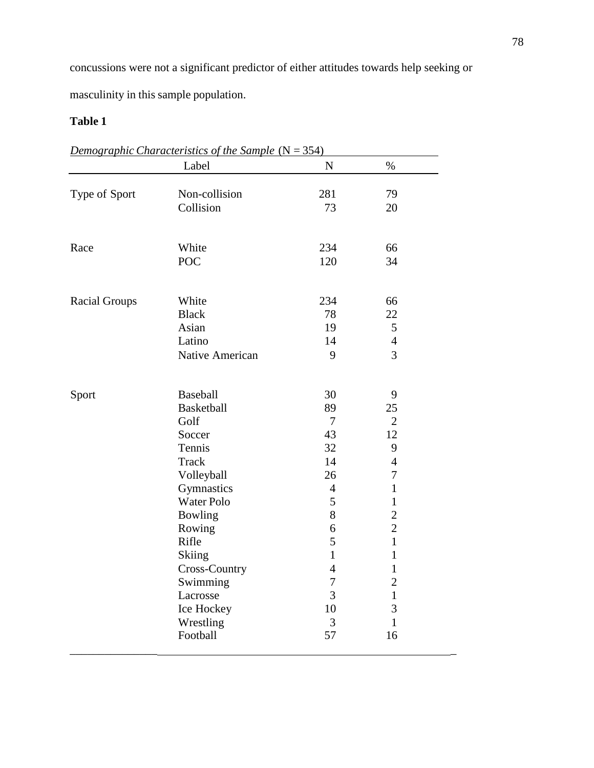concussions were not a significant predictor of either attitudes towards help seeking or

masculinity in this sample population.

# **Table 1**

|                      | Label                   | $\mathbf N$    | $\%$              |
|----------------------|-------------------------|----------------|-------------------|
|                      |                         |                |                   |
| Type of Sport        | Non-collision           | 281            | 79                |
|                      | Collision               | 73             | 20                |
| Race                 | White                   | 234            | 66                |
|                      | <b>POC</b>              | 120            | 34                |
| <b>Racial Groups</b> | White                   | 234            | 66                |
|                      | <b>Black</b>            | 78             | 22                |
|                      | Asian                   | 19             | 5                 |
|                      | Latino                  | 14             | $\overline{4}$    |
|                      | Native American         | 9              | 3                 |
| Sport                | <b>Baseball</b>         | 30             | 9                 |
|                      | <b>Basketball</b>       | 89             | 25                |
|                      | Golf                    | 7              | $\overline{2}$    |
|                      | Soccer                  | 43             | 12                |
|                      | Tennis                  | 32             | 9                 |
|                      | <b>Track</b>            | 14             | $\overline{4}$    |
|                      | Volleyball              | 26             | 7                 |
|                      | Gymnastics              | $\overline{4}$ | $\mathbf{1}$      |
|                      | Water Polo              | 5              | $\mathbf{1}$      |
|                      | Bowling                 | 8              | $\overline{c}$    |
|                      | Rowing                  | 6              | $\overline{2}$    |
|                      | Rifle                   | 5              | $\mathbf{1}$      |
|                      | Skiing                  | $\mathbf{1}$   | $\mathbf{1}$      |
|                      | Cross-Country           | $\overline{4}$ | $\mathbf{1}$      |
|                      | Swimming                | 7<br>3         | $\overline{2}$    |
|                      | Lacrosse                | 10             | $\mathbf{1}$<br>3 |
|                      | Ice Hockey<br>Wrestling | 3              | $\mathbf{1}$      |
|                      | Football                | 57             | 16                |

*Demographic Characteristics of the Sample* (N = 354)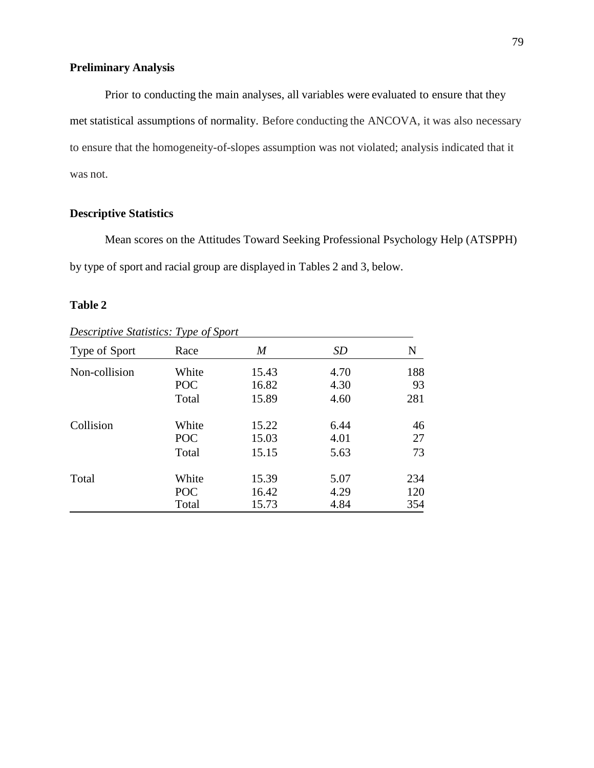# **Preliminary Analysis**

Prior to conducting the main analyses, all variables were evaluated to ensure that they met statistical assumptions of normality. Before conducting the ANCOVA, it was also necessary to ensure that the homogeneity-of-slopes assumption was not violated; analysis indicated that it was not.

# **Descriptive Statistics**

Mean scores on the Attitudes Toward Seeking Professional Psychology Help (ATSPPH) by type of sport and racial group are displayed in Tables 2 and 3, below.

# **Table 2**

| Type of Sport | Race  | M     | <b>SD</b> | N   |
|---------------|-------|-------|-----------|-----|
| Non-collision | White | 15.43 | 4.70      | 188 |
|               | POC   | 16.82 | 4.30      | 93  |
|               | Total | 15.89 | 4.60      | 281 |
| Collision     | White | 15.22 | 6.44      | 46  |
|               | POC   | 15.03 | 4.01      | 27  |
|               | Total | 15.15 | 5.63      | 73  |
| Total         | White | 15.39 | 5.07      | 234 |
|               | POC   | 16.42 | 4.29      | 120 |
|               | Total | 15.73 | 4.84      | 354 |

*Descriptive Statistics: Type of Sport*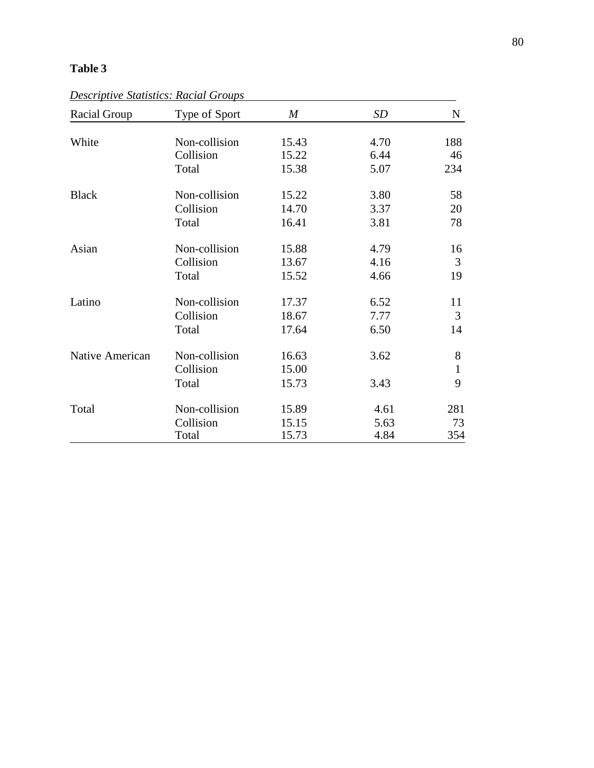# **Table 3**

*Descriptive Statistics: Racial Groups*

| Racial Group    | Type of Sport | $\boldsymbol{M}$ | SD   | N            |
|-----------------|---------------|------------------|------|--------------|
|                 |               |                  |      |              |
| White           | Non-collision | 15.43            | 4.70 | 188          |
|                 | Collision     | 15.22            | 6.44 | 46           |
|                 | Total         | 15.38            | 5.07 | 234          |
| <b>Black</b>    | Non-collision | 15.22            | 3.80 | 58           |
|                 | Collision     | 14.70            | 3.37 | 20           |
|                 | Total         | 16.41            | 3.81 | 78           |
| Asian           | Non-collision | 15.88            | 4.79 | 16           |
|                 | Collision     | 13.67            | 4.16 | 3            |
|                 | Total         | 15.52            | 4.66 | 19           |
| Latino          | Non-collision | 17.37            | 6.52 | 11           |
|                 | Collision     | 18.67            | 7.77 | 3            |
|                 | Total         | 17.64            | 6.50 | 14           |
| Native American | Non-collision | 16.63            | 3.62 | 8            |
|                 | Collision     | 15.00            |      | $\mathbf{1}$ |
|                 | Total         | 15.73            | 3.43 | 9            |
| Total           | Non-collision | 15.89            | 4.61 | 281          |
|                 | Collision     | 15.15            | 5.63 | 73           |
|                 | Total         | 15.73            | 4.84 | 354          |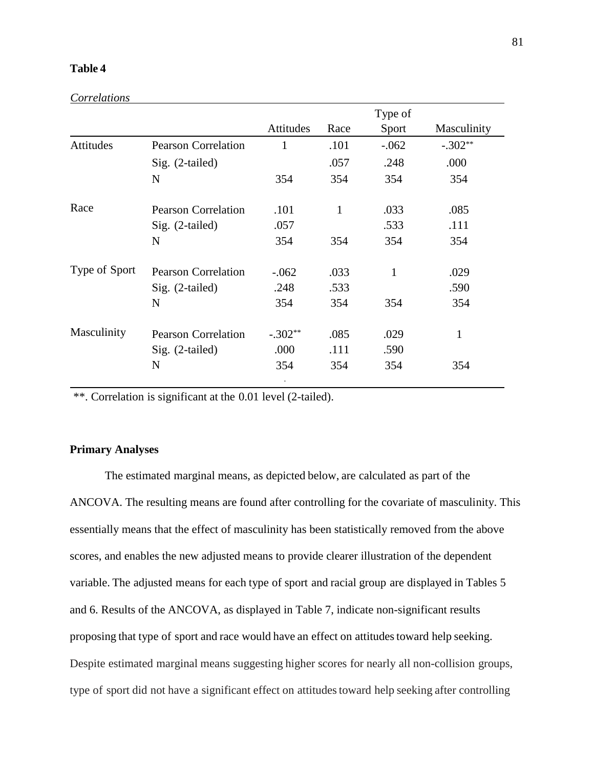# **Table 4**

|               |                            |              |              | Type of |             |
|---------------|----------------------------|--------------|--------------|---------|-------------|
|               |                            | Attitudes    | Race         | Sport   | Masculinity |
| Attitudes     | <b>Pearson Correlation</b> | $\mathbf{1}$ | .101         | $-.062$ | $-.302**$   |
|               | Sig. (2-tailed)            |              | .057         | .248    | .000        |
|               | N                          | 354          | 354          | 354     | 354         |
| Race          | <b>Pearson Correlation</b> | .101         | $\mathbf{1}$ | .033    | .085        |
|               | Sig. (2-tailed)            | .057         |              | .533    | .111        |
|               | N                          | 354          | 354          | 354     | 354         |
| Type of Sport | <b>Pearson Correlation</b> | $-.062$      | .033         | 1       | .029        |
|               | $Sig.$ (2-tailed)          | .248         | .533         |         | .590        |
|               | N                          | 354          | 354          | 354     | 354         |
| Masculinity   | <b>Pearson Correlation</b> | $-.302**$    | .085         | .029    | 1           |
|               | $Sig.$ (2-tailed)          | .000         | .111         | .590    |             |
|               | N                          | 354          | 354          | 354     | 354         |

\*\*. Correlation is significant at the 0.01 level (2-tailed).

# **Primary Analyses**

The estimated marginal means, as depicted below, are calculated as part of the ANCOVA. The resulting means are found after controlling for the covariate of masculinity. This essentially means that the effect of masculinity has been statistically removed from the above scores, and enables the new adjusted means to provide clearer illustration of the dependent variable. The adjusted means for each type of sport and racial group are displayed in Tables 5 and 6. Results of the ANCOVA, as displayed in Table 7, indicate non-significant results proposing that type of sport and race would have an effect on attitudes toward help seeking. Despite estimated marginal means suggesting higher scores for nearly all non-collision groups, type of sport did not have a significant effect on attitudes toward help seeking after controlling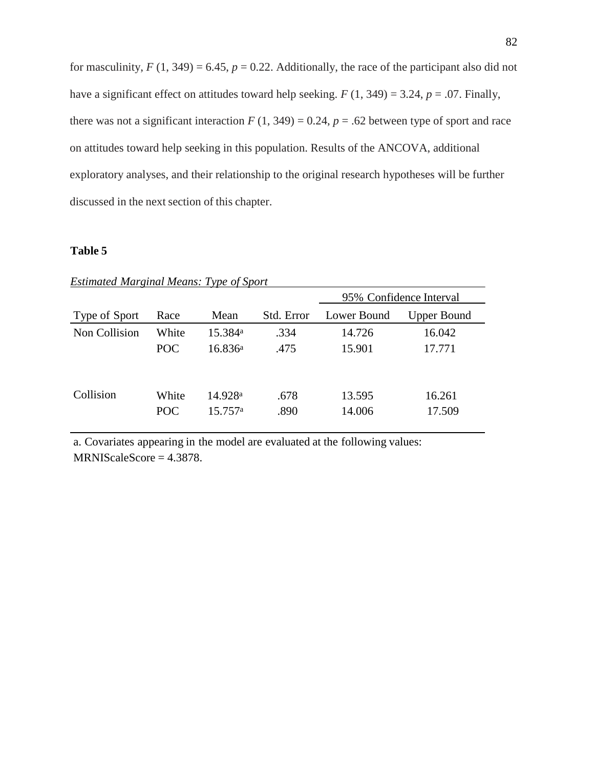for masculinity,  $F(1, 349) = 6.45$ ,  $p = 0.22$ . Additionally, the race of the participant also did not have a significant effect on attitudes toward help seeking.  $F(1, 349) = 3.24$ ,  $p = .07$ . Finally, there was not a significant interaction  $F(1, 349) = 0.24$ ,  $p = .62$  between type of sport and race on attitudes toward help seeking in this population. Results of the ANCOVA, additional exploratory analyses, and their relationship to the original research hypotheses will be further discussed in the next section of this chapter.

# **Table 5**

| <i>Estimated Marginal Means: Type of Sport</i> |              |                                |              |                  |                  |  |  |  |
|------------------------------------------------|--------------|--------------------------------|--------------|------------------|------------------|--|--|--|
| 95% Confidence Interval                        |              |                                |              |                  |                  |  |  |  |
| Type of Sport                                  | Race         | Mean                           | Std. Error   | Lower Bound      | Upper Bound      |  |  |  |
| Non Collision                                  | White        | 15.384 <sup>a</sup>            | .334         | 14.726           | 16.042           |  |  |  |
|                                                | <b>POC</b>   | 16.836a                        | .475         | 15.901           | 17.771           |  |  |  |
| Collision                                      | White<br>POC | 14.928 <sup>a</sup><br>15.757a | .678<br>.890 | 13.595<br>14.006 | 16.261<br>17.509 |  |  |  |

*Estimated Marginal Means: Type of Sport*

a. Covariates appearing in the model are evaluated at the following values: MRNIScaleScore = 4.3878.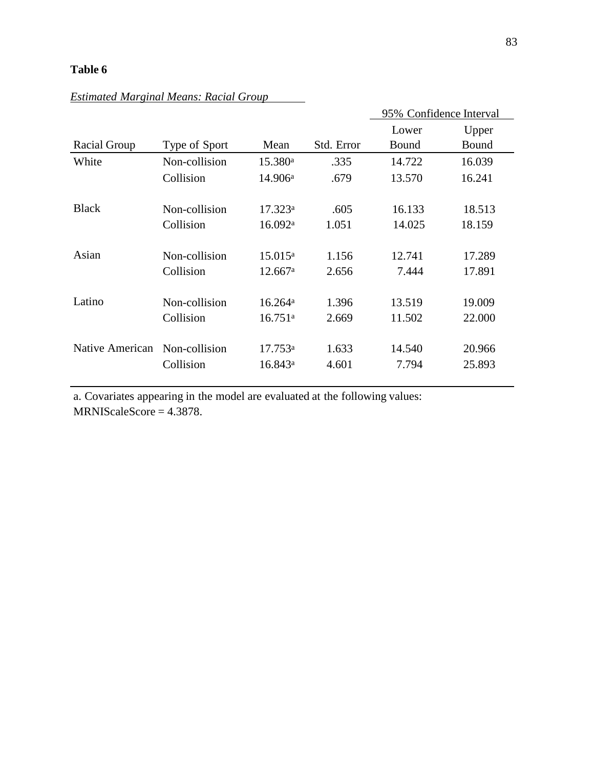# **Table 6**

|                 |               |                     |            | 95% Confidence Interval |        |
|-----------------|---------------|---------------------|------------|-------------------------|--------|
|                 |               |                     |            | Lower                   | Upper  |
| Racial Group    | Type of Sport | Mean                | Std. Error | Bound                   | Bound  |
| White           | Non-collision | 15.380 <sup>a</sup> | .335       | 14.722                  | 16.039 |
|                 | Collision     | 14.906a             | .679       | 13.570                  | 16.241 |
|                 |               |                     |            |                         |        |
| <b>Black</b>    | Non-collision | 17.323a             | .605       | 16.133                  | 18.513 |
|                 | Collision     | 16.092 <sup>a</sup> | 1.051      | 14.025                  | 18.159 |
|                 |               |                     |            |                         |        |
| Asian           | Non-collision | 15.015a             | 1.156      | 12.741                  | 17.289 |
|                 | Collision     | 12.667a             | 2.656      | 7.444                   | 17.891 |
|                 |               |                     |            |                         |        |
| Latino          | Non-collision | 16.264a             | 1.396      | 13.519                  | 19.009 |
|                 | Collision     | 16.751a             | 2.669      | 11.502                  | 22.000 |
|                 |               |                     |            |                         |        |
| Native American | Non-collision | 17.753 <sup>a</sup> | 1.633      | 14.540                  | 20.966 |
|                 | Collision     | 16.843a             | 4.601      | 7.794                   | 25.893 |
|                 |               |                     |            |                         |        |

# *Estimated Marginal Means: Racial Group*

a. Covariates appearing in the model are evaluated at the following values: MRNIScaleScore = 4.3878.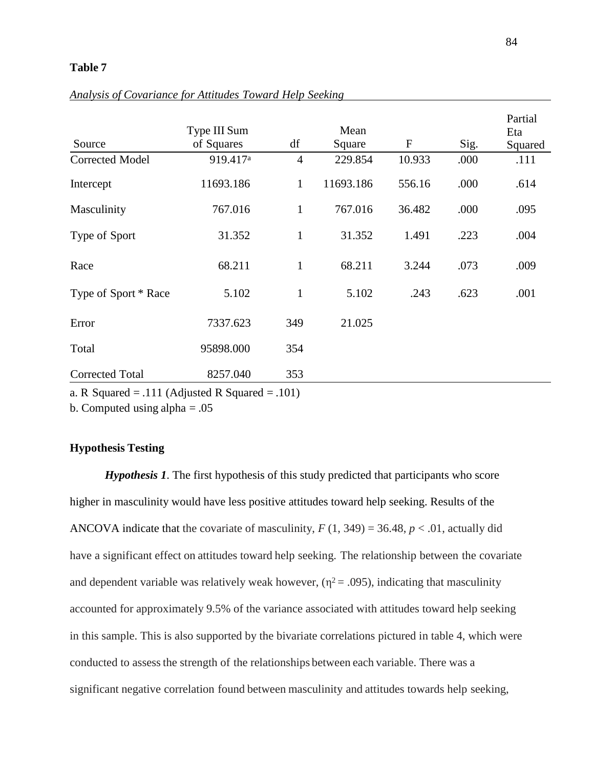## **Table 7**

| Source                 | Type III Sum<br>of Squares | df             | Mean<br>Square | F      | Sig. | Partial<br>Eta<br>Squared |
|------------------------|----------------------------|----------------|----------------|--------|------|---------------------------|
| <b>Corrected Model</b> | 919.417 <sup>a</sup>       | $\overline{4}$ | 229.854        | 10.933 | .000 | .111                      |
| Intercept              | 11693.186                  | $\mathbf{1}$   | 11693.186      | 556.16 | .000 | .614                      |
| Masculinity            | 767.016                    | $\mathbf{1}$   | 767.016        | 36.482 | .000 | .095                      |
| Type of Sport          | 31.352                     | $\mathbf{1}$   | 31.352         | 1.491  | .223 | .004                      |
| Race                   | 68.211                     | $\mathbf{1}$   | 68.211         | 3.244  | .073 | .009                      |
| Type of Sport * Race   | 5.102                      | $\mathbf{1}$   | 5.102          | .243   | .623 | .001                      |
| Error                  | 7337.623                   | 349            | 21.025         |        |      |                           |
| Total                  | 95898.000                  | 354            |                |        |      |                           |
| <b>Corrected Total</b> | 8257.040                   | 353            |                |        |      |                           |

*Analysis of Covariance for Attitudes Toward Help Seeking*

a. R Squared  $= .111$  (Adjusted R Squared  $= .101$ )

b. Computed using alpha  $= .05$ 

# **Hypothesis Testing**

*Hypothesis 1*. The first hypothesis of this study predicted that participants who score higher in masculinity would have less positive attitudes toward help seeking. Results of the ANCOVA indicate that the covariate of masculinity,  $F(1, 349) = 36.48$ ,  $p < .01$ , actually did have a significant effect on attitudes toward help seeking. The relationship between the covariate and dependent variable was relatively weak however,  $(\eta^2 = .095)$ , indicating that masculinity accounted for approximately 9.5% of the variance associated with attitudes toward help seeking in this sample. This is also supported by the bivariate correlations pictured in table 4, which were conducted to assess the strength of the relationships between each variable. There was a significant negative correlation found between masculinity and attitudes towards help seeking,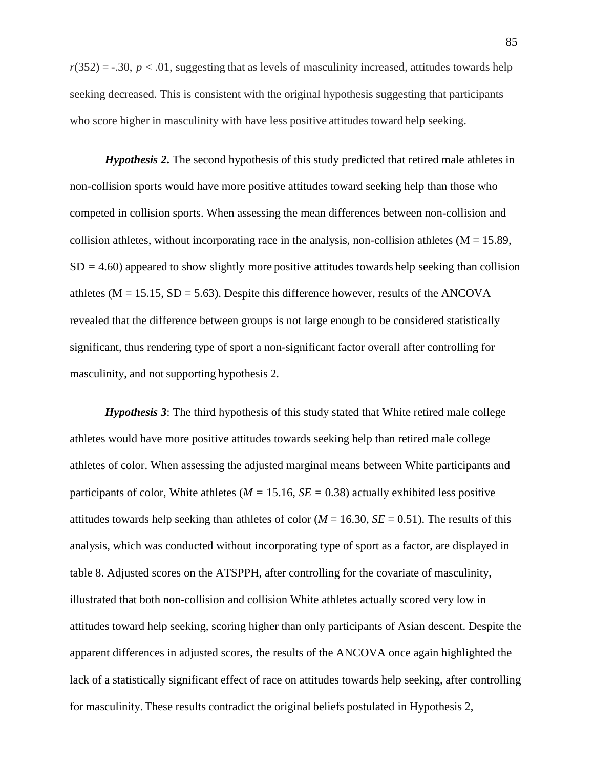$r(352) = -.30, p < .01$ , suggesting that as levels of masculinity increased, attitudes towards help seeking decreased. This is consistent with the original hypothesis suggesting that participants who score higher in masculinity with have less positive attitudes toward help seeking.

*Hypothesis 2***.** The second hypothesis of this study predicted that retired male athletes in non-collision sports would have more positive attitudes toward seeking help than those who competed in collision sports. When assessing the mean differences between non-collision and collision athletes, without incorporating race in the analysis, non-collision athletes  $(M = 15.89)$ ,  $SD = 4.60$ ) appeared to show slightly more positive attitudes towards help seeking than collision athletes ( $M = 15.15$ ,  $SD = 5.63$ ). Despite this difference however, results of the ANCOVA revealed that the difference between groups is not large enough to be considered statistically significant, thus rendering type of sport a non-significant factor overall after controlling for masculinity, and not supporting hypothesis 2.

*Hypothesis 3*: The third hypothesis of this study stated that White retired male college athletes would have more positive attitudes towards seeking help than retired male college athletes of color. When assessing the adjusted marginal means between White participants and participants of color, White athletes ( $M = 15.16$ ,  $SE = 0.38$ ) actually exhibited less positive attitudes towards help seeking than athletes of color ( $M = 16.30$ ,  $SE = 0.51$ ). The results of this analysis, which was conducted without incorporating type of sport as a factor, are displayed in table 8. Adjusted scores on the ATSPPH, after controlling for the covariate of masculinity, illustrated that both non-collision and collision White athletes actually scored very low in attitudes toward help seeking, scoring higher than only participants of Asian descent. Despite the apparent differences in adjusted scores, the results of the ANCOVA once again highlighted the lack of a statistically significant effect of race on attitudes towards help seeking, after controlling for masculinity. These results contradict the original beliefs postulated in Hypothesis 2,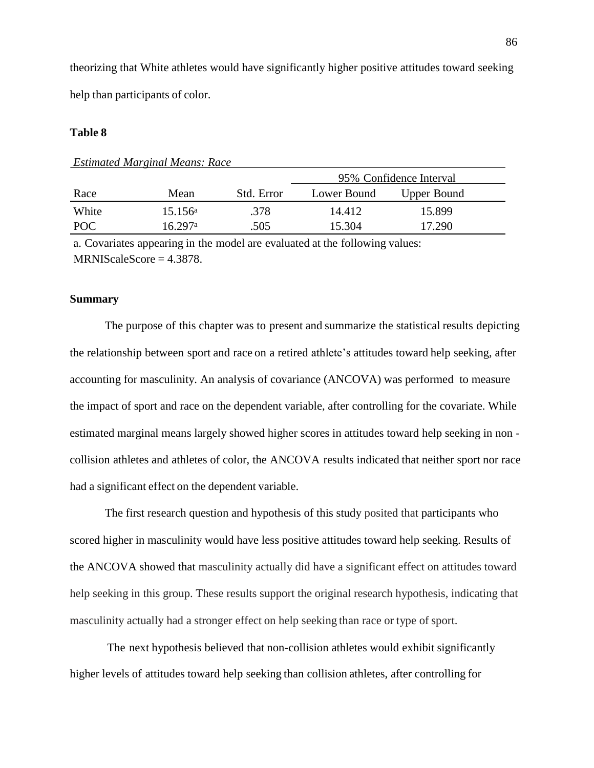theorizing that White athletes would have significantly higher positive attitudes toward seeking help than participants of color.

### **Table 8**

|            |                  |            | 95% Confidence Interval |                    |  |
|------------|------------------|------------|-------------------------|--------------------|--|
| Race       | Mean             | Std. Error | Lower Bound             | <b>Upper Bound</b> |  |
| White      | $15.156^{\rm a}$ | .378       | 14.412                  | 15.899             |  |
| <b>POC</b> | 16.297a          | .505       | 15.304                  | 17.290             |  |

*Estimated Marginal Means: Race*

a. Covariates appearing in the model are evaluated at the following values:  $MRNIScaleScore = 4.3878.$ 

## **Summary**

The purpose of this chapter was to present and summarize the statistical results depicting the relationship between sport and race on a retired athlete's attitudes toward help seeking, after accounting for masculinity. An analysis of covariance (ANCOVA) was performed to measure the impact of sport and race on the dependent variable, after controlling for the covariate. While estimated marginal means largely showed higher scores in attitudes toward help seeking in non collision athletes and athletes of color, the ANCOVA results indicated that neither sport nor race had a significant effect on the dependent variable.

The first research question and hypothesis of this study posited that participants who scored higher in masculinity would have less positive attitudes toward help seeking. Results of the ANCOVA showed that masculinity actually did have a significant effect on attitudes toward help seeking in this group. These results support the original research hypothesis, indicating that masculinity actually had a stronger effect on help seeking than race or type of sport.

The next hypothesis believed that non-collision athletes would exhibit significantly higher levels of attitudes toward help seeking than collision athletes, after controlling for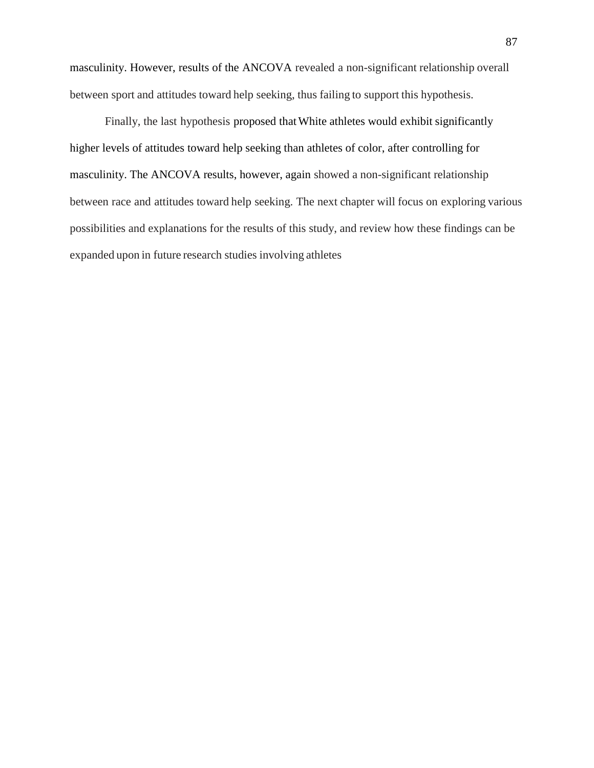masculinity. However, results of the ANCOVA revealed a non-significant relationship overall between sport and attitudes toward help seeking, thus failing to support this hypothesis.

Finally, the last hypothesis proposed thatWhite athletes would exhibit significantly higher levels of attitudes toward help seeking than athletes of color, after controlling for masculinity. The ANCOVA results, however, again showed a non-significant relationship between race and attitudes toward help seeking. The next chapter will focus on exploring various possibilities and explanations for the results of this study, and review how these findings can be expanded upon in future research studies involving athletes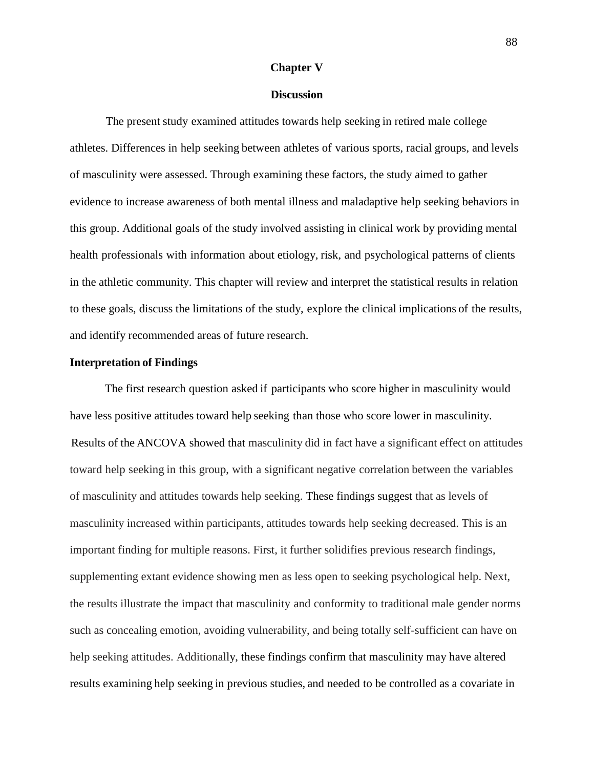### **Chapter V**

### **Discussion**

The present study examined attitudes towards help seeking in retired male college athletes. Differences in help seeking between athletes of various sports, racial groups, and levels of masculinity were assessed. Through examining these factors, the study aimed to gather evidence to increase awareness of both mental illness and maladaptive help seeking behaviors in this group. Additional goals of the study involved assisting in clinical work by providing mental health professionals with information about etiology, risk, and psychological patterns of clients in the athletic community. This chapter will review and interpret the statistical results in relation to these goals, discuss the limitations of the study, explore the clinical implications of the results, and identify recommended areas of future research.

### **Interpretation of Findings**

The first research question asked if participants who score higher in masculinity would have less positive attitudes toward help seeking than those who score lower in masculinity. Results of the ANCOVA showed that masculinity did in fact have a significant effect on attitudes toward help seeking in this group, with a significant negative correlation between the variables of masculinity and attitudes towards help seeking. These findings suggest that as levels of masculinity increased within participants, attitudes towards help seeking decreased. This is an important finding for multiple reasons. First, it further solidifies previous research findings, supplementing extant evidence showing men as less open to seeking psychological help. Next, the results illustrate the impact that masculinity and conformity to traditional male gender norms such as concealing emotion, avoiding vulnerability, and being totally self-sufficient can have on help seeking attitudes. Additionally, these findings confirm that masculinity may have altered results examining help seeking in previous studies, and needed to be controlled as a covariate in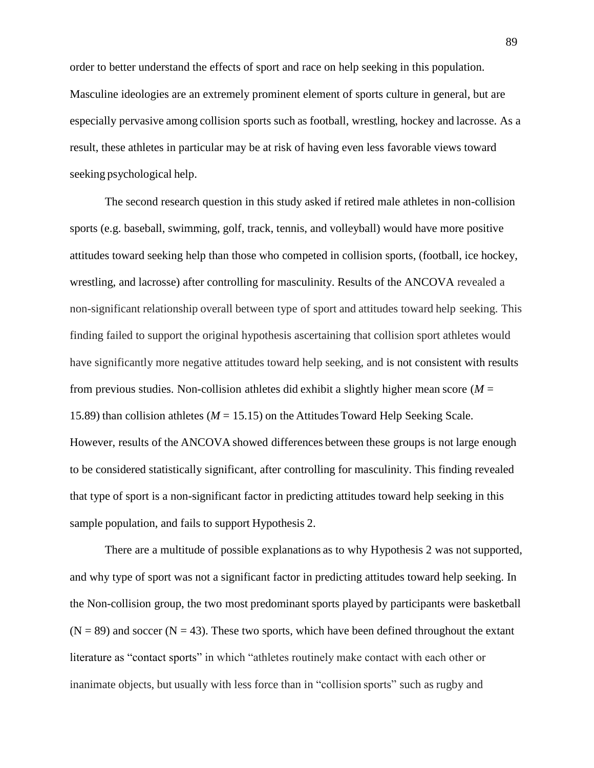order to better understand the effects of sport and race on help seeking in this population. Masculine ideologies are an extremely prominent element of sports culture in general, but are especially pervasive among collision sports such as football, wrestling, hockey and lacrosse. As a result, these athletes in particular may be at risk of having even less favorable views toward seeking psychological help.

The second research question in this study asked if retired male athletes in non-collision sports (e.g. baseball, swimming, golf, track, tennis, and volleyball) would have more positive attitudes toward seeking help than those who competed in collision sports, (football, ice hockey, wrestling, and lacrosse) after controlling for masculinity. Results of the ANCOVA revealed a non-significant relationship overall between type of sport and attitudes toward help seeking. This finding failed to support the original hypothesis ascertaining that collision sport athletes would have significantly more negative attitudes toward help seeking, and is not consistent with results from previous studies. Non-collision athletes did exhibit a slightly higher mean score (*M =* 15.89) than collision athletes (*M =* 15.15) on the Attitudes Toward Help Seeking Scale. However, results of the ANCOVA showed differences between these groups is not large enough to be considered statistically significant, after controlling for masculinity. This finding revealed that type of sport is a non-significant factor in predicting attitudes toward help seeking in this sample population, and fails to support Hypothesis 2.

There are a multitude of possible explanations as to why Hypothesis 2 was not supported, and why type of sport was not a significant factor in predicting attitudes toward help seeking. In the Non-collision group, the two most predominant sports played by participants were basketball  $(N = 89)$  and soccer  $(N = 43)$ . These two sports, which have been defined throughout the extant literature as "contact sports" in which "athletes routinely make contact with each other or inanimate objects, but usually with less force than in "collision sports" such as rugby and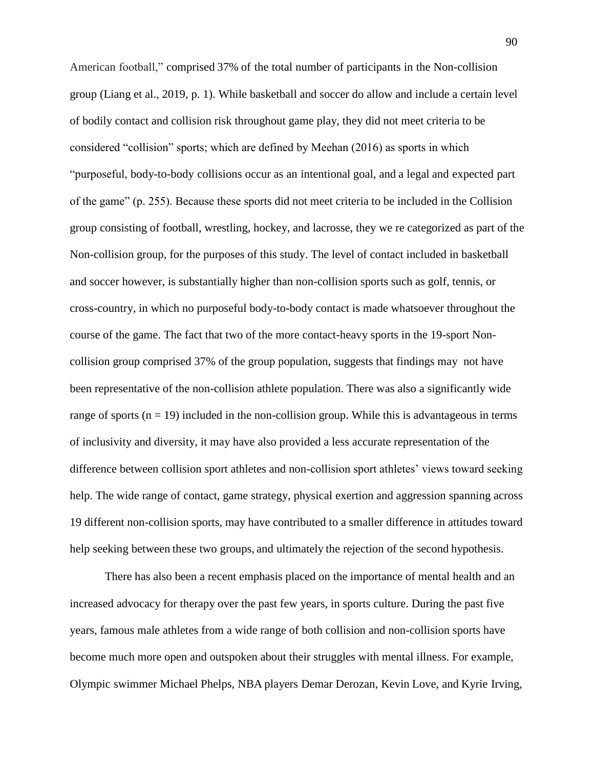American football," comprised 37% of the total number of participants in the Non-collision group (Liang et al., 2019, p. 1). While basketball and soccer do allow and include a certain level of bodily contact and collision risk throughout game play, they did not meet criteria to be considered "collision" sports; which are defined by Meehan (2016) as sports in which "purposeful, body-to-body collisions occur as an intentional goal, and a legal and expected part of the game" (p. 255). Because these sports did not meet criteria to be included in the Collision group consisting of football, wrestling, hockey, and lacrosse, they we re categorized as part of the Non-collision group, for the purposes of this study. The level of contact included in basketball and soccer however, is substantially higher than non-collision sports such as golf, tennis, or cross-country, in which no purposeful body-to-body contact is made whatsoever throughout the course of the game. The fact that two of the more contact-heavy sports in the 19-sport Noncollision group comprised 37% of the group population, suggests that findings may not have been representative of the non-collision athlete population. There was also a significantly wide range of sports  $(n = 19)$  included in the non-collision group. While this is advantageous in terms of inclusivity and diversity, it may have also provided a less accurate representation of the difference between collision sport athletes and non-collision sport athletes' views toward seeking help. The wide range of contact, game strategy, physical exertion and aggression spanning across 19 different non-collision sports, may have contributed to a smaller difference in attitudes toward help seeking between these two groups, and ultimately the rejection of the second hypothesis.

There has also been a recent emphasis placed on the importance of mental health and an increased advocacy for therapy over the past few years, in sports culture. During the past five years, famous male athletes from a wide range of both collision and non-collision sports have become much more open and outspoken about their struggles with mental illness. For example, Olympic swimmer Michael Phelps, NBA players Demar Derozan, Kevin Love, and Kyrie Irving,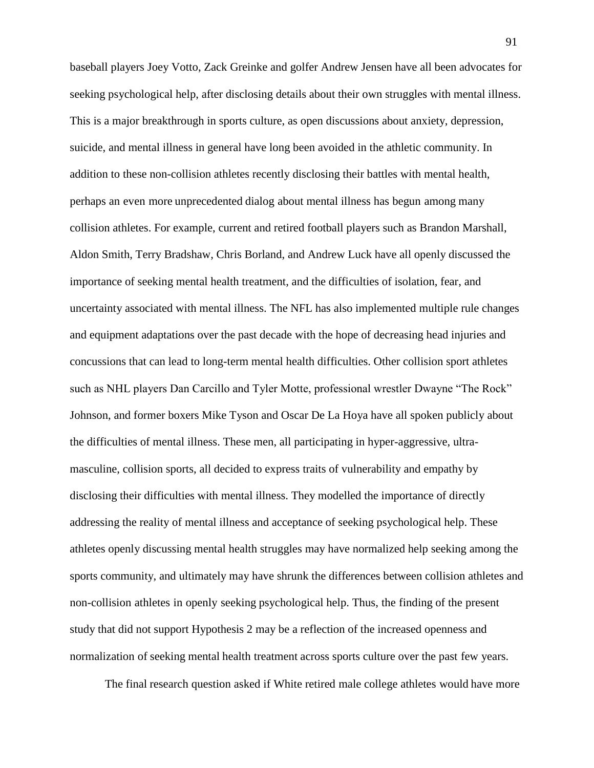baseball players Joey Votto, Zack Greinke and golfer Andrew Jensen have all been advocates for seeking psychological help, after disclosing details about their own struggles with mental illness. This is a major breakthrough in sports culture, as open discussions about anxiety, depression, suicide, and mental illness in general have long been avoided in the athletic community. In addition to these non-collision athletes recently disclosing their battles with mental health, perhaps an even more unprecedented dialog about mental illness has begun among many collision athletes. For example, current and retired football players such as Brandon Marshall, Aldon Smith, Terry Bradshaw, Chris Borland, and Andrew Luck have all openly discussed the importance of seeking mental health treatment, and the difficulties of isolation, fear, and uncertainty associated with mental illness. The NFL has also implemented multiple rule changes and equipment adaptations over the past decade with the hope of decreasing head injuries and concussions that can lead to long-term mental health difficulties. Other collision sport athletes such as NHL players Dan Carcillo and Tyler Motte, professional wrestler Dwayne "The Rock" Johnson, and former boxers Mike Tyson and Oscar De La Hoya have all spoken publicly about the difficulties of mental illness. These men, all participating in hyper-aggressive, ultramasculine, collision sports, all decided to express traits of vulnerability and empathy by disclosing their difficulties with mental illness. They modelled the importance of directly addressing the reality of mental illness and acceptance of seeking psychological help. These athletes openly discussing mental health struggles may have normalized help seeking among the sports community, and ultimately may have shrunk the differences between collision athletes and non-collision athletes in openly seeking psychological help. Thus, the finding of the present study that did not support Hypothesis 2 may be a reflection of the increased openness and normalization of seeking mental health treatment across sports culture over the past few years.

The final research question asked if White retired male college athletes would have more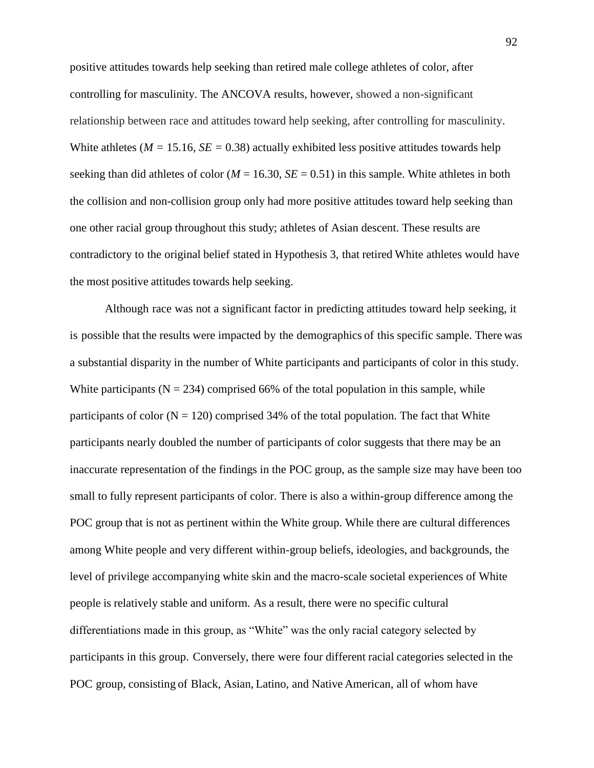positive attitudes towards help seeking than retired male college athletes of color, after controlling for masculinity. The ANCOVA results, however, showed a non-significant relationship between race and attitudes toward help seeking, after controlling for masculinity. White athletes ( $M = 15.16$ ,  $SE = 0.38$ ) actually exhibited less positive attitudes towards help seeking than did athletes of color ( $M = 16.30$ ,  $SE = 0.51$ ) in this sample. White athletes in both the collision and non-collision group only had more positive attitudes toward help seeking than one other racial group throughout this study; athletes of Asian descent. These results are contradictory to the original belief stated in Hypothesis 3, that retired White athletes would have the most positive attitudes towards help seeking.

Although race was not a significant factor in predicting attitudes toward help seeking, it is possible that the results were impacted by the demographics of this specific sample. There was a substantial disparity in the number of White participants and participants of color in this study. White participants ( $N = 234$ ) comprised 66% of the total population in this sample, while participants of color ( $N = 120$ ) comprised 34% of the total population. The fact that White participants nearly doubled the number of participants of color suggests that there may be an inaccurate representation of the findings in the POC group, as the sample size may have been too small to fully represent participants of color. There is also a within-group difference among the POC group that is not as pertinent within the White group. While there are cultural differences among White people and very different within-group beliefs, ideologies, and backgrounds, the level of privilege accompanying white skin and the macro-scale societal experiences of White people is relatively stable and uniform. As a result, there were no specific cultural differentiations made in this group, as "White" was the only racial category selected by participants in this group. Conversely, there were four different racial categories selected in the POC group, consisting of Black, Asian, Latino, and Native American, all of whom have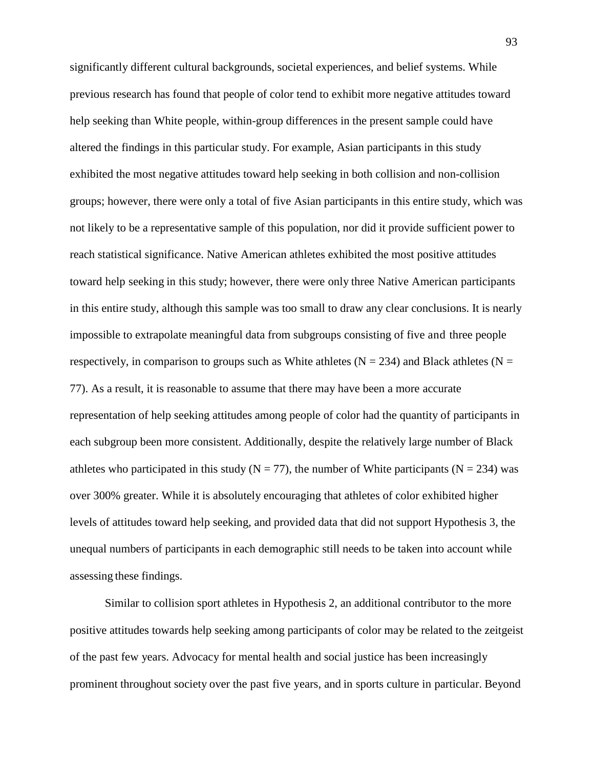significantly different cultural backgrounds, societal experiences, and belief systems. While previous research has found that people of color tend to exhibit more negative attitudes toward help seeking than White people, within-group differences in the present sample could have altered the findings in this particular study. For example, Asian participants in this study exhibited the most negative attitudes toward help seeking in both collision and non-collision groups; however, there were only a total of five Asian participants in this entire study, which was not likely to be a representative sample of this population, nor did it provide sufficient power to reach statistical significance. Native American athletes exhibited the most positive attitudes toward help seeking in this study; however, there were only three Native American participants in this entire study, although this sample was too small to draw any clear conclusions. It is nearly impossible to extrapolate meaningful data from subgroups consisting of five and three people respectively, in comparison to groups such as White athletes ( $N = 234$ ) and Black athletes ( $N =$ 77). As a result, it is reasonable to assume that there may have been a more accurate representation of help seeking attitudes among people of color had the quantity of participants in each subgroup been more consistent. Additionally, despite the relatively large number of Black athletes who participated in this study ( $N = 77$ ), the number of White participants ( $N = 234$ ) was over 300% greater. While it is absolutely encouraging that athletes of color exhibited higher levels of attitudes toward help seeking, and provided data that did not support Hypothesis 3, the unequal numbers of participants in each demographic still needs to be taken into account while assessing these findings.

Similar to collision sport athletes in Hypothesis 2, an additional contributor to the more positive attitudes towards help seeking among participants of color may be related to the zeitgeist of the past few years. Advocacy for mental health and social justice has been increasingly prominent throughout society over the past five years, and in sports culture in particular. Beyond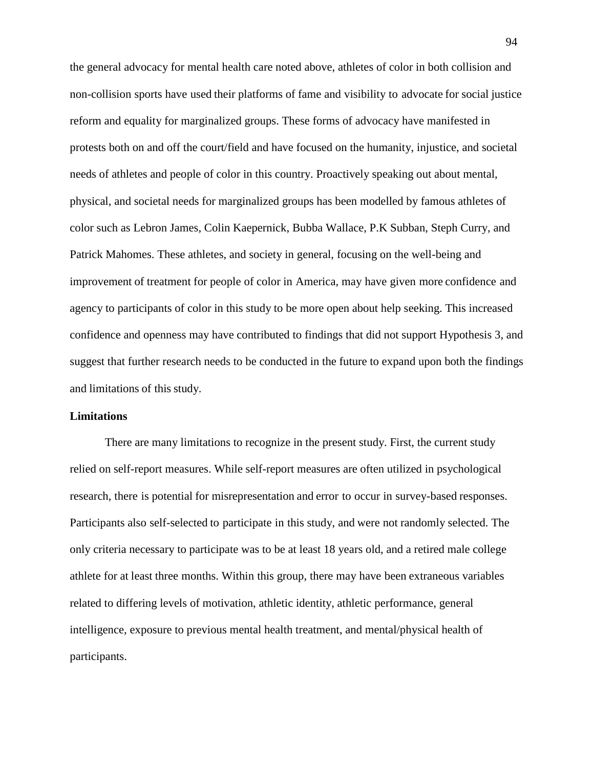the general advocacy for mental health care noted above, athletes of color in both collision and non-collision sports have used their platforms of fame and visibility to advocate for social justice reform and equality for marginalized groups. These forms of advocacy have manifested in protests both on and off the court/field and have focused on the humanity, injustice, and societal needs of athletes and people of color in this country. Proactively speaking out about mental, physical, and societal needs for marginalized groups has been modelled by famous athletes of color such as Lebron James, Colin Kaepernick, Bubba Wallace, P.K Subban, Steph Curry, and Patrick Mahomes. These athletes, and society in general, focusing on the well-being and improvement of treatment for people of color in America, may have given more confidence and agency to participants of color in this study to be more open about help seeking. This increased confidence and openness may have contributed to findings that did not support Hypothesis 3, and suggest that further research needs to be conducted in the future to expand upon both the findings and limitations of this study.

## **Limitations**

There are many limitations to recognize in the present study. First, the current study relied on self-report measures. While self-report measures are often utilized in psychological research, there is potential for misrepresentation and error to occur in survey-based responses. Participants also self-selected to participate in this study, and were not randomly selected. The only criteria necessary to participate was to be at least 18 years old, and a retired male college athlete for at least three months. Within this group, there may have been extraneous variables related to differing levels of motivation, athletic identity, athletic performance, general intelligence, exposure to previous mental health treatment, and mental/physical health of participants.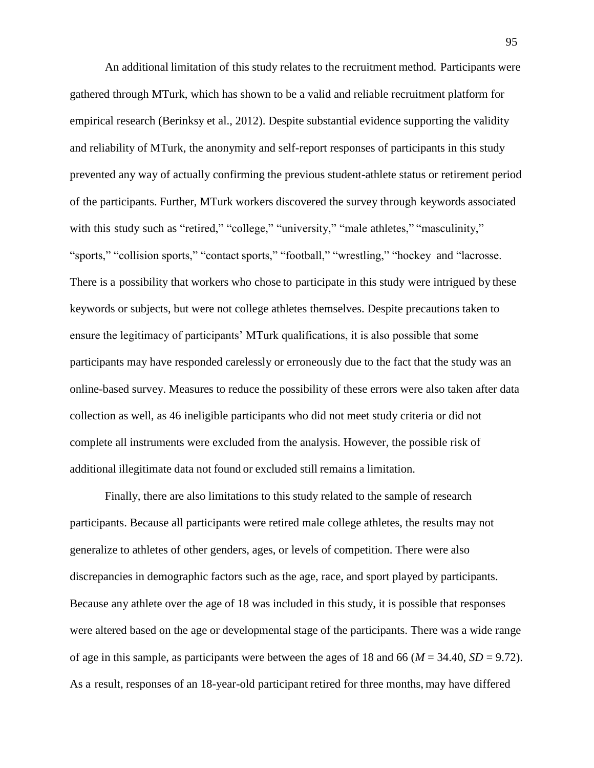An additional limitation of this study relates to the recruitment method. Participants were gathered through MTurk, which has shown to be a valid and reliable recruitment platform for empirical research (Berinksy et al., 2012). Despite substantial evidence supporting the validity and reliability of MTurk, the anonymity and self-report responses of participants in this study prevented any way of actually confirming the previous student-athlete status or retirement period of the participants. Further, MTurk workers discovered the survey through keywords associated with this study such as "retired," "college," "university," "male athletes," "masculinity," "sports," "collision sports," "contact sports," "football," "wrestling," "hockey and "lacrosse. There is a possibility that workers who chose to participate in this study were intrigued by these keywords or subjects, but were not college athletes themselves. Despite precautions taken to ensure the legitimacy of participants' MTurk qualifications, it is also possible that some participants may have responded carelessly or erroneously due to the fact that the study was an online-based survey. Measures to reduce the possibility of these errors were also taken after data collection as well, as 46 ineligible participants who did not meet study criteria or did not complete all instruments were excluded from the analysis. However, the possible risk of additional illegitimate data not found or excluded still remains a limitation.

Finally, there are also limitations to this study related to the sample of research participants. Because all participants were retired male college athletes, the results may not generalize to athletes of other genders, ages, or levels of competition. There were also discrepancies in demographic factors such as the age, race, and sport played by participants. Because any athlete over the age of 18 was included in this study, it is possible that responses were altered based on the age or developmental stage of the participants. There was a wide range of age in this sample, as participants were between the ages of 18 and 66 ( $M = 34.40$ ,  $SD = 9.72$ ). As a result, responses of an 18-year-old participant retired for three months, may have differed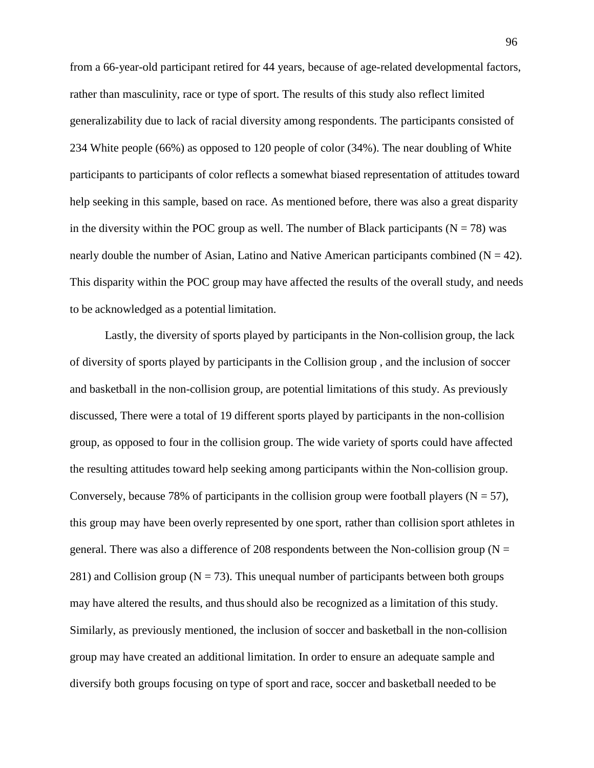from a 66-year-old participant retired for 44 years, because of age-related developmental factors, rather than masculinity, race or type of sport. The results of this study also reflect limited generalizability due to lack of racial diversity among respondents. The participants consisted of 234 White people (66%) as opposed to 120 people of color (34%). The near doubling of White participants to participants of color reflects a somewhat biased representation of attitudes toward help seeking in this sample, based on race. As mentioned before, there was also a great disparity in the diversity within the POC group as well. The number of Black participants ( $N = 78$ ) was nearly double the number of Asian, Latino and Native American participants combined ( $N = 42$ ). This disparity within the POC group may have affected the results of the overall study, and needs to be acknowledged as a potential limitation.

Lastly, the diversity of sports played by participants in the Non-collision group, the lack of diversity of sports played by participants in the Collision group , and the inclusion of soccer and basketball in the non-collision group, are potential limitations of this study. As previously discussed, There were a total of 19 different sports played by participants in the non-collision group, as opposed to four in the collision group. The wide variety of sports could have affected the resulting attitudes toward help seeking among participants within the Non-collision group. Conversely, because 78% of participants in the collision group were football players ( $N = 57$ ), this group may have been overly represented by one sport, rather than collision sport athletes in general. There was also a difference of 208 respondents between the Non-collision group ( $N =$ 281) and Collision group ( $N = 73$ ). This unequal number of participants between both groups may have altered the results, and thusshould also be recognized as a limitation of this study. Similarly, as previously mentioned, the inclusion of soccer and basketball in the non-collision group may have created an additional limitation. In order to ensure an adequate sample and diversify both groups focusing on type of sport and race, soccer and basketball needed to be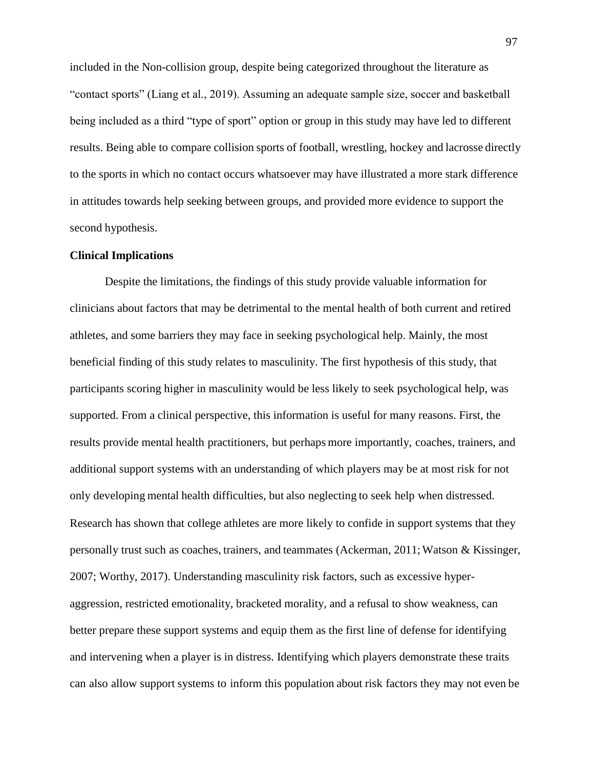included in the Non-collision group, despite being categorized throughout the literature as "contact sports" (Liang et al., 2019). Assuming an adequate sample size, soccer and basketball being included as a third "type of sport" option or group in this study may have led to different results. Being able to compare collision sports of football, wrestling, hockey and lacrosse directly to the sports in which no contact occurs whatsoever may have illustrated a more stark difference in attitudes towards help seeking between groups, and provided more evidence to support the second hypothesis.

# **Clinical Implications**

Despite the limitations, the findings of this study provide valuable information for clinicians about factors that may be detrimental to the mental health of both current and retired athletes, and some barriers they may face in seeking psychological help. Mainly, the most beneficial finding of this study relates to masculinity. The first hypothesis of this study, that participants scoring higher in masculinity would be less likely to seek psychological help, was supported. From a clinical perspective, this information is useful for many reasons. First, the results provide mental health practitioners, but perhaps more importantly, coaches, trainers, and additional support systems with an understanding of which players may be at most risk for not only developing mental health difficulties, but also neglecting to seek help when distressed. Research has shown that college athletes are more likely to confide in support systems that they personally trust such as coaches, trainers, and teammates (Ackerman, 2011;Watson & Kissinger, 2007; Worthy, 2017). Understanding masculinity risk factors, such as excessive hyperaggression, restricted emotionality, bracketed morality, and a refusal to show weakness, can better prepare these support systems and equip them as the first line of defense for identifying and intervening when a player is in distress. Identifying which players demonstrate these traits can also allow support systems to inform this population about risk factors they may not even be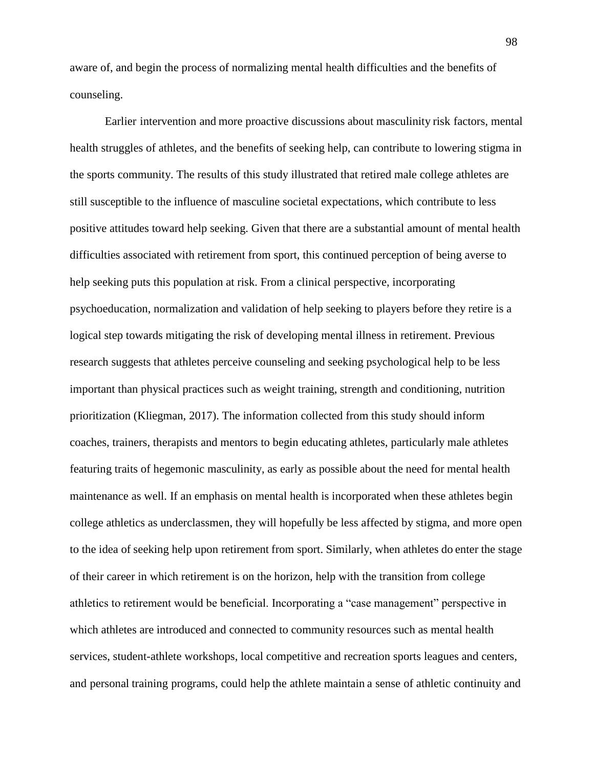aware of, and begin the process of normalizing mental health difficulties and the benefits of counseling.

Earlier intervention and more proactive discussions about masculinity risk factors, mental health struggles of athletes, and the benefits of seeking help, can contribute to lowering stigma in the sports community. The results of this study illustrated that retired male college athletes are still susceptible to the influence of masculine societal expectations, which contribute to less positive attitudes toward help seeking. Given that there are a substantial amount of mental health difficulties associated with retirement from sport, this continued perception of being averse to help seeking puts this population at risk. From a clinical perspective, incorporating psychoeducation, normalization and validation of help seeking to players before they retire is a logical step towards mitigating the risk of developing mental illness in retirement. Previous research suggests that athletes perceive counseling and seeking psychological help to be less important than physical practices such as weight training, strength and conditioning, nutrition prioritization (Kliegman, 2017). The information collected from this study should inform coaches, trainers, therapists and mentors to begin educating athletes, particularly male athletes featuring traits of hegemonic masculinity, as early as possible about the need for mental health maintenance as well. If an emphasis on mental health is incorporated when these athletes begin college athletics as underclassmen, they will hopefully be less affected by stigma, and more open to the idea of seeking help upon retirement from sport. Similarly, when athletes do enter the stage of their career in which retirement is on the horizon, help with the transition from college athletics to retirement would be beneficial. Incorporating a "case management" perspective in which athletes are introduced and connected to community resources such as mental health services, student-athlete workshops, local competitive and recreation sports leagues and centers, and personal training programs, could help the athlete maintain a sense of athletic continuity and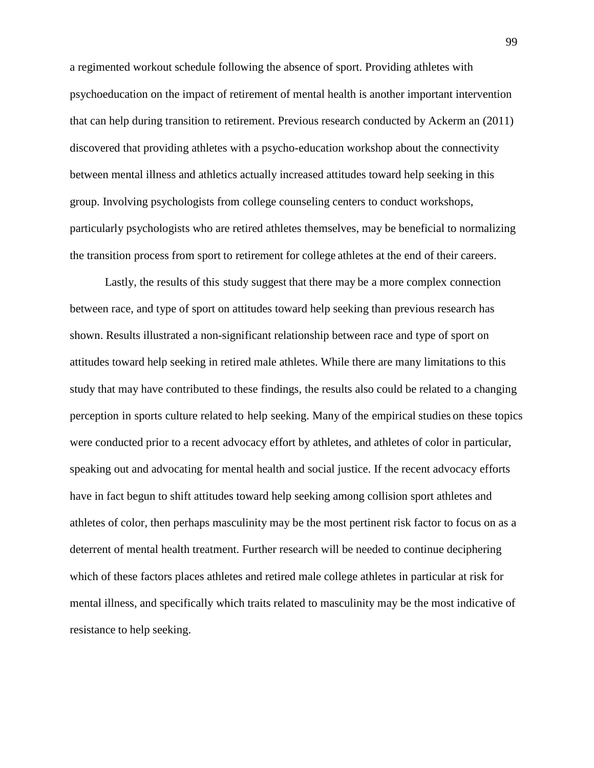a regimented workout schedule following the absence of sport. Providing athletes with psychoeducation on the impact of retirement of mental health is another important intervention that can help during transition to retirement. Previous research conducted by Ackerm an (2011) discovered that providing athletes with a psycho-education workshop about the connectivity between mental illness and athletics actually increased attitudes toward help seeking in this group. Involving psychologists from college counseling centers to conduct workshops, particularly psychologists who are retired athletes themselves, may be beneficial to normalizing the transition process from sport to retirement for college athletes at the end of their careers.

Lastly, the results of this study suggest that there may be a more complex connection between race, and type of sport on attitudes toward help seeking than previous research has shown. Results illustrated a non-significant relationship between race and type of sport on attitudes toward help seeking in retired male athletes. While there are many limitations to this study that may have contributed to these findings, the results also could be related to a changing perception in sports culture related to help seeking. Many of the empirical studies on these topics were conducted prior to a recent advocacy effort by athletes, and athletes of color in particular, speaking out and advocating for mental health and social justice. If the recent advocacy efforts have in fact begun to shift attitudes toward help seeking among collision sport athletes and athletes of color, then perhaps masculinity may be the most pertinent risk factor to focus on as a deterrent of mental health treatment. Further research will be needed to continue deciphering which of these factors places athletes and retired male college athletes in particular at risk for mental illness, and specifically which traits related to masculinity may be the most indicative of resistance to help seeking.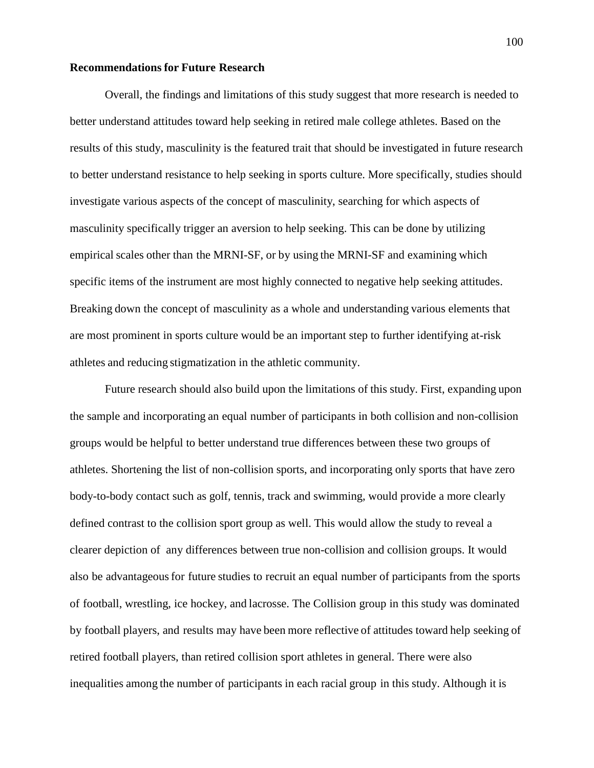#### **Recommendations for Future Research**

Overall, the findings and limitations of this study suggest that more research is needed to better understand attitudes toward help seeking in retired male college athletes. Based on the results of this study, masculinity is the featured trait that should be investigated in future research to better understand resistance to help seeking in sports culture. More specifically, studies should investigate various aspects of the concept of masculinity, searching for which aspects of masculinity specifically trigger an aversion to help seeking. This can be done by utilizing empirical scales other than the MRNI-SF, or by using the MRNI-SF and examining which specific items of the instrument are most highly connected to negative help seeking attitudes. Breaking down the concept of masculinity as a whole and understanding various elements that are most prominent in sports culture would be an important step to further identifying at-risk athletes and reducing stigmatization in the athletic community.

Future research should also build upon the limitations of this study. First, expanding upon the sample and incorporating an equal number of participants in both collision and non-collision groups would be helpful to better understand true differences between these two groups of athletes. Shortening the list of non-collision sports, and incorporating only sports that have zero body-to-body contact such as golf, tennis, track and swimming, would provide a more clearly defined contrast to the collision sport group as well. This would allow the study to reveal a clearer depiction of any differences between true non-collision and collision groups. It would also be advantageous for future studies to recruit an equal number of participants from the sports of football, wrestling, ice hockey, and lacrosse. The Collision group in this study was dominated by football players, and results may have been more reflective of attitudes toward help seeking of retired football players, than retired collision sport athletes in general. There were also inequalities among the number of participants in each racial group in this study. Although it is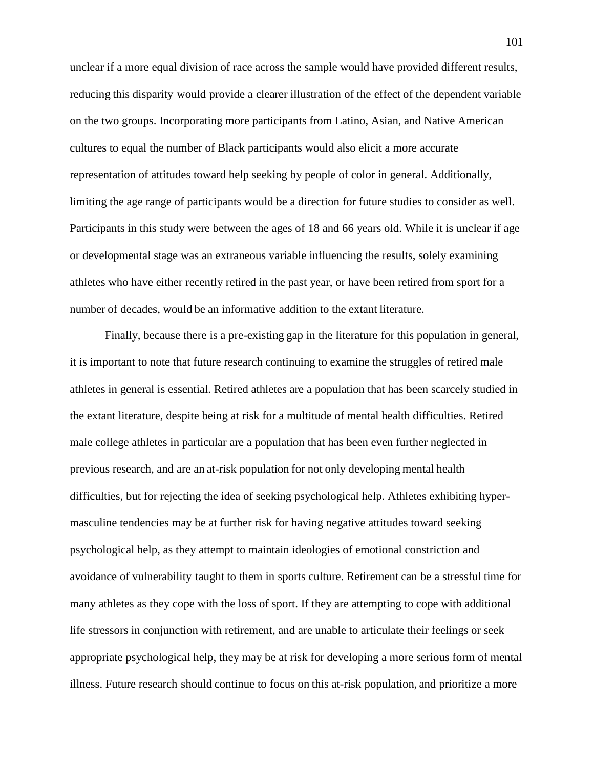unclear if a more equal division of race across the sample would have provided different results, reducing this disparity would provide a clearer illustration of the effect of the dependent variable on the two groups. Incorporating more participants from Latino, Asian, and Native American cultures to equal the number of Black participants would also elicit a more accurate representation of attitudes toward help seeking by people of color in general. Additionally, limiting the age range of participants would be a direction for future studies to consider as well. Participants in this study were between the ages of 18 and 66 years old. While it is unclear if age or developmental stage was an extraneous variable influencing the results, solely examining athletes who have either recently retired in the past year, or have been retired from sport for a number of decades, would be an informative addition to the extant literature.

Finally, because there is a pre-existing gap in the literature for this population in general, it is important to note that future research continuing to examine the struggles of retired male athletes in general is essential. Retired athletes are a population that has been scarcely studied in the extant literature, despite being at risk for a multitude of mental health difficulties. Retired male college athletes in particular are a population that has been even further neglected in previous research, and are an at-risk population for not only developing mental health difficulties, but for rejecting the idea of seeking psychological help. Athletes exhibiting hypermasculine tendencies may be at further risk for having negative attitudes toward seeking psychological help, as they attempt to maintain ideologies of emotional constriction and avoidance of vulnerability taught to them in sports culture. Retirement can be a stressful time for many athletes as they cope with the loss of sport. If they are attempting to cope with additional life stressors in conjunction with retirement, and are unable to articulate their feelings or seek appropriate psychological help, they may be at risk for developing a more serious form of mental illness. Future research should continue to focus on this at-risk population, and prioritize a more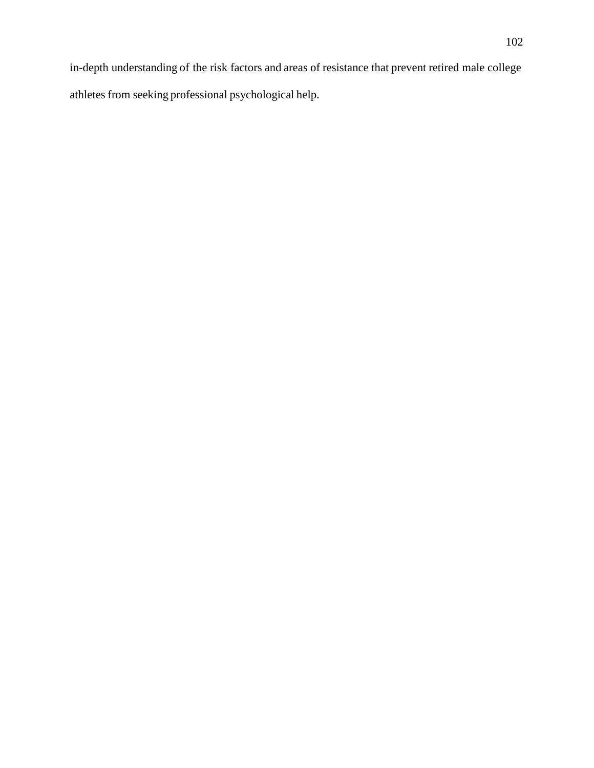in-depth understanding of the risk factors and areas of resistance that prevent retired male college athletes from seeking professional psychological help.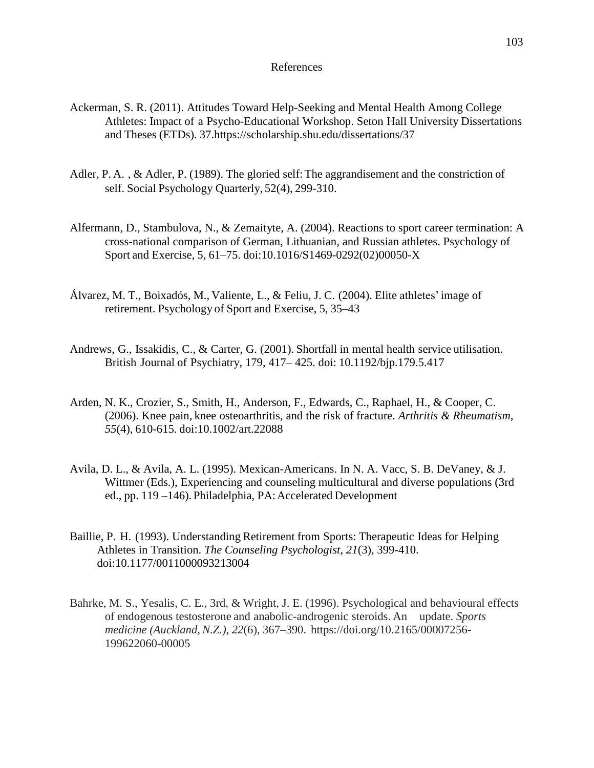#### References

- Ackerman, S. R. (2011). Attitudes Toward Help-Seeking and Mental Health Among College Athletes: Impact of a Psycho-Educational Workshop. Seton Hall University Dissertations and Theses (ETDs). 37.https://scholarship.shu.edu/dissertations/37
- Adler, P. A., & Adler, P. (1989). The gloried self: The aggrandisement and the constriction of self. Social Psychology Quarterly, 52(4), 299-310.
- Alfermann, D., Stambulova, N., & Zemaityte, A. (2004). Reactions to sport career termination: A cross-national comparison of German, Lithuanian, and Russian athletes. Psychology of Sport and Exercise, 5, 61–75. doi:10.1016/S1469-0292(02)00050-X
- Álvarez, M. T., Boixadós, M., Valiente, L., & Feliu, J. C. (2004). Elite athletes'image of retirement. Psychology of Sport and Exercise, 5, 35–43
- Andrews, G., Issakidis, C., & Carter, G. (2001). Shortfall in mental health service utilisation. British Journal of Psychiatry, 179, 417– 425. doi: 10.1192/bjp.179.5.417
- Arden, N. K., Crozier, S., Smith, H., Anderson, F., Edwards, C., Raphael, H., & Cooper, C. (2006). Knee pain, knee osteoarthritis, and the risk of fracture. *Arthritis & Rheumatism, 55*(4), 610-615. doi:10.1002/art.22088
- Avila, D. L., & Avila, A. L. (1995). Mexican-Americans. In N. A. Vacc, S. B. DeVaney, & J. Wittmer (Eds.), Experiencing and counseling multicultural and diverse populations (3rd ed., pp. 119 –146). Philadelphia, PA:Accelerated Development
- Baillie, P. H. (1993). Understanding Retirement from Sports: Therapeutic Ideas for Helping Athletes in Transition. *The Counseling Psychologist, 21*(3), 399-410. doi:10.1177/0011000093213004
- Bahrke, M. S., Yesalis, C. E., 3rd, & Wright, J. E. (1996). Psychological and behavioural effects of endogenous testosterone and anabolic-androgenic steroids. An update. *Sports medicine (Auckland, N.Z.)*, *22*(6), 367–390. https://doi.org/10.2165/00007256- 199622060-00005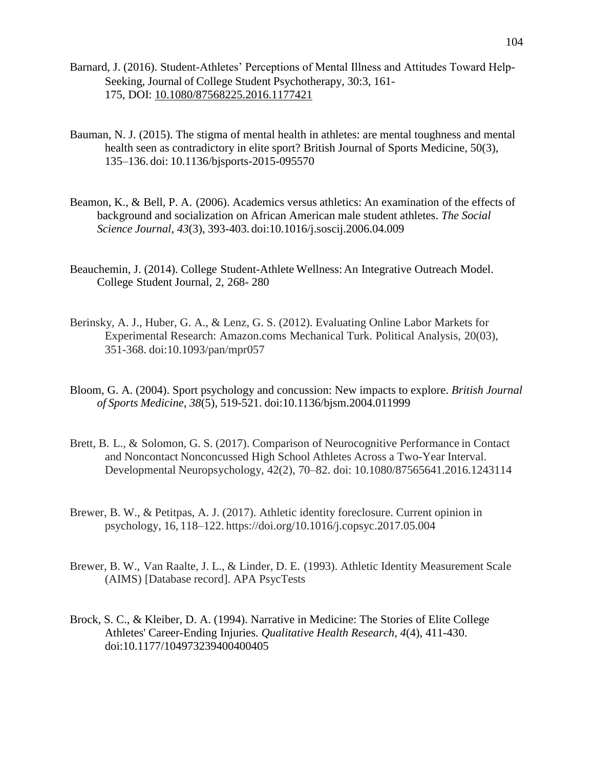- Barnard, J. (2016). Student-Athletes' Perceptions of Mental Illness and Attitudes Toward Help-Seeking, Journal of College Student Psychotherapy, 30:3, 161- 175, DOI: [10.1080/87568225.2016.1177421](https://doi.org/10.1080/87568225.2016.1177421)
- Bauman, N. J. (2015). The stigma of mental health in athletes: are mental toughness and mental health seen as contradictory in elite sport? British Journal of Sports Medicine, 50(3), 135–136. doi: 10.1136/bjsports-2015-095570
- Beamon, K., & Bell, P. A. (2006). Academics versus athletics: An examination of the effects of background and socialization on African American male student athletes. *The Social Science Journal, 43*(3), 393-403. doi:10.1016/j.soscij.2006.04.009
- Beauchemin, J. (2014). College Student-Athlete Wellness: An Integrative Outreach Model. College Student Journal, 2, 268- 280
- Berinsky, A. J., Huber, G. A., & Lenz, G. S. (2012). Evaluating Online Labor Markets for Experimental Research: Amazon.coms Mechanical Turk. Political Analysis, 20(03), 351-368. doi:10.1093/pan/mpr057
- Bloom, G. A. (2004). Sport psychology and concussion: New impacts to explore. *British Journal of Sports Medicine, 38*(5), 519-521. doi:10.1136/bjsm.2004.011999
- Brett, B. L., & Solomon, G. S. (2017). Comparison of Neurocognitive Performance in Contact and Noncontact Nonconcussed High School Athletes Across a Two-Year Interval. Developmental Neuropsychology, 42(2), 70–82. doi: 10.1080/87565641.2016.1243114
- Brewer, B. W., & Petitpas, A. J. (2017). Athletic identity foreclosure. Current opinion in psychology, 16, 118–122. https://doi.org/10.1016/j.copsyc.2017.05.004
- Brewer, B. W., Van Raalte, J. L., & Linder, D. E. (1993). Athletic Identity Measurement Scale (AIMS) [Database record]. APA PsycTests
- Brock, S. C., & Kleiber, D. A. (1994). Narrative in Medicine: The Stories of Elite College Athletes' Career-Ending Injuries. *Qualitative Health Research, 4*(4), 411-430. doi:10.1177/104973239400400405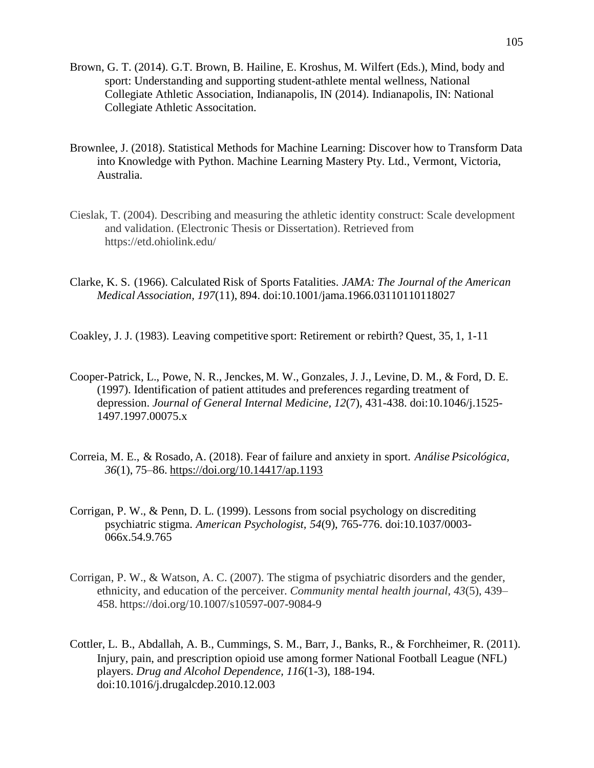- Brown, G. T. (2014). G.T. Brown, B. Hailine, E. Kroshus, M. Wilfert (Eds.), Mind, body and sport: Understanding and supporting student-athlete mental wellness, National Collegiate Athletic Association, Indianapolis, IN (2014). Indianapolis, IN: National Collegiate Athletic Associtation.
- Brownlee, J. (2018). Statistical Methods for Machine Learning: Discover how to Transform Data into Knowledge with Python. Machine Learning Mastery Pty. Ltd., Vermont, Victoria, Australia.
- Cieslak, T. (2004). Describing and measuring the athletic identity construct: Scale development and validation. (Electronic Thesis or Dissertation). Retrieved from https://etd.ohiolink.edu/
- Clarke, K. S. (1966). Calculated Risk of Sports Fatalities. *JAMA: The Journal of the American Medical Association, 197*(11), 894. doi:10.1001/jama.1966.03110110118027

Coakley, J. J. (1983). Leaving competitive sport: Retirement or rebirth? Quest, 35, 1, 1-11

- Cooper-Patrick, L., Powe, N. R., Jenckes, M. W., Gonzales, J. J., Levine, D. M., & Ford, D. E. (1997). Identification of patient attitudes and preferences regarding treatment of depression. *Journal of General Internal Medicine, 12*(7), 431-438. doi:10.1046/j.1525- 1497.1997.00075.x
- Correia, M. E., & Rosado, A. (2018). Fear of failure and anxiety in sport. *Análise Psicológica, 36*(1), 75–86. [https://doi.org/10.14417/ap.1193](https://psycnet.apa.org/doi/10.14417/ap.1193)
- Corrigan, P. W., & Penn, D. L. (1999). Lessons from social psychology on discrediting psychiatric stigma. *American Psychologist, 54*(9), 765-776. doi:10.1037/0003- 066x.54.9.765
- Corrigan, P. W., & Watson, A. C. (2007). The stigma of psychiatric disorders and the gender, ethnicity, and education of the perceiver. *Community mental health journal*, *43*(5), 439– 458. https://doi.org/10.1007/s10597-007-9084-9
- Cottler, L. B., Abdallah, A. B., Cummings, S. M., Barr, J., Banks, R., & Forchheimer, R. (2011). Injury, pain, and prescription opioid use among former National Football League (NFL) players. *Drug and Alcohol Dependence, 116*(1-3), 188-194. doi:10.1016/j.drugalcdep.2010.12.003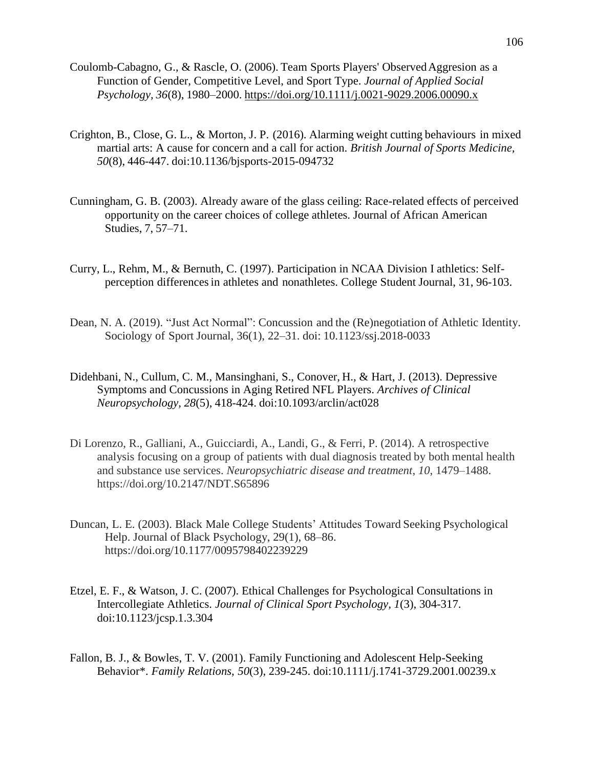- Coulomb-Cabagno, G., & Rascle, O. (2006). Team Sports Players' Observed Aggresion as a Function of Gender, Competitive Level, and Sport Type. *Journal of Applied Social Psychology, 36*(8), 1980–2000. [https://doi.org/10.1111/j.0021-9029.2006.00090.x](https://psycnet.apa.org/doi/10.1111/j.0021-9029.2006.00090.x)
- Crighton, B., Close, G. L., & Morton, J. P. (2016). Alarming weight cutting behaviours in mixed martial arts: A cause for concern and a call for action. *British Journal of Sports Medicine, 50*(8), 446-447. doi:10.1136/bjsports-2015-094732
- Cunningham, G. B. (2003). Already aware of the glass ceiling: Race-related effects of perceived opportunity on the career choices of college athletes. Journal of African American Studies, 7, 57–71.
- Curry, L., Rehm, M., & Bernuth, C. (1997). Participation in NCAA Division I athletics: Selfperception differencesin athletes and nonathletes. College Student Journal, 31, 96-103.
- Dean, N. A. (2019). "Just Act Normal": Concussion and the (Re)negotiation of Athletic Identity. Sociology of Sport Journal, 36(1), 22–31. doi: 10.1123/ssj.2018-0033
- Didehbani, N., Cullum, C. M., Mansinghani, S., Conover, H., & Hart, J. (2013). Depressive Symptoms and Concussions in Aging Retired NFL Players. *Archives of Clinical Neuropsychology, 28*(5), 418-424. doi:10.1093/arclin/act028
- Di Lorenzo, R., Galliani, A., Guicciardi, A., Landi, G., & Ferri, P. (2014). A retrospective analysis focusing on a group of patients with dual diagnosis treated by both mental health and substance use services. *Neuropsychiatric disease and treatment*, *10*, 1479–1488. https://doi.org/10.2147/NDT.S65896
- Duncan, L. E. (2003). Black Male College Students' Attitudes Toward Seeking Psychological Help. Journal of Black Psychology, 29(1), 68–86. https://doi.org/10.1177/0095798402239229
- Etzel, E. F., & Watson, J. C. (2007). Ethical Challenges for Psychological Consultations in Intercollegiate Athletics. *Journal of Clinical Sport Psychology, 1*(3), 304-317. doi:10.1123/jcsp.1.3.304
- Fallon, B. J., & Bowles, T. V. (2001). Family Functioning and Adolescent Help-Seeking Behavior\*. *Family Relations, 50*(3), 239-245. doi:10.1111/j.1741-3729.2001.00239.x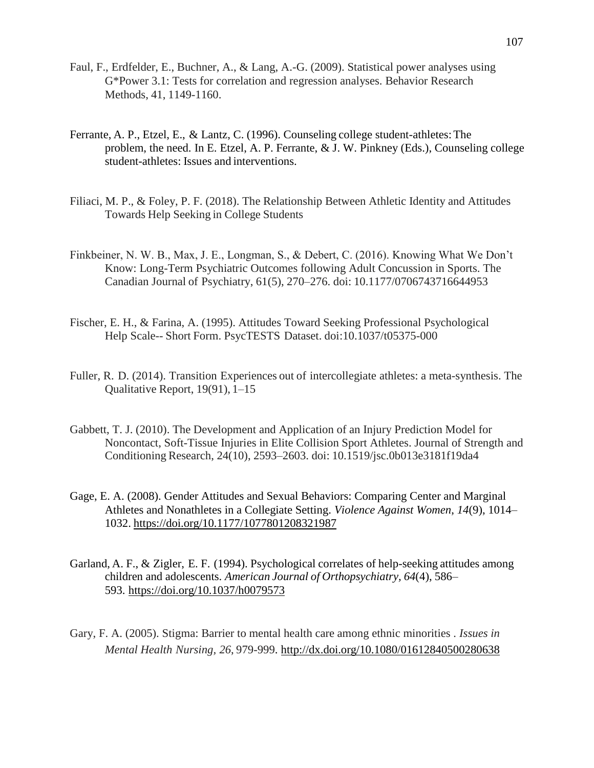- Faul, F., Erdfelder, E., Buchner, A., & Lang, A.-G. (2009). Statistical power analyses using G\*Power 3.1: Tests for correlation and regression analyses. Behavior Research Methods, 41, 1149-1160.
- Ferrante, A. P., Etzel, E., & Lantz, C. (1996). Counseling college student-athletes:The problem, the need. In E. Etzel, A. P. Ferrante, & J. W. Pinkney (Eds.), Counseling college student-athletes: Issues and interventions.
- Filiaci, M. P., & Foley, P. F. (2018). The Relationship Between Athletic Identity and Attitudes Towards Help Seeking in College Students
- Finkbeiner, N. W. B., Max, J. E., Longman, S., & Debert, C. (2016). Knowing What We Don't Know: Long-Term Psychiatric Outcomes following Adult Concussion in Sports. The Canadian Journal of Psychiatry, 61(5), 270–276. doi: 10.1177/0706743716644953
- Fischer, E. H., & Farina, A. (1995). Attitudes Toward Seeking Professional Psychological Help Scale-- Short Form. PsycTESTS Dataset. doi:10.1037/t05375-000
- Fuller, R. D. (2014). Transition Experiences out of intercollegiate athletes: a meta-synthesis. The Qualitative Report, 19(91), 1–15
- Gabbett, T. J. (2010). The Development and Application of an Injury Prediction Model for Noncontact, Soft-Tissue Injuries in Elite Collision Sport Athletes. Journal of Strength and Conditioning Research, 24(10), 2593–2603. doi: 10.1519/jsc.0b013e3181f19da4
- Gage, E. A. (2008). Gender Attitudes and Sexual Behaviors: Comparing Center and Marginal Athletes and Nonathletes in a Collegiate Setting. *Violence Against Women*, *14*(9), 1014– 1032. <https://doi.org/10.1177/1077801208321987>
- Garland, A. F., & Zigler, E. F. (1994). Psychological correlates of help-seeking attitudes among children and adolescents. *American Journal of Orthopsychiatry, 64*(4), 586– 593. [https://doi.org/10.1037/h0079573](https://psycnet.apa.org/doi/10.1037/h0079573)
- Gary, F. A. (2005). Stigma: Barrier to mental health care among ethnic minorities *. Issues in Mental Health Nursing, 26*, 979-999. <http://dx.doi.org/10.1080/01612840500280638>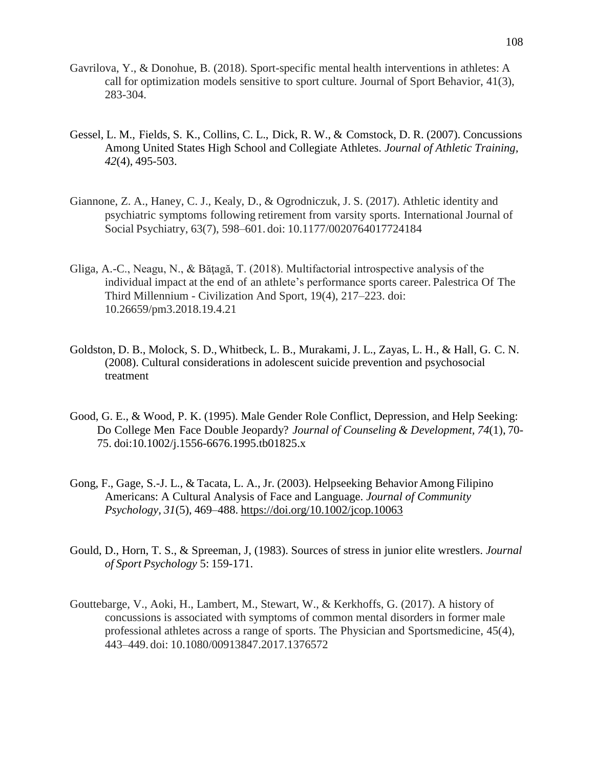- Gavrilova, Y., & Donohue, B. (2018). Sport-specific mental health interventions in athletes: A call for optimization models sensitive to sport culture. Journal of Sport Behavior, 41(3), 283-304.
- Gessel, L. M., Fields, S. K., Collins, C. L., Dick, R. W., & Comstock, D. R. (2007). Concussions Among United States High School and Collegiate Athletes. *Journal of Athletic Training, 42*(4), 495-503.
- Giannone, Z. A., Haney, C. J., Kealy, D., & Ogrodniczuk, J. S. (2017). Athletic identity and psychiatric symptoms following retirement from varsity sports. International Journal of Social Psychiatry, 63(7), 598–601. doi: 10.1177/0020764017724184
- Gliga, A.-C., Neagu, N., & Băţagă, T. (2018). Multifactorial introspective analysis of the individual impact at the end of an athlete's performance sports career. Palestrica Of The Third Millennium - Civilization And Sport, 19(4), 217–223. doi: 10.26659/pm3.2018.19.4.21
- Goldston, D. B., Molock, S. D., Whitbeck, L. B., Murakami, J. L., Zayas, L. H., & Hall, G. C. N. (2008). Cultural considerations in adolescent suicide prevention and psychosocial treatment
- Good, G. E., & Wood, P. K. (1995). Male Gender Role Conflict, Depression, and Help Seeking: Do College Men Face Double Jeopardy? *Journal of Counseling & Development, 74*(1), 70- 75. doi:10.1002/j.1556-6676.1995.tb01825.x
- Gong, F., Gage, S.-J. L., & Tacata, L. A., Jr. (2003). Helpseeking Behavior Among Filipino Americans: A Cultural Analysis of Face and Language. *Journal of Community Psychology, 31*(5), 469–488. [https://doi.org/10.1002/jcop.10063](https://psycnet.apa.org/doi/10.1002/jcop.10063)
- Gould, D., Horn, T. S., & Spreeman, J, (1983). Sources of stress in junior elite wrestlers. *Journal of Sport Psychology* 5: 159-171.
- Gouttebarge, V., Aoki, H., Lambert, M., Stewart, W., & Kerkhoffs, G. (2017). A history of concussions is associated with symptoms of common mental disorders in former male professional athletes across a range of sports. The Physician and Sportsmedicine, 45(4), 443–449. doi: 10.1080/00913847.2017.1376572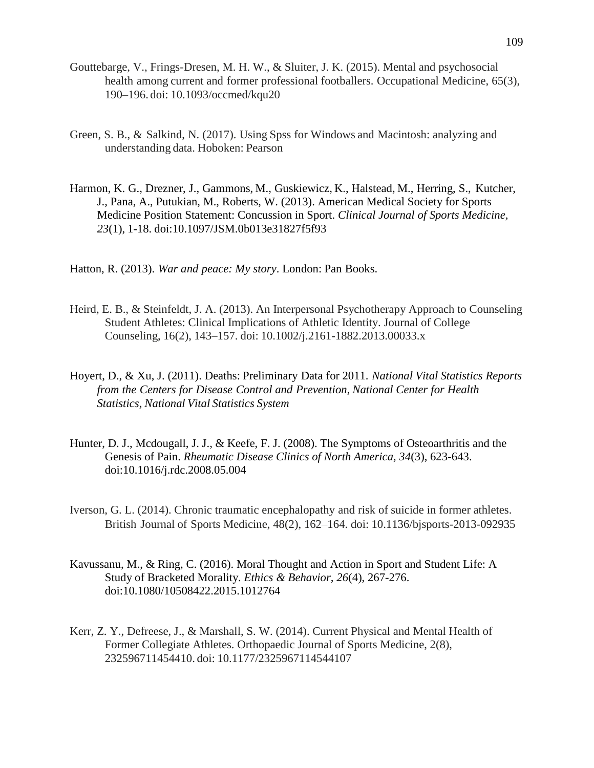- Gouttebarge, V., Frings-Dresen, M. H. W., & Sluiter, J. K. (2015). Mental and psychosocial health among current and former professional footballers. Occupational Medicine, 65(3), 190–196. doi: 10.1093/occmed/kqu20
- Green, S. B., & Salkind, N. (2017). Using Spss for Windows and Macintosh: analyzing and understanding data. Hoboken: Pearson
- Harmon, K. G., Drezner, J., Gammons, M., Guskiewicz, K., Halstead, M., Herring, S., Kutcher, J., Pana, A., Putukian, M., Roberts, W. (2013). American Medical Society for Sports Medicine Position Statement: Concussion in Sport. *Clinical Journal of Sports Medicine, 23*(1), 1-18. doi:10.1097/JSM.0b013e31827f5f93
- Hatton, R. (2013). *War and peace: My story*. London: Pan Books.
- Heird, E. B., & Steinfeldt, J. A. (2013). An Interpersonal Psychotherapy Approach to Counseling Student Athletes: Clinical Implications of Athletic Identity. Journal of College Counseling, 16(2), 143–157. doi: 10.1002/j.2161-1882.2013.00033.x
- Hoyert, D., & Xu, J. (2011). Deaths: Preliminary Data for 2011. *National Vital Statistics Reports from the Centers for Disease Control and Prevention, National Center for Health Statistics, National Vital Statistics System*
- Hunter, D. J., Mcdougall, J. J., & Keefe, F. J. (2008). The Symptoms of Osteoarthritis and the Genesis of Pain. *Rheumatic Disease Clinics of North America, 34*(3), 623-643. doi:10.1016/j.rdc.2008.05.004
- Iverson, G. L. (2014). Chronic traumatic encephalopathy and risk of suicide in former athletes. British Journal of Sports Medicine, 48(2), 162–164. doi: 10.1136/bjsports-2013-092935
- Kavussanu, M., & Ring, C. (2016). Moral Thought and Action in Sport and Student Life: A Study of Bracketed Morality. *Ethics & Behavior, 26*(4), 267-276. doi:10.1080/10508422.2015.1012764
- Kerr, Z. Y., Defreese, J., & Marshall, S. W. (2014). Current Physical and Mental Health of Former Collegiate Athletes. Orthopaedic Journal of Sports Medicine, 2(8), 232596711454410. doi: 10.1177/2325967114544107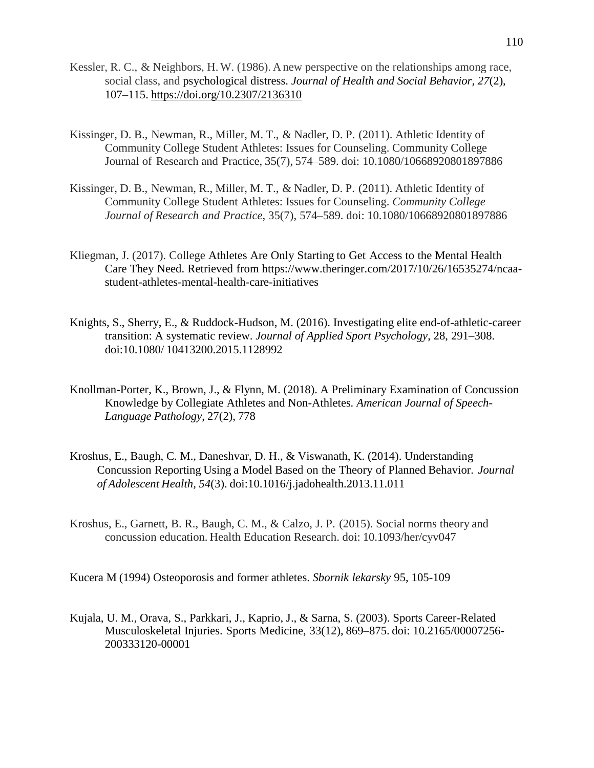- Kessler, R. C., & Neighbors, H. W. (1986). A new perspective on the relationships among race, social class, and psychological distress. *Journal of Health and Social Behavior, 27*(2), 107–115. [https://doi.org/10.2307/2136310](https://psycnet.apa.org/doi/10.2307/2136310)
- Kissinger, D. B., Newman, R., Miller, M. T., & Nadler, D. P. (2011). Athletic Identity of Community College Student Athletes: Issues for Counseling. Community College Journal of Research and Practice, 35(7), 574–589. doi: 10.1080/10668920801897886
- Kissinger, D. B., Newman, R., Miller, M. T., & Nadler, D. P. (2011). Athletic Identity of Community College Student Athletes: Issues for Counseling. *Community College Journal of Research and Practice*, 35(7), 574–589. doi: 10.1080/10668920801897886
- Kliegman, J. (2017). College Athletes Are Only Starting to Get Access to the Mental Health Care They Need. Retrieved from [https://www.theringer.com/2017/10/26/16535274/ncaa](https://www.theringer.com/2017/10/26/16535274/ncaa-%09student-athletes-mental-health-care-)[student-athletes-mental-health-care-i](https://www.theringer.com/2017/10/26/16535274/ncaa-%09student-athletes-mental-health-care-)nitiatives
- Knights, S., Sherry, E., & Ruddock-Hudson, M. (2016). Investigating elite end-of-athletic-career transition: A systematic review. *Journal of Applied Sport Psychology*, 28, 291–308. doi:10.1080/ 10413200.2015.1128992
- Knollman-Porter, K., Brown, J., & Flynn, M. (2018). A Preliminary Examination of Concussion Knowledge by Collegiate Athletes and Non-Athletes*. American Journal of Speech-Language Pathology*, 27(2), 778
- Kroshus, E., Baugh, C. M., Daneshvar, D. H., & Viswanath, K. (2014). Understanding Concussion Reporting Using a Model Based on the Theory of Planned Behavior. *Journal of Adolescent Health, 54*(3). doi:10.1016/j.jadohealth.2013.11.011
- Kroshus, E., Garnett, B. R., Baugh, C. M., & Calzo, J. P. (2015). Social norms theory and concussion education. Health Education Research. doi: 10.1093/her/cyv047

Kucera M (1994) Osteoporosis and former athletes. *Sbornik lekarsky* 95, 105-109

Kujala, U. M., Orava, S., Parkkari, J., Kaprio, J., & Sarna, S. (2003). Sports Career-Related Musculoskeletal Injuries. Sports Medicine, 33(12), 869–875. doi: 10.2165/00007256- 200333120-00001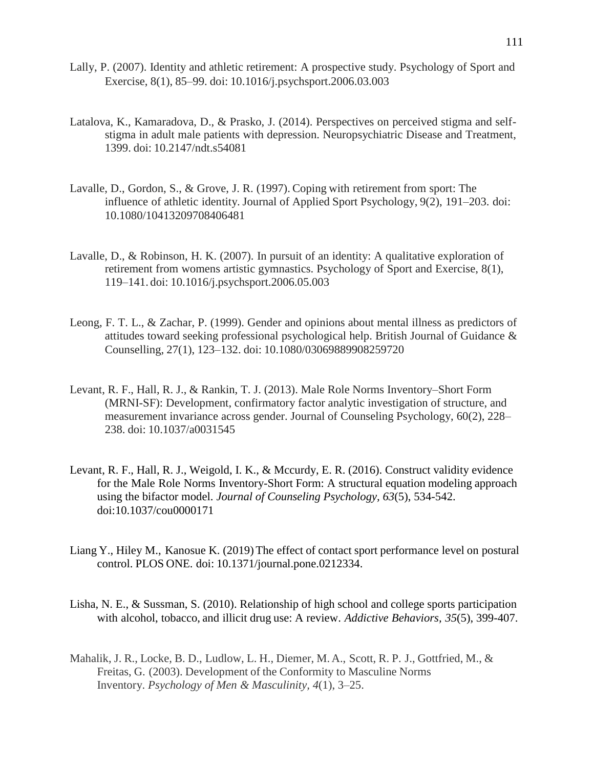- Lally, P. (2007). Identity and athletic retirement: A prospective study. Psychology of Sport and Exercise, 8(1), 85–99. doi: 10.1016/j.psychsport.2006.03.003
- Latalova, K., Kamaradova, D., & Prasko, J. (2014). Perspectives on perceived stigma and selfstigma in adult male patients with depression. Neuropsychiatric Disease and Treatment, 1399. doi: 10.2147/ndt.s54081
- Lavalle, D., Gordon, S., & Grove, J. R. (1997). Coping with retirement from sport: The influence of athletic identity. Journal of Applied Sport Psychology, 9(2), 191–203. doi: 10.1080/10413209708406481
- Lavalle, D., & Robinson, H. K. (2007). In pursuit of an identity: A qualitative exploration of retirement from womens artistic gymnastics. Psychology of Sport and Exercise, 8(1), 119–141. doi: 10.1016/j.psychsport.2006.05.003
- Leong, F. T. L., & Zachar, P. (1999). Gender and opinions about mental illness as predictors of attitudes toward seeking professional psychological help. British Journal of Guidance & Counselling, 27(1), 123–132. doi: 10.1080/03069889908259720
- Levant, R. F., Hall, R. J., & Rankin, T. J. (2013). Male Role Norms Inventory–Short Form (MRNI-SF): Development, confirmatory factor analytic investigation of structure, and measurement invariance across gender. Journal of Counseling Psychology, 60(2), 228– 238. doi: 10.1037/a0031545
- Levant, R. F., Hall, R. J., Weigold, I. K., & Mccurdy, E. R. (2016). Construct validity evidence for the Male Role Norms Inventory-Short Form: A structural equation modeling approach using the bifactor model. *Journal of Counseling Psychology, 63*(5), 534-542. doi:10.1037/cou0000171
- Liang Y., Hiley M., Kanosue K. (2019) The effect of contact sport performance level on postural control. PLOS ONE. doi: 10.1371/journal.pone.0212334.
- Lisha, N. E., & Sussman, S. (2010). Relationship of high school and college sports participation with alcohol, tobacco, and illicit drug use: A review. *Addictive Behaviors, 35*(5), 399-407.
- Mahalik, J. R., Locke, B. D., Ludlow, L. H., Diemer, M. A., Scott, R. P. J., Gottfried, M., & Freitas, G. (2003). Development of the Conformity to Masculine Norms Inventory. *Psychology of Men & Masculinity, 4*(1), 3–25.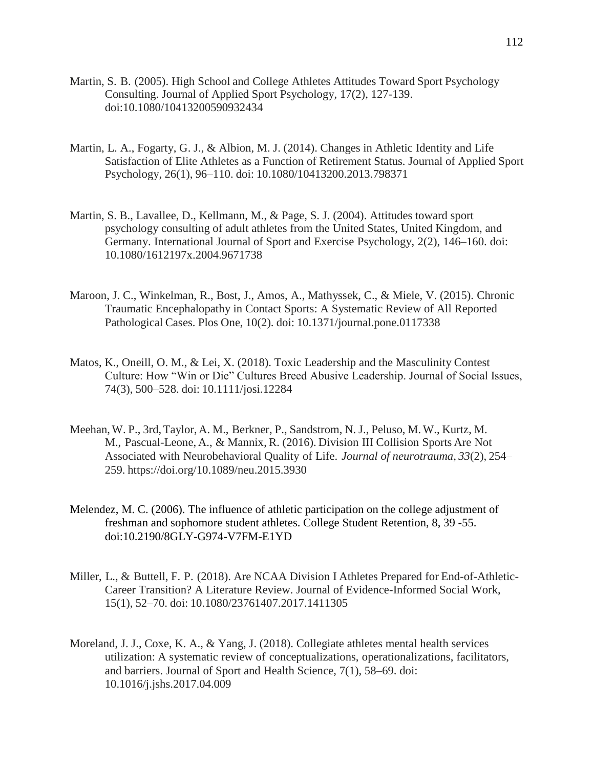- Martin, S. B. (2005). High School and College Athletes Attitudes Toward Sport Psychology Consulting. Journal of Applied Sport Psychology, 17(2), 127-139. doi:10.1080/10413200590932434
- Martin, L. A., Fogarty, G. J., & Albion, M. J. (2014). Changes in Athletic Identity and Life Satisfaction of Elite Athletes as a Function of Retirement Status. Journal of Applied Sport Psychology, 26(1), 96–110. doi: 10.1080/10413200.2013.798371
- Martin, S. B., Lavallee, D., Kellmann, M., & Page, S. J. (2004). Attitudes toward sport psychology consulting of adult athletes from the United States, United Kingdom, and Germany. International Journal of Sport and Exercise Psychology, 2(2), 146–160. doi: 10.1080/1612197x.2004.9671738
- Maroon, J. C., Winkelman, R., Bost, J., Amos, A., Mathyssek, C., & Miele, V. (2015). Chronic Traumatic Encephalopathy in Contact Sports: A Systematic Review of All Reported Pathological Cases. Plos One, 10(2). doi: 10.1371/journal.pone.0117338
- Matos, K., Oneill, O. M., & Lei, X. (2018). Toxic Leadership and the Masculinity Contest Culture: How "Win or Die" Cultures Breed Abusive Leadership. Journal of Social Issues, 74(3), 500–528. doi: 10.1111/josi.12284
- Meehan,W. P., 3rd,Taylor, A. M., Berkner, P., Sandstrom, N. J., Peluso, M.W., Kurtz, M. M., Pascual-Leone, A., & Mannix, R. (2016). Division III Collision Sports Are Not Associated with Neurobehavioral Quality of Life. *Journal of neurotrauma*, *33*(2), 254– 259. https://doi.org/10.1089/neu.2015.3930
- Melendez, M. C. (2006). The influence of athletic participation on the college adjustment of freshman and sophomore student athletes. College Student Retention, 8, 39 -55. doi:10.2190/8GLY-G974-V7FM-E1YD
- Miller, L., & Buttell, F. P. (2018). Are NCAA Division I Athletes Prepared for End-of-Athletic-Career Transition? A Literature Review. Journal of Evidence-Informed Social Work, 15(1), 52–70. doi: 10.1080/23761407.2017.1411305
- Moreland, J. J., Coxe, K. A., & Yang, J. (2018). Collegiate athletes mental health services utilization: A systematic review of conceptualizations, operationalizations, facilitators, and barriers. Journal of Sport and Health Science, 7(1), 58–69. doi: 10.1016/j.jshs.2017.04.009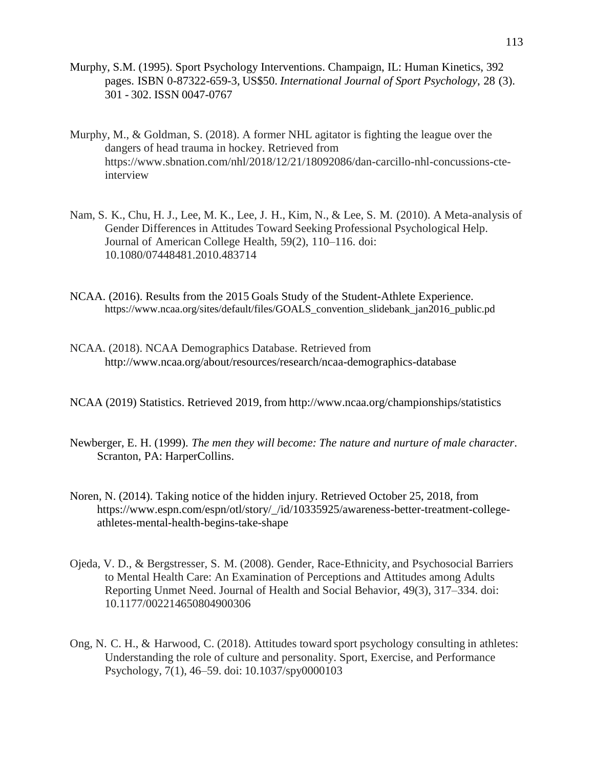- Murphy, S.M. (1995). Sport Psychology Interventions. Champaign, IL: Human Kinetics, 392 pages. ISBN 0-87322-659-3, US\$50. *International Journal of Sport Psychology*, 28 (3). 301 - 302. ISSN 0047-0767
- Murphy, M., & Goldman, S. (2018). A former NHL agitator is fighting the league over the dangers of head trauma in hockey. Retrieved from https:/[/www.sbnation.com/nhl/2018/12/21/18092086/dan-carcillo-nhl-concussions-cte](http://www.sbnation.com/nhl/2018/12/21/18092086/dan-carcillo-nhl-concussions-cte-)interview
- Nam, S. K., Chu, H. J., Lee, M. K., Lee, J. H., Kim, N., & Lee, S. M. (2010). A Meta-analysis of Gender Differences in Attitudes Toward Seeking Professional Psychological Help. Journal of American College Health, 59(2), 110–116. doi: 10.1080/07448481.2010.483714
- NCAA. (2016). Results from the 2015 Goals Study of the Student-Athlete Experience. [https://www.ncaa.org/sites/default/files/GOALS\\_convention\\_slidebank\\_jan2016\\_public.pd](https://www.ncaa.org/sites/default/files/GOALS_convention_slidebank_jan2016_public.pd)
- NCAA. (2018). NCAA Demographics Database. Retrieved from <http://www.ncaa.org/about/resources/research/ncaa-demographics-database>
- NCAA (2019) Statistics. Retrieved 2019, from <http://www.ncaa.org/championships/statistics>
- Newberger, E. H. (1999). *The men they will become: The nature and nurture of male character*. Scranton, PA: HarperCollins.
- Noren, N. (2014). Taking notice of the hidden injury. Retrieved October 25, 2018, from https:/[/www.espn.com/espn/otl/story/\\_/id/10335925/awareness-better-treatment-college](http://www.espn.com/espn/otl/story/_/id/10335925/awareness-better-treatment-college-)athletes-mental-health-begins-take-shape
- Ojeda, V. D., & Bergstresser, S. M. (2008). Gender, Race-Ethnicity, and Psychosocial Barriers to Mental Health Care: An Examination of Perceptions and Attitudes among Adults Reporting Unmet Need. Journal of Health and Social Behavior, 49(3), 317–334. doi: 10.1177/002214650804900306
- Ong, N. C. H., & Harwood, C. (2018). Attitudes toward sport psychology consulting in athletes: Understanding the role of culture and personality. Sport, Exercise, and Performance Psychology, 7(1), 46–59. doi: 10.1037/spy0000103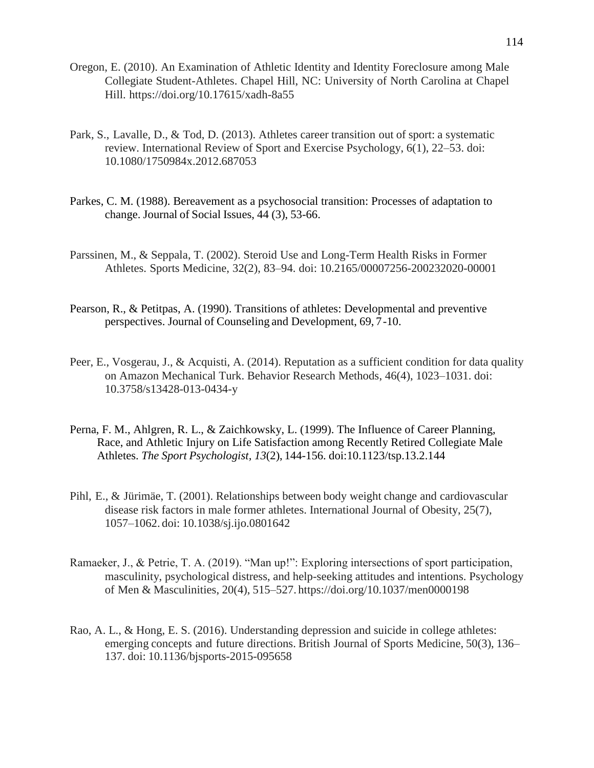- Oregon, E. (2010). An Examination of Athletic Identity and Identity Foreclosure among Male Collegiate Student-Athletes. Chapel Hill, NC: University of North Carolina at Chapel Hill. https://doi.org/10.17615/xadh-8a55
- Park, S., Lavalle, D., & Tod, D. (2013). Athletes career transition out of sport: a systematic review. International Review of Sport and Exercise Psychology, 6(1), 22–53. doi: 10.1080/1750984x.2012.687053
- Parkes, C. M. (1988). Bereavement as a psychosocial transition: Processes of adaptation to change. Journal of Social Issues, 44 (3), 53-66.
- Parssinen, M., & Seppala, T. (2002). Steroid Use and Long-Term Health Risks in Former Athletes. Sports Medicine, 32(2), 83–94. doi: 10.2165/00007256-200232020-00001
- Pearson, R., & Petitpas, A. (1990). Transitions of athletes: Developmental and preventive perspectives. Journal of Counseling and Development, 69, 7-10.
- Peer, E., Vosgerau, J., & Acquisti, A. (2014). Reputation as a sufficient condition for data quality on Amazon Mechanical Turk. Behavior Research Methods, 46(4), 1023–1031. doi: 10.3758/s13428-013-0434-y
- Perna, F. M., Ahlgren, R. L., & Zaichkowsky, L. (1999). The Influence of Career Planning, Race, and Athletic Injury on Life Satisfaction among Recently Retired Collegiate Male Athletes. *The Sport Psychologist, 13*(2), 144-156. doi:10.1123/tsp.13.2.144
- Pihl, E., & Jürimäe, T. (2001). Relationships between body weight change and cardiovascular disease risk factors in male former athletes. International Journal of Obesity, 25(7), 1057–1062. doi: 10.1038/sj.ijo.0801642
- Ramaeker, J., & Petrie, T. A. (2019). "Man up!": Exploring intersections of sport participation, masculinity, psychological distress, and help-seeking attitudes and intentions. Psychology of Men & Masculinities, 20(4), 515–527. https://doi.org/10.1037/men0000198
- Rao, A. L., & Hong, E. S. (2016). Understanding depression and suicide in college athletes: emerging concepts and future directions. British Journal of Sports Medicine, 50(3), 136– 137. doi: 10.1136/bjsports-2015-095658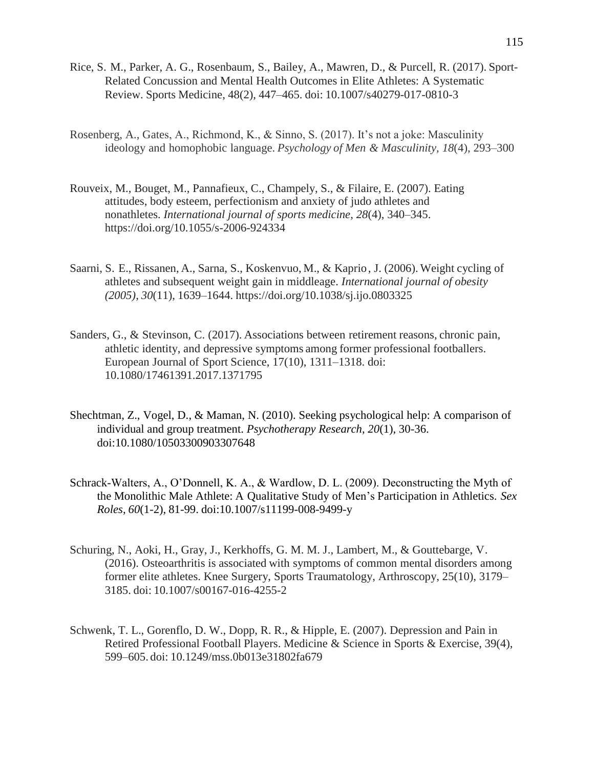- Rice, S. M., Parker, A. G., Rosenbaum, S., Bailey, A., Mawren, D., & Purcell, R. (2017). Sport-Related Concussion and Mental Health Outcomes in Elite Athletes: A Systematic Review. Sports Medicine, 48(2), 447–465. doi: 10.1007/s40279-017-0810-3
- Rosenberg, A., Gates, A., Richmond, K., & Sinno, S. (2017). It's not a joke: Masculinity ideology and homophobic language. *Psychology of Men & Masculinity, 18*(4), 293–300
- Rouveix, M., Bouget, M., Pannafieux, C., Champely, S., & Filaire, E. (2007). Eating attitudes, body esteem, perfectionism and anxiety of judo athletes and nonathletes. *International journal of sports medicine*, *28*(4), 340–345. https://doi.org/10.1055/s-2006-924334
- Saarni, S. E., Rissanen, A., Sarna, S., Koskenvuo, M., & Kaprio, J. (2006). Weight cycling of athletes and subsequent weight gain in middleage. *International journal of obesity (2005)*, *30*(11), 1639–1644. https://doi.org/10.1038/sj.ijo.0803325
- Sanders, G., & Stevinson, C. (2017). Associations between retirement reasons, chronic pain, athletic identity, and depressive symptoms among former professional footballers. European Journal of Sport Science, 17(10), 1311–1318. doi: 10.1080/17461391.2017.1371795
- Shechtman, Z., Vogel, D., & Maman, N. (2010). Seeking psychological help: A comparison of individual and group treatment. *Psychotherapy Research, 20*(1), 30-36. doi:10.1080/10503300903307648
- Schrack-Walters, A., O'Donnell, K. A., & Wardlow, D. L. (2009). Deconstructing the Myth of the Monolithic Male Athlete: A Qualitative Study of Men's Participation in Athletics. *Sex Roles, 60*(1-2), 81-99. doi:10.1007/s11199-008-9499-y
- Schuring, N., Aoki, H., Gray, J., Kerkhoffs, G. M. M. J., Lambert, M., & Gouttebarge, V. (2016). Osteoarthritis is associated with symptoms of common mental disorders among former elite athletes. Knee Surgery, Sports Traumatology, Arthroscopy, 25(10), 3179– 3185. doi: 10.1007/s00167-016-4255-2
- Schwenk, T. L., Gorenflo, D. W., Dopp, R. R., & Hipple, E. (2007). Depression and Pain in Retired Professional Football Players. Medicine & Science in Sports & Exercise, 39(4), 599–605. doi: 10.1249/mss.0b013e31802fa679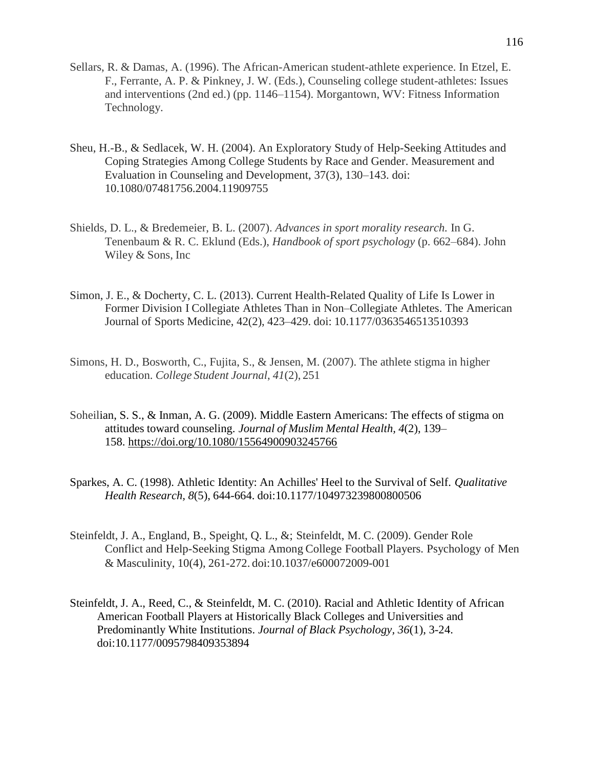- Sellars, R. & Damas, A. (1996). The African-American student-athlete experience. In Etzel, E. F., Ferrante, A. P. & Pinkney, J. W. (Eds.), Counseling college student-athletes: Issues and interventions (2nd ed.) (pp. 1146–1154). Morgantown, WV: Fitness Information Technology.
- Sheu, H.-B., & Sedlacek, W. H. (2004). An Exploratory Study of Help-Seeking Attitudes and Coping Strategies Among College Students by Race and Gender. Measurement and Evaluation in Counseling and Development, 37(3), 130–143. doi: 10.1080/07481756.2004.11909755
- Shields, D. L., & Bredemeier, B. L. (2007). *Advances in sport morality research.* In G. Tenenbaum & R. C. Eklund (Eds.), *Handbook of sport psychology* (p. 662–684). John Wiley & Sons, Inc
- Simon, J. E., & Docherty, C. L. (2013). Current Health-Related Quality of Life Is Lower in Former Division I Collegiate Athletes Than in Non–Collegiate Athletes. The American Journal of Sports Medicine, 42(2), 423–429. doi: 10.1177/0363546513510393
- Simons, H. D., Bosworth, C., Fujita, S., & Jensen, M. (2007). The athlete stigma in higher education. *College Student Journal*, *41*(2), 251
- Soheilian, S. S., & Inman, A. G. (2009). Middle Eastern Americans: The effects of stigma on attitudes toward counseling. *Journal of Muslim Mental Health, 4*(2), 139– 158. [https://doi.org/10.1080/15564900903245766](https://psycnet.apa.org/doi/10.1080/15564900903245766)
- Sparkes, A. C. (1998). Athletic Identity: An Achilles' Heel to the Survival of Self. *Qualitative Health Research, 8*(5), 644-664. doi:10.1177/104973239800800506
- Steinfeldt, J. A., England, B., Speight, Q. L., &; Steinfeldt, M. C. (2009). Gender Role Conflict and Help-Seeking Stigma Among College Football Players. Psychology of Men & Masculinity, 10(4), 261-272. doi:10.1037/e600072009-001
- Steinfeldt, J. A., Reed, C., & Steinfeldt, M. C. (2010). Racial and Athletic Identity of African American Football Players at Historically Black Colleges and Universities and Predominantly White Institutions. *Journal of Black Psychology, 36*(1), 3-24. doi:10.1177/0095798409353894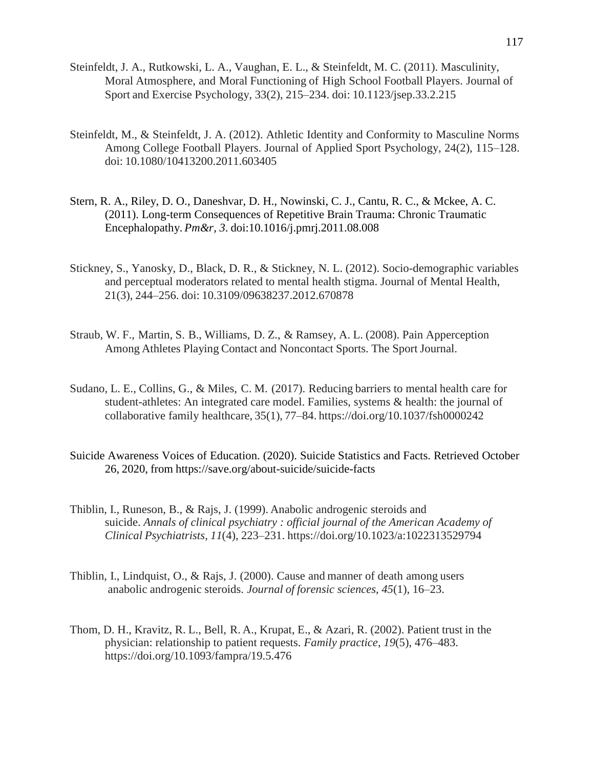- Steinfeldt, J. A., Rutkowski, L. A., Vaughan, E. L., & Steinfeldt, M. C. (2011). Masculinity, Moral Atmosphere, and Moral Functioning of High School Football Players. Journal of Sport and Exercise Psychology, 33(2), 215–234. doi: 10.1123/jsep.33.2.215
- Steinfeldt, M., & Steinfeldt, J. A. (2012). Athletic Identity and Conformity to Masculine Norms Among College Football Players. Journal of Applied Sport Psychology, 24(2), 115–128. doi: 10.1080/10413200.2011.603405
- Stern, R. A., Riley, D. O., Daneshvar, D. H., Nowinski, C. J., Cantu, R. C., & Mckee, A. C. (2011). Long-term Consequences of Repetitive Brain Trauma: Chronic Traumatic Encephalopathy. *Pm&r, 3*. doi:10.1016/j.pmrj.2011.08.008
- Stickney, S., Yanosky, D., Black, D. R., & Stickney, N. L. (2012). Socio-demographic variables and perceptual moderators related to mental health stigma. Journal of Mental Health, 21(3), 244–256. doi: 10.3109/09638237.2012.670878
- Straub, W. F., Martin, S. B., Williams, D. Z., & Ramsey, A. L. (2008). Pain Apperception Among Athletes Playing Contact and Noncontact Sports. The Sport Journal.
- Sudano, L. E., Collins, G., & Miles, C. M. (2017). Reducing barriers to mental health care for student-athletes: An integrated care model. Families, systems & health: the journal of collaborative family healthcare, 35(1), 77–84. https://doi.org/10.1037/fsh0000242
- Suicide Awareness Voices of Education. (2020). Suicide Statistics and Facts. Retrieved October 26, 2020, from https://save.org/about-suicide/suicide-facts
- Thiblin, I., Runeson, B., & Rajs, J. (1999). Anabolic androgenic steroids and suicide. *Annals of clinical psychiatry : official journal of the American Academy of Clinical Psychiatrists*, *11*(4), 223–231. https://doi.org/10.1023/a:1022313529794
- Thiblin, I., Lindquist, O., & Rajs, J. (2000). Cause and manner of death among users anabolic androgenic steroids. *Journal of forensic sciences*, *45*(1), 16–23.
- Thom, D. H., Kravitz, R. L., Bell, R. A., Krupat, E., & Azari, R. (2002). Patient trust in the physician: relationship to patient requests. *Family practice*, *19*(5), 476–483. https://doi.org/10.1093/fampra/19.5.476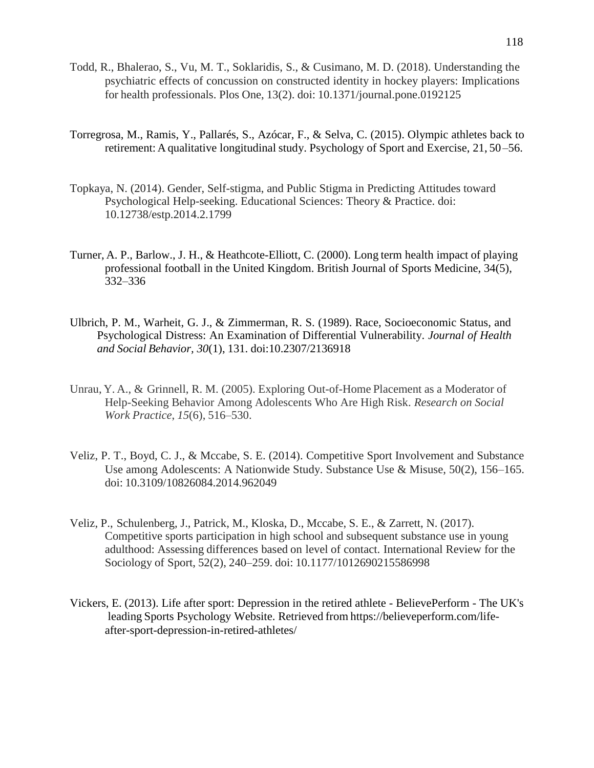- Todd, R., Bhalerao, S., Vu, M. T., Soklaridis, S., & Cusimano, M. D. (2018). Understanding the psychiatric effects of concussion on constructed identity in hockey players: Implications for health professionals. Plos One, 13(2). doi: 10.1371/journal.pone.0192125
- Torregrosa, M., Ramis, Y., Pallarés, S., Azócar, F., & Selva, C. (2015). Olympic athletes back to retirement: A qualitative longitudinal study. Psychology of Sport and Exercise, 21, 50–56.
- Topkaya, N. (2014). Gender, Self-stigma, and Public Stigma in Predicting Attitudes toward Psychological Help-seeking. Educational Sciences: Theory & Practice. doi: 10.12738/estp.2014.2.1799
- Turner, A. P., Barlow., J. H., & Heathcote-Elliott, C. (2000). Long term health impact of playing professional football in the United Kingdom. British Journal of Sports Medicine, 34(5), 332–336
- Ulbrich, P. M., Warheit, G. J., & Zimmerman, R. S. (1989). Race, Socioeconomic Status, and Psychological Distress: An Examination of Differential Vulnerability. *Journal of Health and Social Behavior, 30*(1), 131. doi:10.2307/2136918
- Unrau, Y. A., & Grinnell, R. M. (2005). Exploring Out-of-Home Placement as a Moderator of Help-Seeking Behavior Among Adolescents Who Are High Risk. *Research on Social Work Practice*, *15*(6), 516–530.
- Veliz, P. T., Boyd, C. J., & Mccabe, S. E. (2014). Competitive Sport Involvement and Substance Use among Adolescents: A Nationwide Study. Substance Use & Misuse, 50(2), 156–165. doi: 10.3109/10826084.2014.962049
- Veliz, P., Schulenberg, J., Patrick, M., Kloska, D., Mccabe, S. E., & Zarrett, N. (2017). Competitive sports participation in high school and subsequent substance use in young adulthood: Assessing differences based on level of contact. International Review for the Sociology of Sport, 52(2), 240–259. doi: 10.1177/1012690215586998
- Vickers, E. (2013). Life after sport: Depression in the retired athlete BelievePerform The UK's leading Sports Psychology Website. Retrieved from [https://believeperform.com/life](https://believeperform.com/life-)after-sport-depression-in-retired-athletes/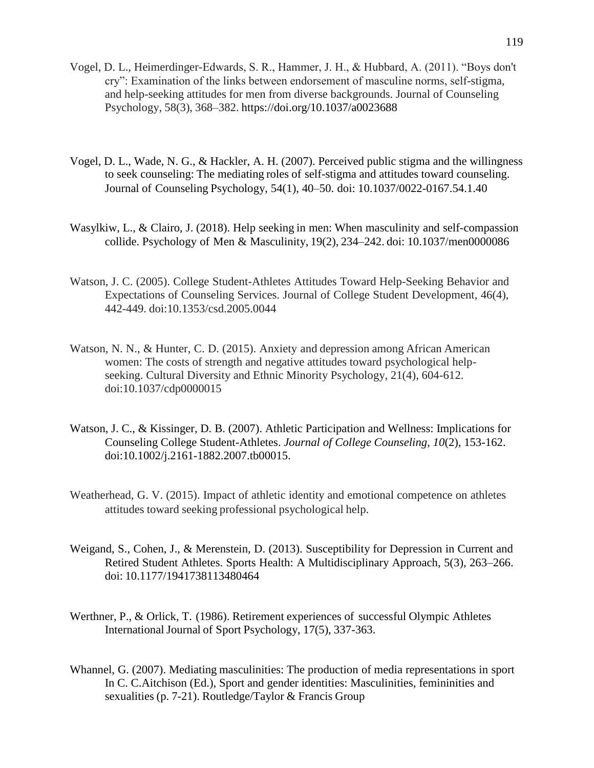- Vogel, D. L., Heimerdinger-Edwards, S. R., Hammer, J. H., & Hubbard, A. (2011). "Boys don't cry": Examination of the links between endorsement of masculine norms, self-stigma, and help-seeking attitudes for men from diverse backgrounds. Journal of Counseling Psychology, 58(3), 368–382. <https://doi.org/10.1037/a0023688>
- Vogel, D. L., Wade, N. G., & Hackler, A. H. (2007). Perceived public stigma and the willingness to seek counseling: The mediating roles of self-stigma and attitudes toward counseling. Journal of Counseling Psychology, 54(1), 40–50. doi: 10.1037/0022-0167.54.1.40
- Wasylkiw, L., & Clairo, J. (2018). Help seeking in men: When masculinity and self-compassion collide. Psychology of Men & Masculinity, 19(2), 234–242. doi: 10.1037/men0000086
- Watson, J. C. (2005). College Student-Athletes Attitudes Toward Help-Seeking Behavior and Expectations of Counseling Services. Journal of College Student Development, 46(4), 442-449. doi:10.1353/csd.2005.0044
- Watson, N. N., & Hunter, C. D. (2015). Anxiety and depression among African American women: The costs of strength and negative attitudes toward psychological helpseeking. Cultural Diversity and Ethnic Minority Psychology, 21(4), 604-612. doi:10.1037/cdp0000015
- Watson, J. C., & Kissinger, D. B. (2007). Athletic Participation and Wellness: Implications for Counseling College Student-Athletes. *Journal of College Counseling, 10*(2), 153-162. doi:10.1002/j.2161-1882.2007.tb00015.
- Weatherhead, G. V. (2015). Impact of athletic identity and emotional competence on athletes attitudes toward seeking professional psychological help.
- Weigand, S., Cohen, J., & Merenstein, D. (2013). Susceptibility for Depression in Current and Retired Student Athletes. Sports Health: A Multidisciplinary Approach, 5(3), 263–266. doi: 10.1177/1941738113480464
- Werthner, P., & Orlick, T. (1986). Retirement experiences of successful Olympic Athletes International Journal of Sport Psychology, 17(5), 337-363.
- Whannel, G. (2007). Mediating masculinities: The production of media representations in sport In C. C.Aitchison (Ed.), Sport and gender identities: Masculinities, femininities and sexualities (p. 7-21). Routledge/Taylor & Francis Group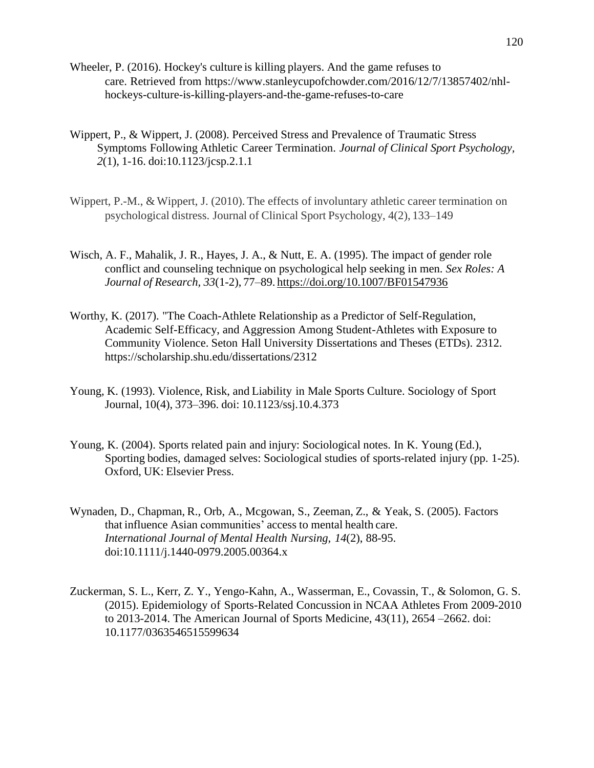- Wheeler, P. (2016). Hockey's culture is killing players. And the game refuses to care. Retrieved from https:/[/www.stanleycupofchowder.com/2016/12/7/13857402/nhl](http://www.stanleycupofchowder.com/2016/12/7/13857402/nhl-)hockeys-culture-is-killing-players-and-the-game-refuses-to-care
- Wippert, P., & Wippert, J. (2008). Perceived Stress and Prevalence of Traumatic Stress Symptoms Following Athletic Career Termination. *Journal of Clinical Sport Psychology, 2*(1), 1-16. doi:10.1123/jcsp.2.1.1
- Wippert, P.-M., & Wippert, J. (2010). The effects of involuntary athletic career termination on psychological distress. Journal of Clinical Sport Psychology, 4(2), 133–149
- Wisch, A. F., Mahalik, J. R., Hayes, J. A., & Nutt, E. A. (1995). The impact of gender role conflict and counseling technique on psychological help seeking in men. *Sex Roles: A Journal of Research, 33*(1-2), 77–89. [https://doi.org/10.1007/BF01547936](https://psycnet.apa.org/doi/10.1007/BF01547936)
- Worthy, K. (2017). "The Coach-Athlete Relationship as a Predictor of Self-Regulation, Academic Self-Efficacy, and Aggression Among Student-Athletes with Exposure to Community Violence. Seton Hall University Dissertations and Theses (ETDs). 2312. https://scholarship.shu.edu/dissertations/2312
- Young, K. (1993). Violence, Risk, and Liability in Male Sports Culture. Sociology of Sport Journal, 10(4), 373–396. doi: 10.1123/ssj.10.4.373
- Young, K. (2004). Sports related pain and injury: Sociological notes. In K. Young (Ed.), Sporting bodies, damaged selves: Sociological studies of sports-related injury (pp. 1-25). Oxford, UK: Elsevier Press.
- Wynaden, D., Chapman, R., Orb, A., Mcgowan, S., Zeeman, Z., & Yeak, S. (2005). Factors that influence Asian communities' access to mental health care. *International Journal of Mental Health Nursing, 14*(2), 88-95. doi:10.1111/j.1440-0979.2005.00364.x
- Zuckerman, S. L., Kerr, Z. Y., Yengo-Kahn, A., Wasserman, E., Covassin, T., & Solomon, G. S. (2015). Epidemiology of Sports-Related Concussion in NCAA Athletes From 2009-2010 to 2013-2014. The American Journal of Sports Medicine, 43(11), 2654 –2662. doi: 10.1177/0363546515599634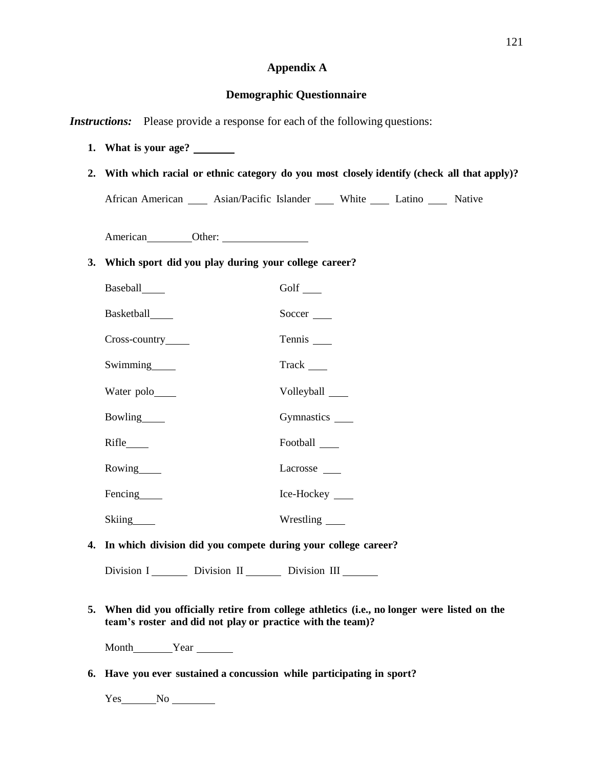### **Appendix A**

### **Demographic Questionnaire**

*Instructions:* Please provide a response for each of the following questions:

- **1. What is your age?**
- **2. With which racial or ethnic category do you most closely identify (check all that apply)?**

African American \_\_\_\_\_ Asian/Pacific Islander \_\_\_\_\_ White \_\_\_\_\_ Latino \_\_\_\_\_ Native

American Other:

#### **3. Which sport did you play during your college career?**

| Baseball______     | Golf $\_\_$       |
|--------------------|-------------------|
| Basketball_____    | Soccer $\_\_$     |
| Cross-country_____ |                   |
| Swimming           |                   |
| Water polo_____    | Volleyball _____  |
| Bowling            |                   |
|                    | Football ______   |
| Rowing             | Lacrosse          |
| Fencing_____       | Ice-Hockey ______ |
| Skiing             | Wrestling ______  |

**4. In which division did you compete during your college career?**

Division I Division II Division III

**5. When did you officially retire from college athletics (i.e., no longer were listed on the team's roster and did not play or practice with the team)?**

Month Year

**6. Have you ever sustained a concussion while participating in sport?**

Yes No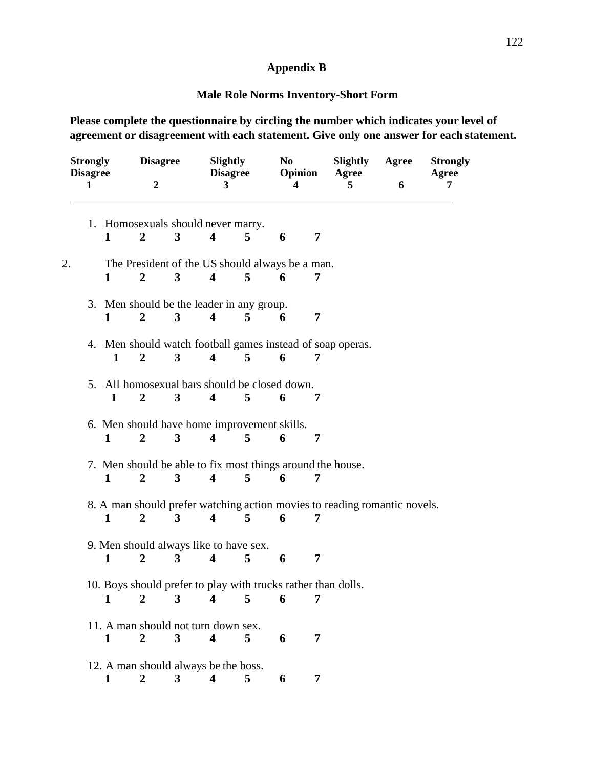# **Appendix B**

# **Male Role Norms Inventory-Short Form**

**Please complete the questionnaire by circling the number which indicates your level of agreement or disagreement with each statement. Give only one answer for each statement.**

| <b>Strongly</b><br><b>Disagree</b><br>1 |  |                                                                           | <b>Disagree</b><br>$\overline{2}$ |                         | <b>Slightly</b><br><b>Disagree</b><br>3 |                                                    | No<br>Opinion<br>4 |   | <b>Slightly</b><br>Agree<br>5                                 | Agree<br>6 | <b>Strongly</b><br>Agree<br>7 |  |  |
|-----------------------------------------|--|---------------------------------------------------------------------------|-----------------------------------|-------------------------|-----------------------------------------|----------------------------------------------------|--------------------|---|---------------------------------------------------------------|------------|-------------------------------|--|--|
| 1. Homosexuals should never marry.      |  |                                                                           |                                   |                         |                                         |                                                    |                    |   |                                                               |            |                               |  |  |
|                                         |  | 1                                                                         | $\overline{2}$                    | 3                       | $\overline{\mathbf{4}}$                 | 5                                                  | 6                  | 7 |                                                               |            |                               |  |  |
| 2.                                      |  | The President of the US should always be a man.                           |                                   |                         |                                         |                                                    |                    |   |                                                               |            |                               |  |  |
|                                         |  | 1                                                                         | $\overline{2}$                    | $\mathbf{3}$            | $\overline{\mathbf{4}}$                 | $\overline{5}$                                     | 6                  | 7 |                                                               |            |                               |  |  |
|                                         |  |                                                                           |                                   |                         |                                         | 3. Men should be the leader in any group.          |                    |   |                                                               |            |                               |  |  |
|                                         |  | 1                                                                         | 2                                 | 3                       | 4                                       | 5                                                  | 6                  | 7 |                                                               |            |                               |  |  |
|                                         |  |                                                                           |                                   |                         |                                         |                                                    |                    |   | 4. Men should watch football games instead of soap operas.    |            |                               |  |  |
|                                         |  | 1                                                                         | $\overline{2}$                    | 3                       | $\overline{\mathbf{4}}$                 | $\overline{5}$                                     | 6                  | 7 |                                                               |            |                               |  |  |
|                                         |  | 1                                                                         | $\overline{2}$                    | 3                       | $\overline{\mathbf{4}}$                 | 5. All homosexual bars should be closed down.<br>5 | 6                  | 7 |                                                               |            |                               |  |  |
|                                         |  |                                                                           |                                   |                         |                                         | 6. Men should have home improvement skills.        |                    |   |                                                               |            |                               |  |  |
|                                         |  | 1                                                                         | $\overline{2}$                    | 3                       | $\overline{\mathbf{4}}$                 | 5                                                  | 6                  | 7 |                                                               |            |                               |  |  |
|                                         |  |                                                                           |                                   |                         |                                         |                                                    |                    |   | 7. Men should be able to fix most things around the house.    |            |                               |  |  |
|                                         |  | 1                                                                         | 2                                 | $\overline{\mathbf{3}}$ | $\overline{\mathbf{4}}$                 | 5                                                  | 6                  | 7 |                                                               |            |                               |  |  |
|                                         |  | 8. A man should prefer watching action movies to reading romantic novels. |                                   |                         |                                         |                                                    |                    |   |                                                               |            |                               |  |  |
|                                         |  | 1                                                                         | $\overline{2}$                    | 3                       | $\overline{\mathbf{4}}$                 | 5                                                  | 6                  | 7 |                                                               |            |                               |  |  |
|                                         |  |                                                                           |                                   |                         |                                         | 9. Men should always like to have sex.             |                    |   |                                                               |            |                               |  |  |
|                                         |  | $\mathbf{1}$                                                              | $\overline{2}$                    | $\mathbf{3}$            | $\overline{\mathbf{4}}$                 | 5                                                  | 6                  | 7 |                                                               |            |                               |  |  |
|                                         |  |                                                                           |                                   |                         |                                         |                                                    |                    |   | 10. Boys should prefer to play with trucks rather than dolls. |            |                               |  |  |
|                                         |  | 1                                                                         | $\overline{2}$                    | $3^{\circ}$             | $\overline{4}$                          | 5                                                  | 6                  | 7 |                                                               |            |                               |  |  |
|                                         |  |                                                                           |                                   |                         | 11. A man should not turn down sex.     |                                                    |                    |   |                                                               |            |                               |  |  |
|                                         |  | 1                                                                         | $\overline{\mathbf{c}}$           | $\overline{\mathbf{3}}$ | $\overline{\mathbf{4}}$                 | 5 <sup>5</sup>                                     | 6                  | 7 |                                                               |            |                               |  |  |
|                                         |  |                                                                           |                                   |                         |                                         | 12. A man should always be the boss.               |                    |   |                                                               |            |                               |  |  |
|                                         |  | $\mathbf{1}$                                                              | $\overline{2}$                    | 3 <sup>1</sup>          | $\overline{\mathbf{4}}$                 | 5                                                  | 6                  | 7 |                                                               |            |                               |  |  |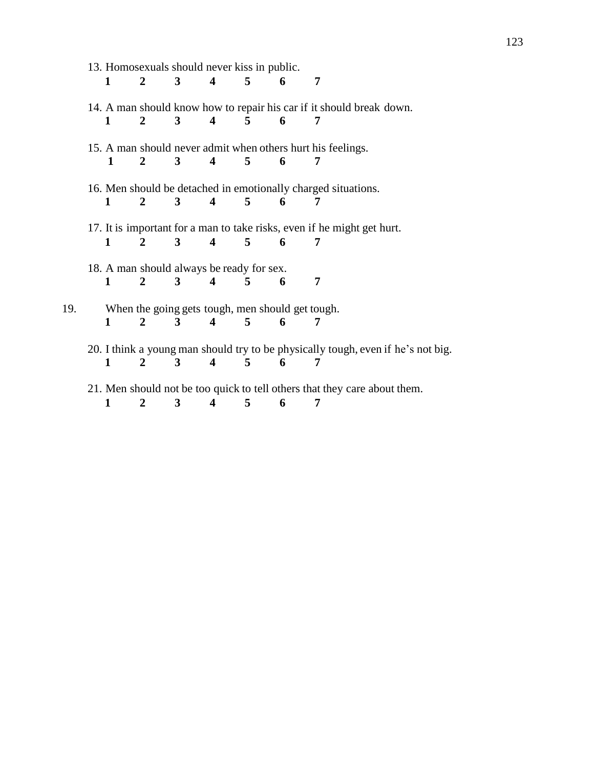|     | 13. Homosexuals should never kiss in public. |              |                |              |                                                  |                |   |                                                                                       |
|-----|----------------------------------------------|--------------|----------------|--------------|--------------------------------------------------|----------------|---|---------------------------------------------------------------------------------------|
|     |                                              | 1            | $\mathbf{2}$   | $\mathbf{3}$ | $\overline{\mathbf{4}}$                          | $5^{\circ}$    | 6 | 7                                                                                     |
|     |                                              |              |                |              |                                                  |                |   | 14. A man should know how to repair his car if it should break down.                  |
|     |                                              | 1            | 2              | 3            | $\blacktriangleleft$                             | 5              | 6 |                                                                                       |
|     |                                              |              |                |              |                                                  |                |   | 15. A man should never admit when others hurt his feelings.                           |
|     |                                              | 1            | $\mathbf{2}$   | 3            | $\overline{\mathbf{4}}$                          | 5              | 6 | 7                                                                                     |
|     |                                              |              |                |              |                                                  |                |   |                                                                                       |
|     |                                              |              |                |              |                                                  |                |   | 16. Men should be detached in emotionally charged situations.                         |
|     |                                              | 1            | 2              | 3            | $\overline{\mathbf{4}}$                          | 5              | 6 | 7                                                                                     |
|     |                                              |              |                |              |                                                  |                |   | 17. It is important for a man to take risks, even if he might get hurt.               |
|     |                                              | 1            | $\overline{2}$ | 3            | 4                                                | 5              | 6 | 7                                                                                     |
|     |                                              |              |                |              |                                                  |                |   |                                                                                       |
|     |                                              |              |                |              | 18. A man should always be ready for sex.        |                |   |                                                                                       |
|     |                                              | $\mathbf 1$  | $\mathbf{2}$   | $3 \quad 4$  |                                                  | $\sqrt{5}$     | 6 | 7                                                                                     |
|     |                                              |              |                |              |                                                  |                |   |                                                                                       |
| 19. |                                              |              |                |              | When the going gets tough, men should get tough. |                |   |                                                                                       |
|     |                                              | 1            | $\overline{2}$ | 3            | 4                                                | 5              | 6 | 7                                                                                     |
|     |                                              |              |                |              |                                                  |                |   |                                                                                       |
|     |                                              | $\mathbf{1}$ | $\mathbf{2}$   | 3            | $\overline{\mathbf{4}}$                          | $\overline{5}$ | 6 | 20. I think a young man should try to be physically tough, even if he's not big.<br>7 |
|     |                                              |              |                |              |                                                  |                |   |                                                                                       |
|     |                                              |              |                |              |                                                  |                |   | 21. Men should not be too quick to tell others that they care about them.             |
|     |                                              | 1            | 2              | 3            | 4                                                | 5              | 6 | 7                                                                                     |
|     |                                              |              |                |              |                                                  |                |   |                                                                                       |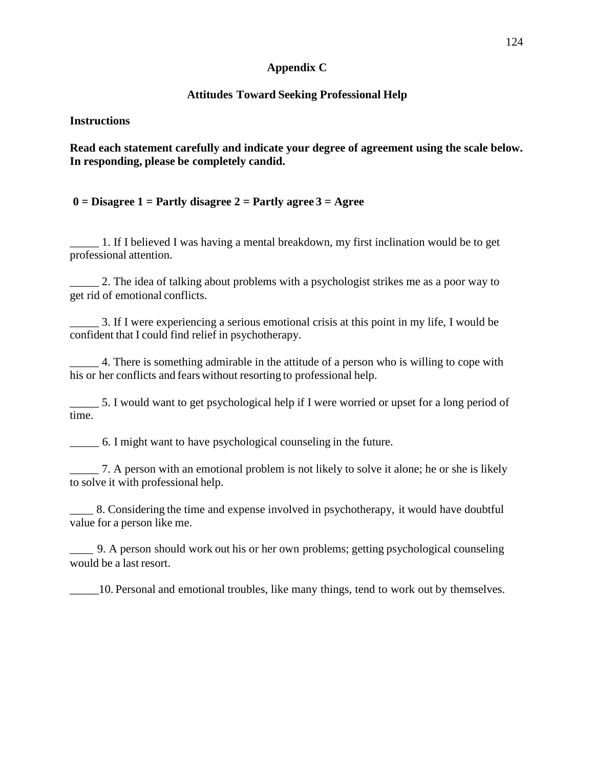### **Appendix C**

# **Attitudes Toward Seeking Professional Help**

**Instructions**

**Read each statement carefully and indicate your degree of agreement using the scale below. In responding, please be completely candid.**

## **0 = Disagree 1 = Partly disagree 2 = Partly agree 3 = Agree**

\_\_\_\_\_ 1. If I believed I was having a mental breakdown, my first inclination would be to get professional attention.

\_\_\_\_\_ 2. The idea of talking about problems with a psychologist strikes me as a poor way to get rid of emotional conflicts.

\_\_\_\_\_ 3. If I were experiencing a serious emotional crisis at this point in my life, I would be confident that I could find relief in psychotherapy.

4. There is something admirable in the attitude of a person who is willing to cope with his or her conflicts and fears without resorting to professional help.

\_\_\_\_\_ 5. I would want to get psychological help if I were worried or upset for a long period of time.

\_\_\_\_\_ 6. I might want to have psychological counseling in the future.

\_\_\_\_\_ 7. A person with an emotional problem is not likely to solve it alone; he or she is likely to solve it with professional help.

\_\_\_\_ 8. Considering the time and expense involved in psychotherapy, it would have doubtful value for a person like me.

\_\_\_\_ 9. A person should work out his or her own problems; getting psychological counseling would be a last resort.

\_\_\_\_\_10. Personal and emotional troubles, like many things, tend to work out by themselves.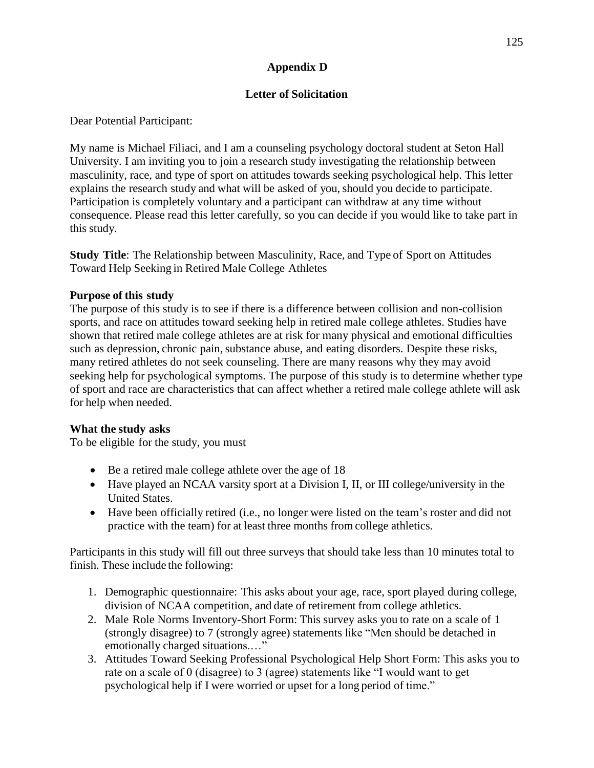# **Appendix D**

# **Letter of Solicitation**

Dear Potential Participant:

My name is Michael Filiaci, and I am a counseling psychology doctoral student at Seton Hall University. I am inviting you to join a research study investigating the relationship between masculinity, race, and type of sport on attitudes towards seeking psychological help. This letter explains the research study and what will be asked of you, should you decide to participate. Participation is completely voluntary and a participant can withdraw at any time without consequence. Please read this letter carefully, so you can decide if you would like to take part in this study.

**Study Title**: The Relationship between Masculinity, Race, and Type of Sport on Attitudes Toward Help Seeking in Retired Male College Athletes

# **Purpose of this study**

The purpose of this study is to see if there is a difference between collision and non-collision sports, and race on attitudes toward seeking help in retired male college athletes. Studies have shown that retired male college athletes are at risk for many physical and emotional difficulties such as depression, chronic pain, substance abuse, and eating disorders. Despite these risks, many retired athletes do not seek counseling. There are many reasons why they may avoid seeking help for psychological symptoms. The purpose of this study is to determine whether type of sport and race are characteristics that can affect whether a retired male college athlete will ask for help when needed.

# **What the study asks**

To be eligible for the study, you must

- Be a retired male college athlete over the age of 18
- Have played an NCAA varsity sport at a Division I, II, or III college/university in the United States.
- Have been officially retired (i.e., no longer were listed on the team's roster and did not practice with the team) for at least three months from college athletics.

Participants in this study will fill out three surveys that should take less than 10 minutes total to finish. These include the following:

- 1. Demographic questionnaire: This asks about your age, race, sport played during college, division of NCAA competition, and date of retirement from college athletics.
- 2. Male Role Norms Inventory-Short Form: This survey asks you to rate on a scale of 1 (strongly disagree) to 7 (strongly agree) statements like "Men should be detached in emotionally charged situations.…"
- 3. Attitudes Toward Seeking Professional Psychological Help Short Form: This asks you to rate on a scale of 0 (disagree) to 3 (agree) statements like "I would want to get psychological help if I were worried or upset for a long period of time."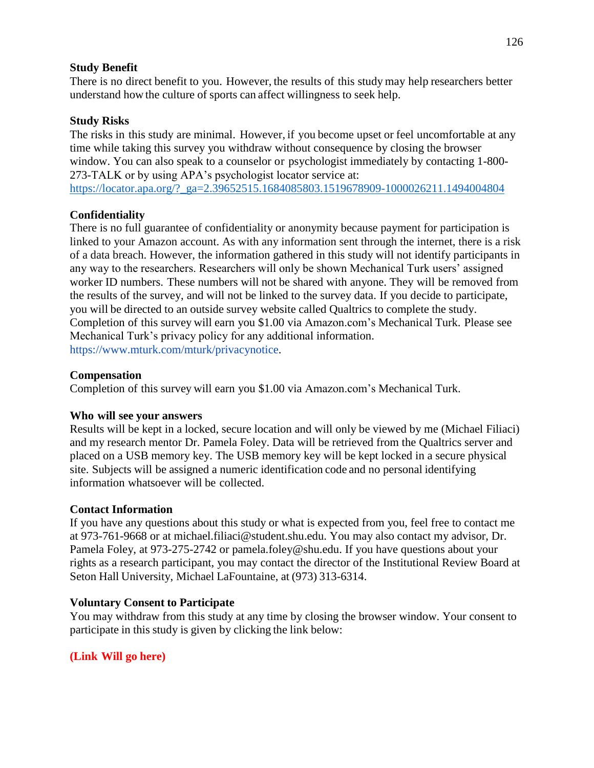### **Study Benefit**

There is no direct benefit to you. However, the results of this study may help researchers better understand how the culture of sports can affect willingness to seek help.

## **Study Risks**

The risks in this study are minimal. However, if you become upset or feel uncomfortable at any time while taking this survey you withdraw without consequence by closing the browser window. You can also speak to a counselor or psychologist immediately by contacting 1-800- 273-TALK or by using APA's psychologist locator service at:

[https://locator.apa.org/?\\_ga=2.39652515.1684085803.1519678909-1000026211.1494004804](https://locator.apa.org/?_ga=2.39652515.1684085803.1519678909-1000026211.1494004804)

### **Confidentiality**

There is no full guarantee of confidentiality or anonymity because payment for participation is linked to your Amazon account. As with any information sent through the internet, there is a risk of a data breach. However, the information gathered in this study will not identify participants in any way to the researchers. Researchers will only be shown Mechanical Turk users' assigned worker ID numbers. These numbers will not be shared with anyone. They will be removed from the results of the survey, and will not be linked to the survey data. If you decide to participate, you will be directed to an outside survey website called Qualtrics to complete the study. Completion of this survey will earn you \$1.00 via Amazon.com's Mechanical Turk. Please see Mechanical Turk's privacy policy for any additional information. [https://www.mturk.com/mturk/privacynotice.](https://www.mturk.com/mturk/privacynotice)

### **Compensation**

Completion of this survey will earn you \$1.00 via Amazon.com's Mechanical Turk.

### **Who will see your answers**

Results will be kept in a locked, secure location and will only be viewed by me (Michael Filiaci) and my research mentor Dr. Pamela Foley. Data will be retrieved from the Qualtrics server and placed on a USB memory key. The USB memory key will be kept locked in a secure physical site. Subjects will be assigned a numeric identification code and no personal identifying information whatsoever will be collected.

## **Contact Information**

If you have any questions about this study or what is expected from you, feel free to contact me at 973-761-9668 or at [michael.filiaci@student.shu.edu. Y](mailto:michael.filiaci@student.shu.edu)ou may also contact my advisor, Dr. Pamela Foley, at 973-275-2742 or [pamela.foley@shu.edu. I](mailto:pamela.foley@shu.edu)f you have questions about your rights as a research participant, you may contact the director of the Institutional Review Board at Seton Hall University, Michael LaFountaine, at (973) 313-6314.

## **Voluntary Consent to Participate**

You may withdraw from this study at any time by closing the browser window. Your consent to participate in this study is given by clicking the link below:

## **(Link Will go here)**